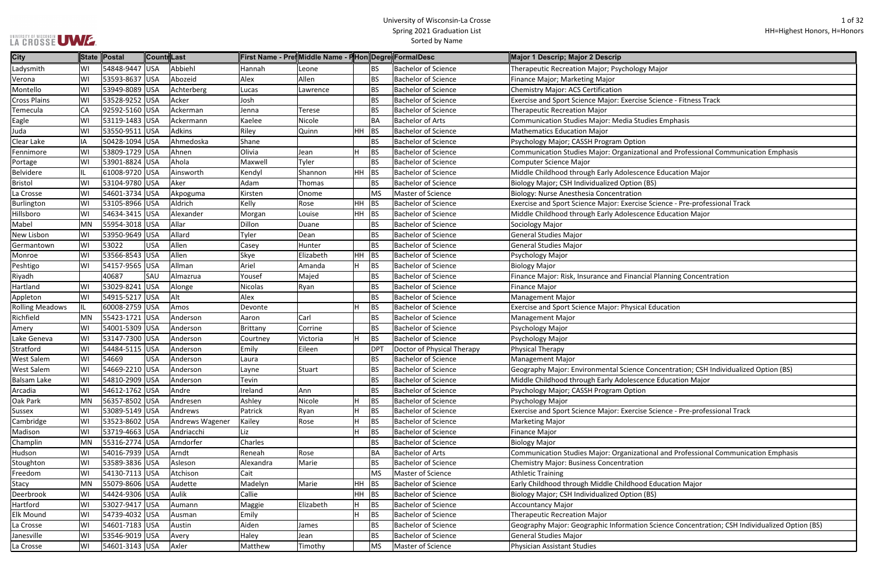#### University of Wisconsin-La Crosse Spring 2021 Graduation List Sorted by Name

|  |  | LA CROSSE UME |  |
|--|--|---------------|--|

e Science - Fitness Track ional and Professional Communication Emphasis Burlington Burlington Bachelor<br>Bachelor Bachelor Science Bachelor Science Major: Exercise Science - Pre-professional Track cial Planning Concentration e Concentration; CSH Individualized Option (BS) ence Education Major se Science - Pre-professional Track tional and Professional Communication Emphasis

In Science Concentration; CSH Individualized Option (BS)

| <b>City</b>            |     | State Postal    | ∥Countr Last |                 | First Name - Pre¶Middle Name - F Hon Degre FormalDesc |               |    |            |                            | Major 1 Descrip; Major 2 Descrip                                 |
|------------------------|-----|-----------------|--------------|-----------------|-------------------------------------------------------|---------------|----|------------|----------------------------|------------------------------------------------------------------|
| Ladysmith              | WI  | 54848-9447 USA  |              | Abbiehl         | Hannah                                                | Leone         |    | ΒS         | <b>Bachelor of Science</b> | Therapeutic Recreation Major; Psychology Major                   |
| Verona                 | WI  | 53593-8637 USA  |              | Abozeid         | Alex                                                  | Allen         |    | BS         | <b>Bachelor of Science</b> | Finance Major; Marketing Major                                   |
| Montello               | WI  | 53949-8089 USA  |              | Achterberg      | Lucas                                                 | Lawrence      |    | BS         | <b>Bachelor of Science</b> | Chemistry Major: ACS Certification                               |
| <b>Cross Plains</b>    | WI  | 53528-9252 USA  |              | Acker           | Josh                                                  |               |    | BS         | <b>Bachelor of Science</b> | Exercise and Sport Science Major: Exercise Science - Fitness Tra |
| Temecula               | CA  | 92592-5160 USA  |              | Ackerman        | Jenna                                                 | <b>Terese</b> |    | BS         | <b>Bachelor of Science</b> | <b>Therapeutic Recreation Major</b>                              |
| Eagle                  | WI  | 53119-1483 USA  |              | Ackermann       | Kaelee                                                | Nicole        |    | ВA         | <b>Bachelor of Arts</b>    | Communication Studies Major: Media Studies Emphasis              |
| Juda                   | WI  | 53550-9511 USA  |              | Adkins          | Riley                                                 | Quinn         | HH | <b>BS</b>  | <b>Bachelor of Science</b> | <b>Mathematics Education Major</b>                               |
| Clear Lake             | IA  | 50428-1094 USA  |              | Ahmedoska       | Shane                                                 |               |    | BS         | <b>Bachelor of Science</b> | Psychology Major; CASSH Program Option                           |
| Fennimore              | WI  | 53809-1729 USA  |              | Ahnen           | Olivia                                                | Jean          | H  | <b>BS</b>  | <b>Bachelor of Science</b> | Communication Studies Major: Organizational and Professiona      |
| Portage                | WI  | 53901-8824 USA  |              | Ahola           | Maxwell                                               | Tyler         |    | BS         | <b>Bachelor of Science</b> | Computer Science Major                                           |
| Belvidere              | IL. | 61008-9720 USA  |              | Ainsworth       | Kendyl                                                | Shannon       | HH | <b>BS</b>  | <b>Bachelor of Science</b> | Middle Childhood through Early Adolescence Education Major       |
| <b>Bristol</b>         | WI  | 53104-9780 USA  |              | Aker            | Adam                                                  | Thomas        |    | BS         | <b>Bachelor of Science</b> | Biology Major; CSH Individualized Option (BS)                    |
| La Crosse              | WI  | 54601-3734 USA  |              | Akpoguma        | Kirsten                                               | Onome         |    | <b>MS</b>  | Master of Science          | Biology: Nurse Anesthesia Concentration                          |
| Burlington             | WI  | 53105-8966 USA  |              | Aldrich         | Kelly                                                 | Rose          | HH | <b>BS</b>  | <b>Bachelor of Science</b> | Exercise and Sport Science Major: Exercise Science - Pre-profes  |
| Hillsboro              | WI  | 54634-3415 USA  |              | Alexander       | Morgan                                                | Louise        | HH | <b>BS</b>  | <b>Bachelor of Science</b> | Middle Childhood through Early Adolescence Education Major       |
| Mabel                  | MN  | 55954-3018 USA  |              | Allar           | Dillon                                                | Duane         |    | BS         | <b>Bachelor of Science</b> | Sociology Major                                                  |
| New Lisbon             | WI  | 53950-9649 USA  |              | Allard          | Tyler                                                 | Dean          |    | BS         | <b>Bachelor of Science</b> | <b>General Studies Major</b>                                     |
| Germantown             | WI  | 53022           | <b>USA</b>   | Allen           | Casey                                                 | Hunter        |    | ВS         | <b>Bachelor of Science</b> | <b>General Studies Major</b>                                     |
| Monroe                 | WI  | 53566-8543 USA  |              | Allen           | Skye                                                  | Elizabeth     | HH | <b>BS</b>  | <b>Bachelor of Science</b> | Psychology Major                                                 |
| Peshtigo               | WI  | 54157-9565 USA  |              | Allman          | Ariel                                                 | Amanda        | H. | <b>BS</b>  | <b>Bachelor of Science</b> | <b>Biology Major</b>                                             |
| Riyadh                 |     | 40687           | SAU          | Almazrua        | Yousef                                                | Majed         |    | <b>BS</b>  | <b>Bachelor of Science</b> | Finance Major: Risk, Insurance and Financial Planning Concenti   |
| Hartland               | WI  | 53029-8241 USA  |              | Alonge          | Nicolas                                               | Ryan          |    | BS         | <b>Bachelor of Science</b> | <b>Finance Major</b>                                             |
| Appleton               | WI  | 54915-5217 USA  |              | Alt             | Alex                                                  |               |    | <b>BS</b>  | <b>Bachelor of Science</b> | <b>Management Major</b>                                          |
| <b>Rolling Meadows</b> | IL  | 60008-2759 USA  |              | Amos            | Devonte                                               |               |    | <b>BS</b>  | <b>Bachelor of Science</b> | <b>Exercise and Sport Science Major: Physical Education</b>      |
| Richfield              | MN  | 55423-1721 USA  |              | Anderson        | Aaron                                                 | Carl          |    | BS         | <b>Bachelor of Science</b> | <b>Management Major</b>                                          |
| Amery                  | WI  | 54001-5309 USA  |              | Anderson        | Brittany                                              | Corrine       |    | BS         | <b>Bachelor of Science</b> | Psychology Major                                                 |
| Lake Geneva            | WI  | 53147-7300 USA  |              | Anderson        | Courtney                                              | Victoria      | H. | <b>BS</b>  | <b>Bachelor of Science</b> | Psychology Major                                                 |
| Stratford              | WI  | 54484-5115 USA  |              | Anderson        | Emily                                                 | Eileen        |    | <b>DPT</b> | Doctor of Physical Therapy | <b>Physical Therapy</b>                                          |
| <b>West Salem</b>      | WI  | 54669           | <b>USA</b>   | Anderson        | Laura                                                 |               |    | BS         | <b>Bachelor of Science</b> | <b>Management Major</b>                                          |
| <b>West Salem</b>      | WI  | 54669-2210 USA  |              | Anderson        | Layne                                                 | Stuart        |    | BS.        | <b>Bachelor of Science</b> | Geography Major: Environmental Science Concentration; CSH I      |
| <b>Balsam Lake</b>     | WI  | 54810-2909 USA  |              | Anderson        | Tevin                                                 |               |    | <b>BS</b>  | <b>Bachelor of Science</b> | Middle Childhood through Early Adolescence Education Major       |
| Arcadia                | WI  | 54612-1762 USA  |              | Andre           | Ireland                                               | Ann           |    | BS         | <b>Bachelor of Science</b> | Psychology Major; CASSH Program Option                           |
| Oak Park               | MN  | 56357-8502 USA  |              | Andresen        | Ashley                                                | Nicole        | н  | <b>BS</b>  | <b>Bachelor of Science</b> | Psychology Major                                                 |
| Sussex                 | WI  | 53089-5149 USA  |              | Andrews         | Patrick                                               | Ryan          |    | <b>BS</b>  | <b>Bachelor of Science</b> | Exercise and Sport Science Major: Exercise Science - Pre-profes  |
| Cambridge              | WI  | 53523-8602 USA  |              | Andrews Wagener | Kailey                                                | Rose          | н  | <b>BS</b>  | <b>Bachelor of Science</b> | <b>Marketing Major</b>                                           |
| Madison                | WI  | 53719-4663 USA  |              | Andriacchi      | Liz                                                   |               | H  | <b>BS</b>  | <b>Bachelor of Science</b> | Finance Major                                                    |
| Champlin               | MN  | 55316-2774 USA  |              | Arndorfer       | Charles                                               |               |    | BS         | <b>Bachelor of Science</b> | <b>Biology Major</b>                                             |
| Hudson                 | WI  | 54016-7939  USA |              | Arndt           | Reneah                                                | Rose          |    | ВA         | <b>Bachelor of Arts</b>    | Communication Studies Major: Organizational and Professiona      |
| Stoughton              | WI  | 53589-3836 USA  |              | Asleson         | Alexandra                                             | Marie         |    | ВS         | <b>Bachelor of Science</b> | Chemistry Major: Business Concentration                          |
| Freedom                | WI  | 54130-7113 USA  |              | Atchison        | Cait                                                  |               |    | <b>MS</b>  | Master of Science          | <b>Athletic Training</b>                                         |
| Stacy                  | MN  | 55079-8606 USA  |              | Audette         | Madelyn                                               | Marie         | HН | <b>BS</b>  | <b>Bachelor of Science</b> | Early Childhood through Middle Childhood Education Major         |
| Deerbrook              | WI  | 54424-9306 USA  |              | Aulik           | Callie                                                |               | HH | <b>BS</b>  | <b>Bachelor of Science</b> | Biology Major; CSH Individualized Option (BS)                    |
| Hartford               | WI  | 53027-9417 USA  |              | Aumann          | Maggie                                                | Elizabeth     |    | <b>BS</b>  | <b>Bachelor of Science</b> | <b>Accountancy Major</b>                                         |
| Elk Mound              | WI  | 54739-4032 USA  |              | Ausman          | Emily                                                 |               | н  | <b>BS</b>  | <b>Bachelor of Science</b> | <b>Therapeutic Recreation Major</b>                              |
| La Crosse              | WI  | 54601-7183 USA  |              | Austin          | Aiden                                                 | James         |    | ВS         | <b>Bachelor of Science</b> | Geography Major: Geographic Information Science Concentrat       |
| Janesville             | WI  | 53546-9019 USA  |              | Avery           | Haley                                                 | Jean          |    | ВS         | <b>Bachelor of Science</b> | General Studies Major                                            |
| La Crosse              | WI  | 54601-3143 USA  |              | Axler           | Matthew                                               | Timothy       |    | <b>MS</b>  | Master of Science          | Physician Assistant Studies                                      |
|                        |     |                 |              |                 |                                                       |               |    |            |                            |                                                                  |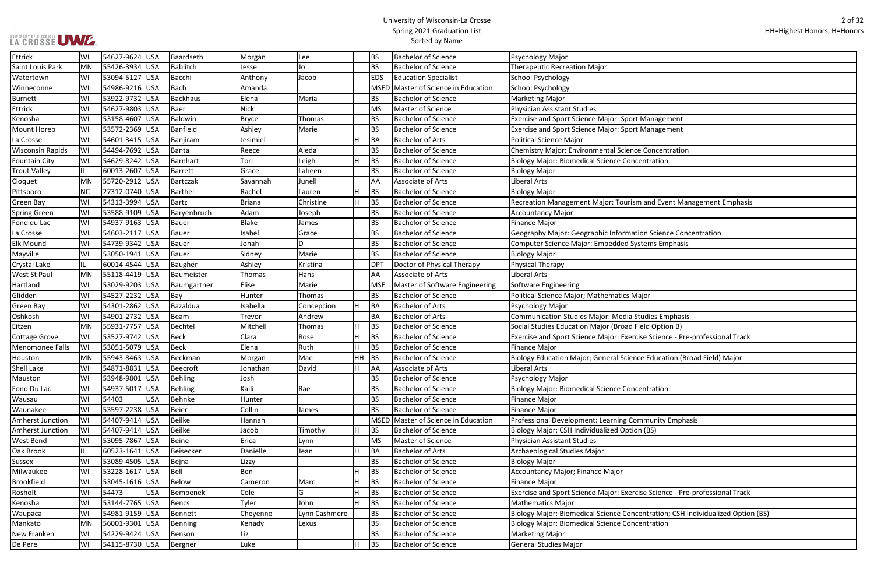|  |  | LA CROSSE UWE |
|--|--|---------------|

| <b>Management</b>                        |
|------------------------------------------|
| <b>Management</b>                        |
|                                          |
| Concentration                            |
| ntration                                 |
|                                          |
|                                          |
|                                          |
|                                          |
| and Event Management Emphasis            |
|                                          |
|                                          |
| n Science Concentration                  |
| ems Emphasis                             |
|                                          |
|                                          |
|                                          |
|                                          |
| jor                                      |
|                                          |
| udies Emphasis                           |
| Id Option B)                             |
| e Science - Pre-professional Track       |
|                                          |
| <b>Education (Broad Field) Major</b>     |
|                                          |
|                                          |
| ntration                                 |
|                                          |
|                                          |
|                                          |
| munity Emphasis                          |
| (BS)                                     |
|                                          |
|                                          |
|                                          |
|                                          |
|                                          |
| e Science - Pre-professional Track       |
|                                          |
| ntration; CSH Individualized Option (BS) |
| ntration                                 |
|                                          |
|                                          |

| <b>Ettrick</b>          | WI  | 54627-9624 USA |            | Baardseth    | Morgan        | Lee           |    | <b>BS</b>   | <b>Bachelor of Science</b>     | Psychology Major                                                                |
|-------------------------|-----|----------------|------------|--------------|---------------|---------------|----|-------------|--------------------------------|---------------------------------------------------------------------------------|
| Saint Louis Park        | MN  | 55426-3934 USA |            | Bablitch     | Jesse         | Jo            |    | <b>BS</b>   | <b>Bachelor of Science</b>     | <b>Therapeutic Recreation Major</b>                                             |
| Watertown               | WI  | 53094-5127 USA |            | Bacchi       | Anthony       | Jacob         |    | EDS         | <b>Education Specialist</b>    | <b>School Psychology</b>                                                        |
| Winneconne              | WI  | 54986-9216 USA |            | Bach         | Amanda        |               |    | <b>MSED</b> | Master of Science in Education | <b>School Psychology</b>                                                        |
| Burnett                 | WI  | 53922-9732 USA |            | Backhaus     | Elena         | Maria         |    | BS.         | <b>Bachelor of Science</b>     | <b>Marketing Major</b>                                                          |
| <b>Ettrick</b>          | WI  | 54627-9803 USA |            | Baer         | <b>Nick</b>   |               |    | <b>MS</b>   | <b>Master of Science</b>       | <b>Physician Assistant Studies</b>                                              |
| Kenosha                 | WI  | 53158-4607 USA |            | Baldwin      | <b>Bryce</b>  | Thomas        |    | <b>BS</b>   | <b>Bachelor of Science</b>     | <b>Exercise and Sport Science Major: Sport Management</b>                       |
| Mount Horeb             | WI  | 53572-2369 USA |            | Banfield     | Ashley        | Marie         |    | <b>BS</b>   | <b>Bachelor of Science</b>     | Exercise and Sport Science Major: Sport Management                              |
| La Crosse               | WI  | 54601-3415 USA |            | Banjiram     | Jesimiel      |               | H  | BA          | <b>Bachelor of Arts</b>        | <b>Political Science Major</b>                                                  |
| <b>Wisconsin Rapids</b> | lWI | 54494-7692 USA |            | Banta        | Reece         | Aleda         |    | <b>BS</b>   | <b>Bachelor of Science</b>     | <b>Chemistry Major: Environmental Science Concentration</b>                     |
| <b>Fountain City</b>    | WI  | 54629-8242 USA |            | Barnhart     | Tori          | Leigh         | H  | <b>BS</b>   | <b>Bachelor of Science</b>     | <b>Biology Major: Biomedical Science Concentration</b>                          |
| <b>Trout Valley</b>     |     | 60013-2607 USA |            | Barrett      | Grace         | Laheen        |    | <b>BS</b>   | <b>Bachelor of Science</b>     | <b>Biology Major</b>                                                            |
| Cloquet                 | IMN | 55720-2912 USA |            | Bartczak     | Savannah      | Junell        |    | AA          | Associate of Arts              | Liberal Arts                                                                    |
| Pittsboro               | NC  | 27312-0740 USA |            | Barthel      | Rachel        | Lauren        | H  | <b>BS</b>   | <b>Bachelor of Science</b>     | <b>Biology Major</b>                                                            |
| <b>Green Bay</b>        | WI  | 54313-3994 USA |            | Bartz        | <b>Briana</b> | Christine     | H  | <b>BS</b>   | <b>Bachelor of Science</b>     | Recreation Management Major: Tourism and Event Management Emphasis              |
| Spring Green            | WI  | 53588-9109 USA |            | Baryenbruch  | Adam          | Joseph        |    | <b>BS</b>   | <b>Bachelor of Science</b>     | <b>Accountancy Major</b>                                                        |
| Fond du Lac             | WI  | 54937-9163 USA |            | Bauer        | <b>Blake</b>  | James         |    | <b>BS</b>   | <b>Bachelor of Science</b>     | <b>Finance Major</b>                                                            |
| La Crosse               | WI  | 54603-2117 USA |            | <b>Bauer</b> | Isabel        | Grace         |    | <b>BS</b>   | <b>Bachelor of Science</b>     | Geography Major: Geographic Information Science Concentration                   |
| <b>Elk Mound</b>        | WI  | 54739-9342 USA |            | Bauer        | Jonah         | ח             |    | <b>BS</b>   | <b>Bachelor of Science</b>     | Computer Science Major: Embedded Systems Emphasis                               |
| Mayville                | WI  | 53050-1941 USA |            | Bauer        | Sidney        | Marie         |    | <b>BS</b>   | <b>Bachelor of Science</b>     | <b>Biology Major</b>                                                            |
| Crystal Lake            |     | 60014-4544 USA |            | Baugher      | Ashley        | Kristina      |    | <b>DPT</b>  | Doctor of Physical Therapy     | Physical Therapy                                                                |
| <b>West St Paul</b>     | MN  | 55118-4419 USA |            | Baumeister   | Thomas        | Hans          |    | AA          | Associate of Arts              | Liberal Arts                                                                    |
| Hartland                | WI  | 53029-9203 USA |            | Baumgartner  | Elise         | Marie         |    | <b>MSE</b>  | Master of Software Engineering | Software Engineering                                                            |
| Glidden                 | WI  | 54527-2232 USA |            | $\vert$ Bay  | Hunter        | Thomas        |    | <b>BS</b>   | <b>Bachelor of Science</b>     | Political Science Major; Mathematics Major                                      |
| <b>Green Bay</b>        | WI  | 54301-2862 USA |            | Bazaldua     | Isabella      | Concepcion    | H  | BA          | <b>Bachelor of Arts</b>        | Psychology Major                                                                |
| Oshkosh                 | WI  | 54901-2732 USA |            | Beam         | Trevor        | Andrew        |    | BA          | <b>Bachelor of Arts</b>        | Communication Studies Major: Media Studies Emphasis                             |
| Eitzen                  | MN  | 55931-7757 USA |            | Bechtel      | Mitchell      | Thomas        | H  | <b>BS</b>   | <b>Bachelor of Science</b>     | Social Studies Education Major (Broad Field Option B)                           |
| Cottage Grove           | WI  | 53527-9742 USA |            | Beck         | Clara         | Rose          | H  | <b>BS</b>   | <b>Bachelor of Science</b>     | Exercise and Sport Science Major: Exercise Science - Pre-professional Track     |
| Menomonee Falls         | WI  | 53051-5079 USA |            | Beck         | Elena         | Ruth          | H  | <b>BS</b>   | <b>Bachelor of Science</b>     | <b>Finance Major</b>                                                            |
| Houston                 | MN  | 55943-8463 USA |            | Beckman      | Morgan        | Mae           | HH | <b>BS</b>   | <b>Bachelor of Science</b>     | Biology Education Major; General Science Education (Broad Field) Major          |
| <b>Shell Lake</b>       | WI  | 54871-8831 USA |            | Beecroft     | Jonathan      | David         | H  | <b>AA</b>   | <b>Associate of Arts</b>       | Liberal Arts                                                                    |
| Mauston                 | WI  | 53948-9801 USA |            | Behling      | Josh          |               |    | <b>BS</b>   | <b>Bachelor of Science</b>     | Psychology Major                                                                |
| Fond Du Lac             | WI  | 54937-5017 USA |            | Behling      | Kalli         | Rae           |    | <b>BS</b>   | <b>Bachelor of Science</b>     | <b>Biology Major: Biomedical Science Concentration</b>                          |
| Wausau                  | lwi | 54403          | <b>USA</b> | Behnke       | Hunter        |               |    | <b>BS</b>   | <b>Bachelor of Science</b>     | Finance Major                                                                   |
| Waunakee                | WI  | 53597-2238 USA |            | Beier        | Collin        | James         |    | <b>BS</b>   | <b>Bachelor of Science</b>     | <b>Finance Major</b>                                                            |
| Amherst Junction        | lWI | 54407-9414 USA |            | Beilke       | Hannah        |               |    | <b>MSED</b> | Master of Science in Education | Professional Development: Learning Community Emphasis                           |
| <b>Amherst Junction</b> | WI  | 54407-9414 USA |            | Beilke       | Jacob         | Timothy       | H  | <b>BS</b>   | <b>Bachelor of Science</b>     | Biology Major; CSH Individualized Option (BS)                                   |
| <b>West Bend</b>        | WI  | 53095-7867 USA |            | Beine        | Erica         | Lynn          |    | <b>MS</b>   | Master of Science              | <b>Physician Assistant Studies</b>                                              |
| Oak Brook               | IL  | 60523-1641 USA |            | Beisecker    | Danielle      | Jean          | H  | BA          | <b>Bachelor of Arts</b>        | Archaeological Studies Major                                                    |
| <b>Sussex</b>           | WI  | 53089-4505 USA |            | Bejna        | Lizzy         |               |    | <b>BS</b>   | <b>Bachelor of Science</b>     | <b>Biology Major</b>                                                            |
| Milwaukee               | WI  | 53228-1617 USA |            | Bell         | Ben           |               | H  | <b>BS</b>   | <b>Bachelor of Science</b>     | <b>Accountancy Major; Finance Major</b>                                         |
| <b>Brookfield</b>       | WI  | 53045-1616 USA |            | Below        | Cameron       | Marc          | H  | <b>BS</b>   | <b>Bachelor of Science</b>     | <b>Finance Major</b>                                                            |
| Rosholt                 | lwi | 54473          | <b>USA</b> | Bembenek     | Cole          | G             | H  | <b>BS</b>   | <b>Bachelor of Science</b>     | Exercise and Sport Science Major: Exercise Science - Pre-professional Track     |
| Kenosha                 | WI  | 53144-7765 USA |            | Bencs        | Tyler         | John          | H  | <b>BS</b>   | <b>Bachelor of Science</b>     | <b>Mathematics Major</b>                                                        |
| Waupaca                 | lwi | 54981-9159 USA |            | Bennett      | Cheyenne      | Lynn Cashmere |    | <b>BS</b>   | <b>Bachelor of Science</b>     | Biology Major: Biomedical Science Concentration; CSH Individualized Option (BS) |
| Mankato                 | MN  | 56001-9301 USA |            | Benning      | Kenady        | Lexus         |    | <b>BS</b>   | <b>Bachelor of Science</b>     | <b>Biology Major: Biomedical Science Concentration</b>                          |
| New Franken             | WI  | 54229-9424 USA |            | Benson       | Liz           |               |    | <b>BS</b>   | <b>Bachelor of Science</b>     | <b>Marketing Major</b>                                                          |
| De Pere                 | WI  | 54115-8730 USA |            | Bergner      | Luke          |               | H  | <b>BS</b>   | <b>Bachelor of Science</b>     | <b>General Studies Major</b>                                                    |
|                         |     |                |            |              |               |               |    |             |                                |                                                                                 |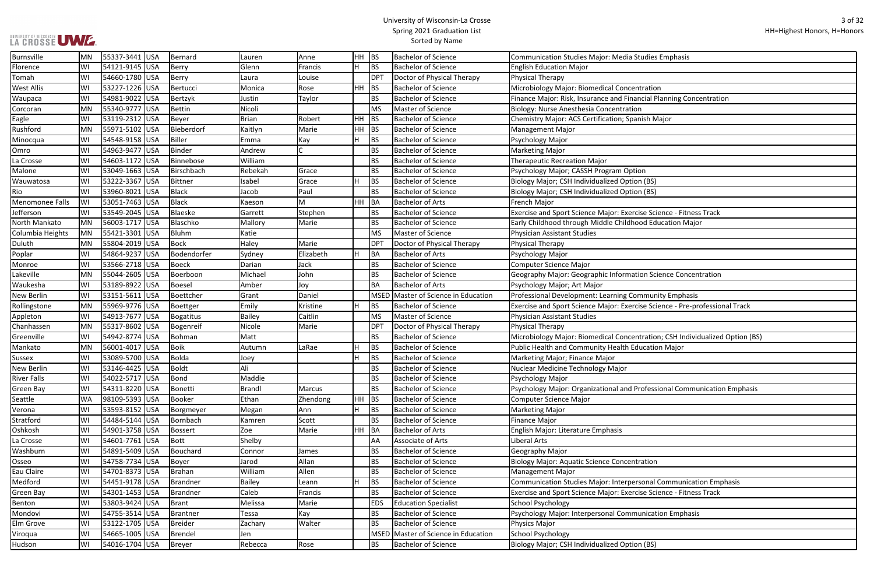# UNIVERSITY OF WISCONSIN<br>LA CROSSE UWE

| udies Emphasis                          |
|-----------------------------------------|
|                                         |
|                                         |
| tration                                 |
| ncial Planning Concentration            |
| ٦                                       |
| ish Major                               |
|                                         |
|                                         |
|                                         |
|                                         |
| ρn                                      |
| า (BS)                                  |
| า (BS)                                  |
|                                         |
| se Science - Fitness Track              |
| od Education Major                      |
|                                         |
|                                         |
|                                         |
|                                         |
| on Science Concentration                |
|                                         |
| nmunity Emphasis                        |
| se Science - Pre-professional Track     |
|                                         |
|                                         |
| tration; CSH Individualized Option (BS) |
| ucation Major                           |
|                                         |
|                                         |
|                                         |
| ofessional Communication Emphasis       |
|                                         |
|                                         |
|                                         |
|                                         |
|                                         |
| ation                                   |
|                                         |
| sonal Communication Emphasis            |
| se Science - Fitness Track              |
|                                         |
| unication Emphasis                      |
|                                         |
|                                         |
|                                         |

| Burnsville         | MN        | 55337-3441 USA | Bernard     | Lauren        | Anne      | HH.       | <b>BS</b>       | <b>Bachelor of Science</b>            | <b>Communication Studies Major: Media Studies Emphasis</b>                   |
|--------------------|-----------|----------------|-------------|---------------|-----------|-----------|-----------------|---------------------------------------|------------------------------------------------------------------------------|
| Florence           | WI        | 54121-9145 USA | Berry       | Glenn         | Francis   | H         | <b>BS</b>       | <b>Bachelor of Science</b>            | <b>English Education Major</b>                                               |
| Tomah              | WI        | 54660-1780 USA | Berry       | Laura         | Louise    |           | DP <sub>1</sub> | Doctor of Physical Therapy            | <b>Physical Therapy</b>                                                      |
| <b>West Allis</b>  | WI        | 53227-1226 USA | Bertucci    | Monica        | Rose      | HH        | <b>BS</b>       | <b>Bachelor of Science</b>            | Microbiology Major: Biomedical Concentration                                 |
| Waupaca            | WI        | 54981-9022 USA | Bertzyk     | Justin        | Taylor    |           | <b>BS</b>       | <b>Bachelor of Science</b>            | Finance Major: Risk, Insurance and Financial Planning Concentration          |
| Corcoran           | MN        | 55340-9777 USA | Bettin      | Nicoli        |           |           | <b>MS</b>       | Master of Science                     | Biology: Nurse Anesthesia Concentration                                      |
| Eagle              | WI        | 53119-2312 USA | Beyer       | <b>Brian</b>  | Robert    | HH        | BS              | <b>Bachelor of Science</b>            | Chemistry Major: ACS Certification; Spanish Major                            |
| Rushford           | <b>MN</b> | 55971-5102 USA | Bieberdorf  | Kaitlyn       | Marie     | HH        | <b>BS</b>       | <b>Bachelor of Science</b>            | <b>Management Major</b>                                                      |
| Minocqua           | WI        | 54548-9158 USA | Biller      | Emma          | Kay       | H         | <b>BS</b>       | <b>Bachelor of Science</b>            | Psychology Major                                                             |
| Omro               | WI        | 54963-9477 USA | Binder      | Andrew        |           |           | <b>BS</b>       | <b>Bachelor of Science</b>            | <b>Marketing Major</b>                                                       |
| La Crosse          | WI        | 54603-1172 USA | Binnebose   | William       |           |           | <b>BS</b>       | <b>Bachelor of Science</b>            | Therapeutic Recreation Major                                                 |
| Malone             | WI        | 53049-1663 USA | Birschbach  | Rebekah       | Grace     |           | <b>BS</b>       | <b>Bachelor of Science</b>            | Psychology Major; CASSH Program Option                                       |
| Wauwatosa          | WI        | 53222-3367 USA | Bittner     | Isabel        | Grace     | H         | <b>BS</b>       | <b>Bachelor of Science</b>            | Biology Major; CSH Individualized Option (BS)                                |
| Rio                | WI        | 53960-8021 USA | Black       | Jacob         | Paul      |           | <b>BS</b>       | <b>Bachelor of Science</b>            | Biology Major; CSH Individualized Option (BS)                                |
| Menomonee Falls    | lWI       | 53051-7463 USA | Black       | Kaeson        | M         | <b>HH</b> | BA              | <b>Bachelor of Arts</b>               | French Major                                                                 |
| Jefferson          | WI        | 53549-2045 USA | Blaeske     | Garrett       | Stephen   |           | <b>BS</b>       | <b>Bachelor of Science</b>            | Exercise and Sport Science Major: Exercise Science - Fitness Track           |
| North Mankato      | MN        | 56003-1717 USA | Blaschko    | Mallory       | Marie     |           | <b>BS</b>       | <b>Bachelor of Science</b>            | Early Childhood through Middle Childhood Education Major                     |
| Columbia Heights   | MN        | 55421-3301 USA | Bluhm       | Katie         |           |           | <b>MS</b>       | Master of Science                     | Physician Assistant Studies                                                  |
| Duluth             | IMN       | 55804-2019 USA | Bock        | Haley         | Marie     |           | DP <sub>1</sub> | Doctor of Physical Therapy            | Physical Therapy                                                             |
| Poplar             | WI        | 54864-9237 USA | Bodendorfer | Sydney        | Elizabeth | H         | BA              | <b>Bachelor of Arts</b>               | Psychology Major                                                             |
| Monroe             | WI        | 53566-2718 USA | Boeck       | Darian        | Jack      |           | <b>BS</b>       | <b>Bachelor of Science</b>            | Computer Science Major                                                       |
| Lakeville          | MN        | 55044-2605 USA | Boerboon    | Michael       | John      |           | BS              | <b>Bachelor of Science</b>            | Geography Major: Geographic Information Science Concentration                |
| Waukesha           | WI        | 53189-8922 USA | Boesel      | Amber         | Joy       |           | <b>BA</b>       | <b>Bachelor of Arts</b>               | Psychology Major; Art Major                                                  |
| New Berlin         | WI        | 53151-5611 USA | Boettcher   | Grant         | Daniel    |           |                 | MSED   Master of Science in Education | Professional Development: Learning Community Emphasis                        |
| Rollingstone       | MN        | 55969-9776 USA | Boettger    | Emily         | Kristine  | H         | <b>BS</b>       | <b>Bachelor of Science</b>            | Exercise and Sport Science Major: Exercise Science - Pre-professional Track  |
| Appleton           | WI        | 54913-7677 USA | Bogatitus   | Bailey        | Caitlin   |           | <b>MS</b>       | Master of Science                     | Physician Assistant Studies                                                  |
| Chanhassen         | <b>MN</b> | 55317-8602 USA | Bogenreif   | Nicole        | Marie     |           | DP <sub>1</sub> | Doctor of Physical Therapy            | Physical Therapy                                                             |
| Greenville         | WI        | 54942-8774 USA | Bohman      | Matt          |           |           | <b>BS</b>       | <b>Bachelor of Science</b>            | Microbiology Major: Biomedical Concentration; CSH Individualized Option (BS) |
| Mankato            | MN        | 56001-4017 USA | Boik        | Autumn        | LaRae     | H         | <b>BS</b>       | <b>Bachelor of Science</b>            | Public Health and Community Health Education Major                           |
| <b>Sussex</b>      | WI        | 53089-5700 USA | Bolda       | Joey          |           |           | <b>BS</b>       | <b>Bachelor of Science</b>            | Marketing Major; Finance Major                                               |
| <b>New Berlin</b>  | WI        | 53146-4425 USA | Boldt       | Ali           |           |           | <b>BS</b>       | <b>Bachelor of Science</b>            | Nuclear Medicine Technology Major                                            |
| <b>River Falls</b> | WI        | 54022-5717 USA | Bond        | Maddie        |           |           | <b>BS</b>       | <b>Bachelor of Science</b>            | Psychology Major                                                             |
| <b>Green Bay</b>   | WI        | 54311-8220 USA | Bonetti     | <b>Brandl</b> | Marcus    |           | <b>BS</b>       | <b>Bachelor of Science</b>            | Psychology Major: Organizational and Professional Communication Emphasis     |
| Seattle            | <b>WA</b> | 98109-5393 USA | Booker      | Ethan         | Zhendong  | HH.       | <b>BS</b>       | <b>Bachelor of Science</b>            | <b>Computer Science Major</b>                                                |
| Verona             | WI        | 53593-8152 USA | Borgmeyer   | Megan         | Ann       | H         | <b>BS</b>       | <b>Bachelor of Science</b>            | <b>Marketing Major</b>                                                       |
| Stratford          | WI        | 54484-5144 USA | Bornbach    | Kamren        | Scott     |           | <b>BS</b>       | <b>Bachelor of Science</b>            | <b>Finance Major</b>                                                         |
| Oshkosh            | WI        | 54901-3758 USA | Bossert     | Zoe           | Marie     | HH        | <b>BA</b>       | <b>Bachelor of Arts</b>               | English Major: Literature Emphasis                                           |
| La Crosse          | WI        | 54601-7761 USA | Bott        | Shelby        |           |           | AA              | Associate of Arts                     | Liberal Arts                                                                 |
| Washburn           | WI        | 54891-5409 USA | Bouchard    | Connor        | James     |           | BS              | <b>Bachelor of Science</b>            | Geography Major                                                              |
| Osseo              | lwi       | 54758-7734 USA | Boyer       | Jarod         | Allan     |           | <b>BS</b>       | <b>Bachelor of Science</b>            | Biology Major: Aquatic Science Concentration                                 |
| Eau Claire         | WI        | 54701-8373 USA | Brahan      | William       | Allen     |           | <b>BS</b>       | <b>Bachelor of Science</b>            | <b>Management Major</b>                                                      |
| Medford            | WI        | 54451-9178 USA | Brandner    | <b>Bailey</b> | Leann     | H         | <b>BS</b>       | <b>Bachelor of Science</b>            | Communication Studies Major: Interpersonal Communication Emphasis            |
| <b>Green Bay</b>   | WI        | 54301-1453 USA | Brandner    | Caleb         | Francis   |           | <b>BS</b>       | <b>Bachelor of Science</b>            | Exercise and Sport Science Major: Exercise Science - Fitness Track           |
| Benton             | WI        | 53803-9424 USA | Brant       | Melissa       | Marie     |           | <b>EDS</b>      | <b>Education Specialist</b>           | School Psychology                                                            |
| Mondovi            | WI        | 54755-3514 USA | Brantner    | Tessa         | Kay       |           | <b>BS</b>       | <b>Bachelor of Science</b>            | Psychology Major: Interpersonal Communication Emphasis                       |
| Elm Grove          | lWI       | 53122-1705 USA | Breider     | Zachary       | Walter    |           | BS              | <b>Bachelor of Science</b>            | Physics Major                                                                |
| Viroqua            | WI        | 54665-1005 USA | Brendel     | Jen           |           |           |                 | MSED Master of Science in Education   | School Psychology                                                            |
| Hudson             | WI        | 54016-1704 USA | Breyer      | Rebecca       | Rose      |           | BS              | <b>Bachelor of Science</b>            | Biology Major; CSH Individualized Option (BS)                                |
|                    |           |                |             |               |           |           |                 |                                       |                                                                              |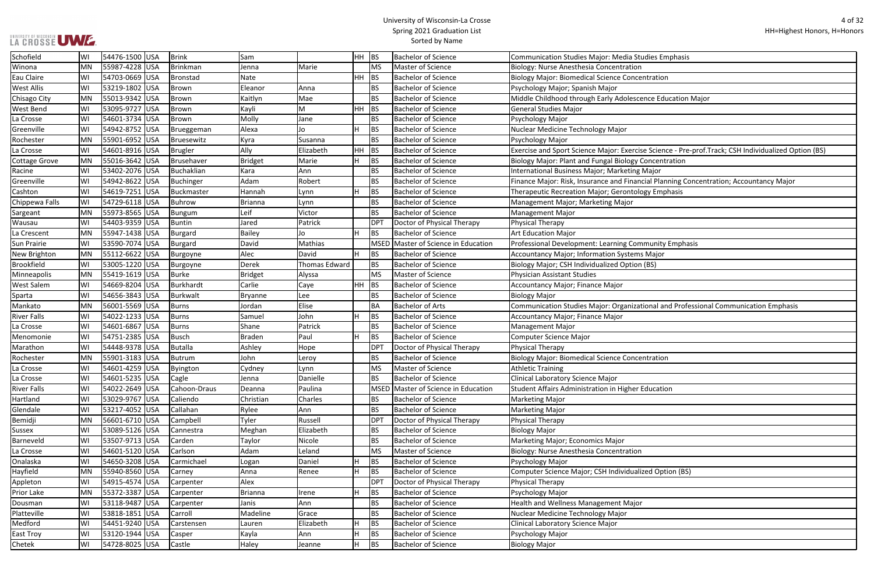#### University of Wisconsin-La Crosse Spring 2021 Graduation List Sorted by Name

cence Education Major

ise Science - Pre-prof.Track; CSH Individualized Option (BS)

ncial Planning Concentration; Accountancy Major: Risk, Insurance and Finance Planning Concentration; Accountancy

tional and Professional Communication Emphasis

| Schofield          | WI        | 54476-1500 USA   | Brink        | Sam            |                      | HH BS |                 | <b>Bachelor of Science</b>          | <b>Communication Studies Major: Media Studies Emphasis</b>  |
|--------------------|-----------|------------------|--------------|----------------|----------------------|-------|-----------------|-------------------------------------|-------------------------------------------------------------|
| Winona             | <b>MN</b> | 55987-4228 USA   | Brinkman     | Jenna          | Marie                |       | <b>MS</b>       | Master of Science                   | Biology: Nurse Anesthesia Concentration                     |
| Eau Claire         | WI        | 54703-0669 USA   | Bronstad     | Nate           |                      | HH.   | <b>BS</b>       | <b>Bachelor of Science</b>          | <b>Biology Major: Biomedical Science Concentration</b>      |
| <b>West Allis</b>  | WI        | 53219-1802 USA   | Brown        | Eleanor        | Anna                 |       | <b>BS</b>       | <b>Bachelor of Science</b>          | Psychology Major; Spanish Major                             |
| Chisago City       | MN        | 55013-9342 USA   | Brown        | Kaitlyn        | Mae                  |       | <b>BS</b>       | <b>Bachelor of Science</b>          | Middle Childhood through Early Adolescence Education M      |
| <b>West Bend</b>   | WI        | 53095-9727 USA   | Brown        | Kayli          | M                    | HH.   | <b>BS</b>       | <b>Bachelor of Science</b>          | <b>General Studies Major</b>                                |
| La Crosse          | WI        | 54601-3734 USA   | Brown        | Molly          | Jane                 |       | <b>BS</b>       | <b>Bachelor of Science</b>          | Psychology Major                                            |
| Greenville         | WI        | 54942-8752 USA   | Brueggeman   | Alexa          | Jo                   | lΗ    | <b>BS</b>       | <b>Bachelor of Science</b>          | Nuclear Medicine Technology Major                           |
| Rochester          | MN        | 55901-6952 USA   | Bruesewitz   | Kyra           | Susanna              |       | <b>BS</b>       | <b>Bachelor of Science</b>          | Psychology Major                                            |
| La Crosse          | WI        | 54601-8916 USA   | Brugler      | Ally           | Elizabeth            | HH    | <b>BS</b>       | <b>Bachelor of Science</b>          | Exercise and Sport Science Major: Exercise Science - Pre-pi |
| Cottage Grove      | MN        | 55016-3642 USA   | Brusehaver   | <b>Bridget</b> | Marie                |       | <b>BS</b>       | <b>Bachelor of Science</b>          | Biology Major: Plant and Fungal Biology Concentration       |
| Racine             | WI        | 53402-2076 USA   | Buchaklian   | Kara           | Ann                  |       | <b>BS</b>       | <b>Bachelor of Science</b>          | International Business Major; Marketing Major               |
| Greenville         | WI        | 54942-8622 USA   | Buchinger    | Adam           | Robert               |       | <b>BS</b>       | <b>Bachelor of Science</b>          | Finance Major: Risk, Insurance and Financial Planning Cond  |
| Cashton            | WI        | 54619-7251 USA   | Buckmaster   | Hannah         | Lynn                 |       | <b>BS</b>       | <b>Bachelor of Science</b>          | Therapeutic Recreation Major; Gerontology Emphasis          |
| Chippewa Falls     | WI        | 54729-6118 USA   | Buhrow       | <b>Brianna</b> | Lynn                 |       | <b>BS</b>       | <b>Bachelor of Science</b>          | Management Major; Marketing Major                           |
| Sargeant           | MN        | 55973-8565 USA   | Bungum       | Leif           | Victor               |       | <b>BS</b>       | <b>Bachelor of Science</b>          | Management Major                                            |
| Wausau             | WI        | 54403-9359 USA   | Buntin       | Jared          | Patrick              |       | <b>DPT</b>      | Doctor of Physical Therapy          | <b>Physical Therapy</b>                                     |
| La Crescent        | MN        | 55947-1438 USA   | Burgard      | <b>Bailey</b>  | Jo                   | ΙH    | BS              | <b>Bachelor of Science</b>          | <b>Art Education Major</b>                                  |
| <b>Sun Prairie</b> | WI        | 53590-7074 USA   | Burgard      | David          | Mathias              |       |                 | MSED Master of Science in Education | Professional Development: Learning Community Emphasis       |
| New Brighton       | MN        | 55112-6622 USA   | Burgoyne     | Alec           | David                |       | BS              | <b>Bachelor of Science</b>          | Accountancy Major; Information Systems Major                |
| Brookfield         | WI        | 53005-1220 USA   | Burgoyne     | Derek          | <b>Thomas Edward</b> |       | <b>BS</b>       | <b>Bachelor of Science</b>          | Biology Major; CSH Individualized Option (BS)               |
| Minneapolis        | MN        | 55419-1619 USA   | Burke        | <b>Bridget</b> | Alyssa               |       | <b>MS</b>       | Master of Science                   | <b>Physician Assistant Studies</b>                          |
| <b>West Salem</b>  | WI        | 54669-8204 USA   | Burkhardt    | Carlie         | Caye                 | HH.   | BS              | <b>Bachelor of Science</b>          | Accountancy Major; Finance Major                            |
| Sparta             | WI        | 54656-3843 USA   | Burkwalt     | <b>Bryanne</b> | Lee                  |       | <b>BS</b>       | <b>Bachelor of Science</b>          | <b>Biology Major</b>                                        |
| Mankato            | <b>MN</b> | 56001-5569 USA   | Burns        | Jordan         | Elise                |       | <b>BA</b>       | <b>Bachelor of Arts</b>             | Communication Studies Major: Organizational and Profess     |
| <b>River Falls</b> | WI        | 54022-1233 USA   | Burns        | Samuel         | John                 | Iн    | <b>BS</b>       | <b>Bachelor of Science</b>          | Accountancy Major; Finance Major                            |
| La Crosse          | WI        | 54601-6867 USA   | Burns        | Shane          | Patrick              |       | <b>BS</b>       | <b>Bachelor of Science</b>          | <b>Management Major</b>                                     |
| Menomonie          | WI        | 54751-2385 USA   | Busch        | <b>Braden</b>  | Paul                 | lн    | <b>BS</b>       | <b>Bachelor of Science</b>          | Computer Science Major                                      |
| Marathon           | WI        | 54448-9378 USA   | Butalla      | Ashley         | Hope                 |       | <b>DPT</b>      | Doctor of Physical Therapy          | Physical Therapy                                            |
| Rochester          | MN        | 55901-3183 USA   | Butrum       | John           | Leroy                |       | <b>BS</b>       | <b>Bachelor of Science</b>          | <b>Biology Major: Biomedical Science Concentration</b>      |
| La Crosse          | WI        | 54601-4259 USA   | Byington     | Cydney         | Lynn                 |       | <b>MS</b>       | <b>Master of Science</b>            | <b>Athletic Training</b>                                    |
| La Crosse          | WI        | 54601-5235 USA   | Cagle        | Jenna          | Danielle             |       | BS              | <b>Bachelor of Science</b>          | Clinical Laboratory Science Major                           |
| <b>River Falls</b> | WI        | 54022-2649 USA   | Cahoon-Draus | Deanna         | Paulina              |       |                 | MSED Master of Science in Education | Student Affairs Administration in Higher Education          |
| Hartland           | WI        | 53029-9767 USA   | Caliendo     | Christian      | Charles              |       | BS              | <b>Bachelor of Science</b>          | <b>Marketing Major</b>                                      |
| Glendale           | WI        | 53217-4052 USA   | Callahan     | Rylee          | Ann                  |       | <b>BS</b>       | <b>Bachelor of Science</b>          | <b>Marketing Major</b>                                      |
| Bemidji            | <b>MN</b> | 56601-6710 USA   | Campbell     | Tyler          | Russell              |       | DP <sub>1</sub> | Doctor of Physical Therapy          | Physical Therapy                                            |
| <b>Sussex</b>      | WI        | 53089-5126 USA   | Cannestra    | Meghan         | Elizabeth            |       | BS              | <b>Bachelor of Science</b>          | <b>Biology Major</b>                                        |
| Barneveld          | WI        | 53507-9713   USA | Carden       | Taylor         | Nicole               |       | <b>BS</b>       | <b>Bachelor of Science</b>          | Marketing Major; Economics Major                            |
| La Crosse          | WI        | 54601-5120 USA   | Carlson      | Adam           | Leland               |       | <b>MS</b>       | Master of Science                   | Biology: Nurse Anesthesia Concentration                     |
| Onalaska           | WI        | 54650-3208 USA   | Carmichael   | Logan          | Daniel               |       | BS              | <b>Bachelor of Science</b>          | Psychology Major                                            |
| Hayfield           | <b>MN</b> | 55940-8560 USA   | Carney       | Anna           | Renee                | ΙH    | <b>BS</b>       | <b>Bachelor of Science</b>          | Computer Science Major; CSH Individualized Option (BS)      |
| Appleton           | WI        | 54915-4574 USA   | Carpenter    | Alex           |                      |       | <b>DPT</b>      | Doctor of Physical Therapy          | <b>Physical Therapy</b>                                     |
| <b>Prior Lake</b>  | <b>MN</b> | 55372-3387 USA   | Carpenter    | <b>Brianna</b> | Irene                |       | <b>BS</b>       | <b>Bachelor of Science</b>          | Psychology Major                                            |
| Dousman            | WI        | 53118-9487 USA   | Carpenter    | Janis          | Ann                  |       | <b>BS</b>       | <b>Bachelor of Science</b>          | Health and Wellness Management Major                        |
| Platteville        | WI        | 53818-1851 USA   | Carroll      | Madeline       | Grace                |       | <b>BS</b>       | <b>Bachelor of Science</b>          | Nuclear Medicine Technology Major                           |
| Medford            | WI        | 54451-9240 USA   | Carstensen   | Lauren         | Elizabeth            |       | <b>BS</b>       | <b>Bachelor of Science</b>          | Clinical Laboratory Science Major                           |
| <b>East Troy</b>   | WI        | 53120-1944 USA   | Casper       | Kayla          | Ann                  |       | <b>BS</b>       | <b>Bachelor of Science</b>          | Psychology Major                                            |
|                    | WI        | 54728-8025 USA   | Castle       |                |                      | lн    | BS              | <b>Bachelor of Science</b>          |                                                             |
| Chetek             |           |                  |              | Haley          | Jeanne               |       |                 |                                     | Biology Major                                               |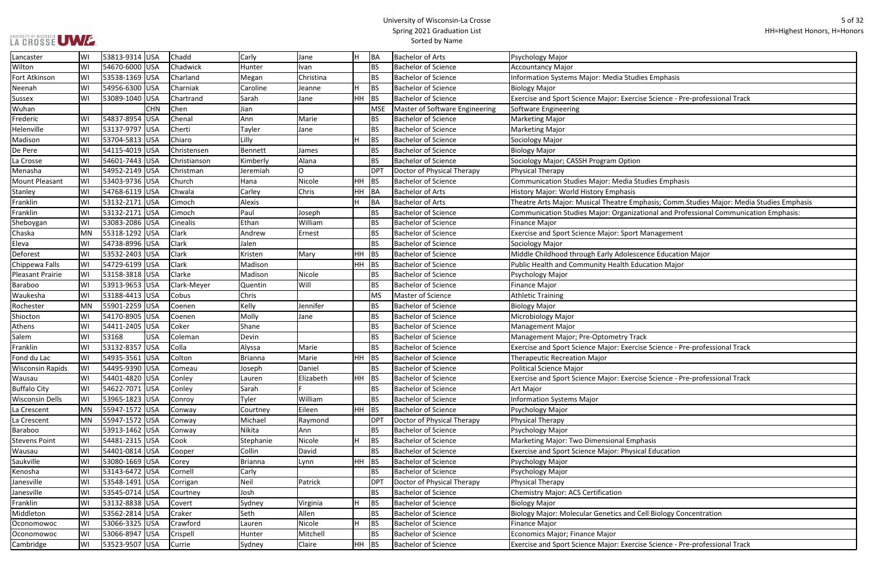#### University of Wisconsin-La Crosse Spring 2021 Graduation List Sorted by Name

se Science - Pre-professional Track phasis; Comm.Studies Major: Media Studies Emphasis tional and Professional Communication Emphasis: ence Education Major se Science - Pre-professional Track se Science - Pre-professional Track Cell Biology Concentration

se Science - Pre-professional Track

| Lancaster               | WI        | 53813-9314 USA |            | Chadd        | Carly          | Jane      | H       | BA         | <b>Bachelor of Arts</b>        | Psychology Major                                            |
|-------------------------|-----------|----------------|------------|--------------|----------------|-----------|---------|------------|--------------------------------|-------------------------------------------------------------|
| Wilton                  | WI        | 54670-6000 USA |            | Chadwick     | Hunter         | Ivan      |         | <b>BS</b>  | <b>Bachelor of Science</b>     | <b>Accountancy Major</b>                                    |
| Fort Atkinson           | WI        | 53538-1369 USA |            | Charland     | Megan          | Christina |         | <b>BS</b>  | <b>Bachelor of Science</b>     | Information Systems Major: Media Studies Emphasis           |
| Neenah                  | WI        | 54956-6300 USA |            | Charniak     | Caroline       | Jeanne    | H.      | <b>BS</b>  | <b>Bachelor of Science</b>     | <b>Biology Major</b>                                        |
| <b>Sussex</b>           | WI        | 53089-1040 USA |            | Chartrand    | Sarah          | Jane      | HH      | <b>BS</b>  | <b>Bachelor of Science</b>     | Exercise and Sport Science Major: Exercise Science - Pre-   |
| Wuhan                   |           |                | <b>CHN</b> | Chen         | Jian           |           |         | <b>MSE</b> | Master of Software Engineering | Software Engineering                                        |
| Frederic                | W١        | 54837-8954 USA |            | Chenal       | Ann            | Marie     |         | <b>BS</b>  | <b>Bachelor of Science</b>     | Marketing Major                                             |
| Helenville              | WI        | 53137-9797 USA |            | Cherti       | Tayler         | Jane      |         | <b>BS</b>  | <b>Bachelor of Science</b>     | <b>Marketing Major</b>                                      |
| Madison                 | WI        | 53704-5813 USA |            | Chiaro       | Lilly          |           | H.      | <b>BS</b>  | <b>Bachelor of Science</b>     | Sociology Major                                             |
| De Pere                 | WI        | 54115-4019 USA |            | Christensen  | Bennett        | James     |         | <b>BS</b>  | <b>Bachelor of Science</b>     | <b>Biology Major</b>                                        |
| La Crosse               | WI        | 54601-7443 USA |            | Christianson | Kimberly       | Alana     |         | <b>BS</b>  | <b>Bachelor of Science</b>     | Sociology Major; CASSH Program Option                       |
| Menasha                 | WI        | 54952-2149 USA |            | Christman    | Jeremiah       | $\Omega$  |         | <b>DPT</b> | Doctor of Physical Therapy     | Physical Therapy                                            |
| <b>Mount Pleasant</b>   | WI        | 53403-9736 USA |            | Church       | Hana           | Nicole    | HH      | <b>BS</b>  | <b>Bachelor of Science</b>     | <b>Communication Studies Major: Media Studies Emphasis</b>  |
| Stanley                 | WI        | 54768-6119 USA |            | Chwala       | Carley         | Chris     | HH      | <b>BA</b>  | <b>Bachelor of Arts</b>        | History Major: World History Emphasis                       |
| Franklin                | WI        | 53132-2171 USA |            | Cimoch       | Alexis         |           | H.      | BA         | <b>Bachelor of Arts</b>        | Theatre Arts Major: Musical Theatre Emphasis; Comm.St       |
| Franklin                | WI        | 53132-2171 USA |            | Cimoch       | Paul           | Joseph    |         | <b>BS</b>  | <b>Bachelor of Science</b>     | Communication Studies Major: Organizational and Profe       |
| Sheboygan               | WI        | 53083-2086 USA |            | Cinealis     | Ethan          | William   |         | <b>BS</b>  | <b>Bachelor of Science</b>     | <b>Finance Major</b>                                        |
| Chaska                  | <b>MN</b> | 55318-1292 USA |            | Clark        | Andrew         | Ernest    |         | <b>BS</b>  | <b>Bachelor of Science</b>     | <b>Exercise and Sport Science Major: Sport Management</b>   |
| Eleva                   | WI        | 54738-8996 USA |            | Clark        | Jalen          |           |         | <b>BS</b>  | <b>Bachelor of Science</b>     | Sociology Major                                             |
| Deforest                | WI        | 53532-2403 USA |            | Clark        | Kristen        | Mary      | HH      | <b>BS</b>  | <b>Bachelor of Science</b>     | Middle Childhood through Early Adolescence Education        |
| Chippewa Falls          | WI        | 54729-6199 USA |            | <b>Clark</b> | Madison        |           | HH      | <b>BS</b>  | <b>Bachelor of Science</b>     | Public Health and Community Health Education Major          |
| <b>Pleasant Prairie</b> | WI        | 53158-3818 USA |            | Clarke       | Madison        | Nicole    |         | <b>BS</b>  | <b>Bachelor of Science</b>     | Psychology Major                                            |
| <b>Baraboo</b>          | WI        | 53913-9653 USA |            | Clark-Meyer  | Quentin        | Will      |         | <b>BS</b>  | <b>Bachelor of Science</b>     | Finance Major                                               |
| Waukesha                | WI        | 53188-4413 USA |            | Cobus        | Chris          |           |         | <b>MS</b>  | Master of Science              | Athletic Training                                           |
| Rochester               | MN        | 55901-2259 USA |            | Coenen       | Kelly          | Jennifer  |         | <b>BS</b>  | <b>Bachelor of Science</b>     | <b>Biology Major</b>                                        |
| Shiocton                | WI        | 54170-8905 USA |            | Coenen       | Molly          | Jane      |         | <b>BS</b>  | <b>Bachelor of Science</b>     | Microbiology Major                                          |
| Athens                  | WI        | 54411-2405 USA |            | Coker        | Shane          |           |         | <b>BS</b>  | <b>Bachelor of Science</b>     | Management Major                                            |
| Salem                   | WI        | 53168          | <b>USA</b> | Coleman      | Devin          |           |         | <b>BS</b>  | <b>Bachelor of Science</b>     | Management Major; Pre-Optometry Track                       |
| Franklin                | WI        | 53132-8357 USA |            | Colla        | Alyssa         | Marie     |         | <b>BS</b>  | <b>Bachelor of Science</b>     | Exercise and Sport Science Major: Exercise Science - Pre-   |
| Fond du Lac             | WI        | 54935-3561 USA |            | Colton       | <b>Brianna</b> | Marie     | HН      | <b>BS</b>  | <b>Bachelor of Science</b>     | <b>Therapeutic Recreation Major</b>                         |
| <b>Wisconsin Rapids</b> | WI        | 54495-9390 USA |            | Comeau       | Joseph         | Daniel    |         | <b>BS</b>  | <b>Bachelor of Science</b>     | Political Science Major                                     |
| Wausau                  | WI        | 54401-4820 USA |            | Conley       | Lauren         | Elizabeth | $HH$ BS |            | <b>Bachelor of Science</b>     | Exercise and Sport Science Major: Exercise Science - Pre-   |
| <b>Buffalo City</b>     | WI        | 54622-7071 USA |            | Conley       | Sarah          |           |         | <b>BS</b>  | <b>Bachelor of Science</b>     | Art Major                                                   |
| <b>Wisconsin Dells</b>  | WI        | 53965-1823 USA |            | Conroy       | Tyler          | William   |         | <b>BS</b>  | <b>Bachelor of Science</b>     | Information Systems Major                                   |
| La Crescent             | MN        | 55947-1572 USA |            | Conway       | Courtney       | Eileen    | HH      | <b>BS</b>  | <b>Bachelor of Science</b>     | Psychology Major                                            |
| La Crescent             | MN        | 55947-1572 USA |            | Conway       | Michael        | Raymond   |         | <b>DPT</b> | Doctor of Physical Therapy     | Physical Therapy                                            |
| Baraboo                 | WI        | 53913-1462 USA |            | Conway       | Nikita         | Ann       |         | <b>BS</b>  | <b>Bachelor of Science</b>     | Psychology Major                                            |
| <b>Stevens Point</b>    | WI        | 54481-2315 USA |            | Cook         | Stephanie      | Nicole    | H.      | <b>BS</b>  | <b>Bachelor of Science</b>     | Marketing Major: Two Dimensional Emphasis                   |
| Wausau                  | WI        | 54401-0814 USA |            | Cooper       | Collin         | David     |         | <b>BS</b>  | <b>Bachelor of Science</b>     | <b>Exercise and Sport Science Major: Physical Education</b> |
| Saukville               | WI        | 53080-1669 USA |            | Corey        | <b>Brianna</b> | Lynn      | HH      | <b>BS</b>  | <b>Bachelor of Science</b>     | Psychology Major                                            |
| Kenosha                 | WI        | 53143-6472 USA |            | Cornell      | Carly          |           |         | <b>BS</b>  | <b>Bachelor of Science</b>     | Psychology Major                                            |
| Janesville              | WI        | 53548-1491 USA |            | Corrigan     | Neil           | Patrick   |         | <b>DPT</b> | Doctor of Physical Therapy     | Physical Therapy                                            |
| Janesville              | WI        | 53545-0714 USA |            | Courtney     | Josh           |           |         | <b>BS</b>  | <b>Bachelor of Science</b>     | Chemistry Major: ACS Certification                          |
| Franklin                | WI        | 53132-8838 USA |            | Covert       | Sydney         | Virginia  | Н.      | <b>BS</b>  | <b>Bachelor of Science</b>     | <b>Biology Major</b>                                        |
| Middleton               | WI        | 53562-2814 USA |            | Craker       | Seth           | Allen     |         | <b>BS</b>  | <b>Bachelor of Science</b>     | Biology Major: Molecular Genetics and Cell Biology Cond     |
| Oconomowoc              | WI        | 53066-3325 USA |            | Crawford     | Lauren         | Nicole    | Н.      | <b>BS</b>  | <b>Bachelor of Science</b>     | Finance Major                                               |
| Oconomowoc              | WI        | 53066-8947 USA |            | Crispell     | Hunter         | Mitchell  |         | <b>BS</b>  | <b>Bachelor of Science</b>     | Economics Major; Finance Major                              |
| Cambridge               | WI        | 53523-9507 USA |            | Currie       | Sydney         | Claire    | HH      | BS         | <b>Bachelor of Science</b>     | Exercise and Sport Science Major: Exercise Science - Pre-   |
|                         |           |                |            |              |                |           |         |            |                                |                                                             |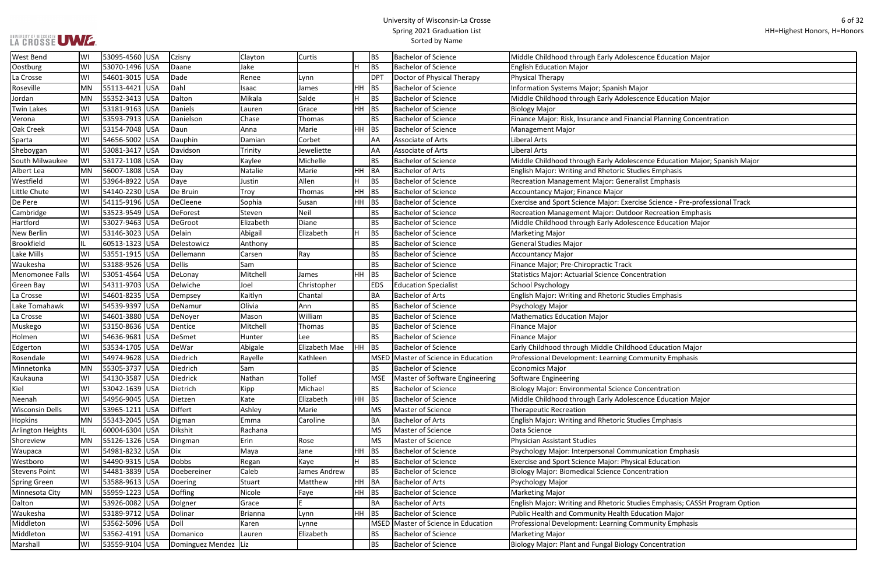# UNIVERSITY OF WISCONSIN<br>LA CROSSE UWE

| nce Education Major                |
|------------------------------------|
|                                    |
|                                    |
| эr                                 |
| nce Education Major                |
|                                    |
| cial Planning Concentration        |
|                                    |
|                                    |
|                                    |
| nce Education Major; Spanish Major |
| es Emphasis                        |
| st Emphasis                        |
|                                    |
| e Science - Pre-professional Track |
| <b>Recreation Emphasis</b>         |
| nce Education Major                |
|                                    |
|                                    |
|                                    |
|                                    |
| itration                           |
|                                    |
| es Emphasis                        |
|                                    |
|                                    |
|                                    |
|                                    |
| d Education Major                  |
| munity Emphasis                    |
|                                    |
| ncentration                        |
| nce Education Major                |
|                                    |
| es Emphasis                        |
|                                    |
|                                    |
| nication Emphasis                  |
| Il Education                       |
| ntration                           |
|                                    |
|                                    |
| es Emphasis; CASSH Program Option  |
| cation Major                       |
| munity Emphasis                    |
|                                    |
| concentration                      |
|                                    |

| <b>West Bend</b>       | WI        | 53095-4560 USA   | Czisny                 | Clayton   | <b>Curtis</b> |         | <b>BS</b>       | <b>Bachelor of Science</b>          | Middle Childhood through Early Adolescence Education Major                  |
|------------------------|-----------|------------------|------------------------|-----------|---------------|---------|-----------------|-------------------------------------|-----------------------------------------------------------------------------|
| Oostburg               | WI        | 53070-1496 USA   | Daane                  | Jake      |               |         | BS              | <b>Bachelor of Science</b>          | <b>English Education Major</b>                                              |
| La Crosse              | W١        | 54601-3015 USA   | Dade                   | Renee     | Lynn          |         | DP <sub>1</sub> | Doctor of Physical Therapy          | Physical Therapy                                                            |
| Roseville              | MN        | 55113-4421 USA   | Dahl                   | Isaac     | James         | HH.     | <b>BS</b>       | <b>Bachelor of Science</b>          | Information Systems Major; Spanish Major                                    |
| Jordan                 | <b>MN</b> | 55352-3413 USA   | Dalton                 | Mikala    | Salde         | н       | <b>BS</b>       | <b>Bachelor of Science</b>          | Middle Childhood through Early Adolescence Education Major                  |
| <b>Twin Lakes</b>      | W١        | 53181-9163 USA   | Daniels                | Lauren    | Grace         | $HH$ BS |                 | <b>Bachelor of Science</b>          | <b>Biology Major</b>                                                        |
| Verona                 | W١        | 53593-7913 USA   | Danielson              | Chase     | Thomas        |         | <b>BS</b>       | <b>Bachelor of Science</b>          | Finance Major: Risk, Insurance and Financial Planning Concentration         |
| Oak Creek              | W١        | 53154-7048 USA   | Daun                   | Anna      | Marie         | HH.     | <b>BS</b>       | <b>Bachelor of Science</b>          | <b>Management Major</b>                                                     |
| Sparta                 | WI        | 54656-5002 USA   | Dauphin                | Damian    | Corbet        |         | <b>AA</b>       | Associate of Arts                   | Liberal Arts                                                                |
| Sheboygan              | W١        | 53081-3417 USA   | Davidson               | Trinity   | Jeweliette    |         | AA              | Associate of Arts                   | Liberal Arts                                                                |
| South Milwaukee        | lWI       | 53172-1108 USA   | Day                    | Kaylee    | Michelle      |         | <b>BS</b>       | <b>Bachelor of Science</b>          | Middle Childhood through Early Adolescence Education Major; Spanish Major   |
| Albert Lea             | MN        | 56007-1808 USA   | Day                    | Natalie   | Marie         | HH BA   |                 | <b>Bachelor of Arts</b>             | English Major: Writing and Rhetoric Studies Emphasis                        |
| Westfield              | WI        | 53964-8922 USA   | Daye                   | Justin    | Allen         |         | <b>BS</b>       | <b>Bachelor of Science</b>          | Recreation Management Major: Generalist Emphasis                            |
| Little Chute           | WI        | 54140-2230 USA   | De Bruin               | Troy      | Thomas        | HH.     | <b>BS</b>       | <b>Bachelor of Science</b>          | Accountancy Major; Finance Major                                            |
| De Pere                | W١        | 54115-9196 USA   | DeCleene               | Sophia    | Susan         | $HH$ BS |                 | <b>Bachelor of Science</b>          | Exercise and Sport Science Major: Exercise Science - Pre-professional Track |
| Cambridge              | WI        | 53523-9549 USA   | <b>DeForest</b>        | Steven    | Neil          |         | <b>BS</b>       | <b>Bachelor of Science</b>          | Recreation Management Major: Outdoor Recreation Emphasis                    |
| Hartford               | WI        | 53027-9463 USA   | DeGroot                | Elizabeth | Diane         |         | <b>BS</b>       | <b>Bachelor of Science</b>          | Middle Childhood through Early Adolescence Education Major                  |
| New Berlin             | WI        | 53146-3023 USA   | Delain                 | Abigail   | Elizabeth     |         | <b>BS</b>       | <b>Bachelor of Science</b>          | <b>Marketing Major</b>                                                      |
| <b>Brookfield</b>      | IL        | 60513-1323 USA   | Delestowicz            | Anthony   |               |         | <b>BS</b>       | <b>Bachelor of Science</b>          | General Studies Major                                                       |
| Lake Mills             | WI        | 53551-1915   USA | Dellemann              | Carsen    | Ray           |         | <b>BS</b>       | <b>Bachelor of Science</b>          | <b>Accountancy Major</b>                                                    |
| Waukesha               | WI        | 53188-9526 USA   | <b>Dellis</b>          | Sam       |               |         | <b>BS</b>       | <b>Bachelor of Science</b>          | Finance Major; Pre-Chiropractic Track                                       |
| <b>Menomonee Falls</b> | lWI       | 53051-4564 USA   | DeLonay                | Mitchell  | James         | HH.     | BS              | <b>Bachelor of Science</b>          | <b>Statistics Major: Actuarial Science Concentration</b>                    |
| <b>Green Bay</b>       | WI        | 54311-9703 USA   | Delwiche               | Joel      | Christopher   |         | <b>EDS</b>      | <b>Education Specialist</b>         | <b>School Psychology</b>                                                    |
| La Crosse              | WI        | 54601-8235 USA   | Dempsey                | Kaitlyn   | Chantal       |         | <b>BA</b>       | <b>Bachelor of Arts</b>             | English Major: Writing and Rhetoric Studies Emphasis                        |
| Lake Tomahawk          | WI        | 54539-9397 USA   | DeNamur                | Olivia    | Ann           |         | <b>BS</b>       | <b>Bachelor of Science</b>          | Psychology Major                                                            |
| La Crosse              | W١        | 54601-3880 USA   | DeNoyer                | Mason     | William       |         | <b>BS</b>       | <b>Bachelor of Science</b>          | <b>Mathematics Education Major</b>                                          |
| Muskego                | WI        | 53150-8636 USA   | Dentice                | Mitchell  | Thomas        |         | <b>BS</b>       | <b>Bachelor of Science</b>          | Finance Major                                                               |
| Holmen                 | WI        | 54636-9681 USA   | DeSmet                 | Hunter    | Lee           |         | <b>BS</b>       | <b>Bachelor of Science</b>          | <b>Finance Major</b>                                                        |
| Edgerton               | W١        | 53534-1705 USA   | DeWar                  | Abigale   | Elizabeth Mae | HH.     | BS              | <b>Bachelor of Science</b>          | Early Childhood through Middle Childhood Education Major                    |
| Rosendale              | W١        | 54974-9628 USA   | Diedrich               | Rayelle   | Kathleen      |         |                 | MSED Master of Science in Education | Professional Development: Learning Community Emphasis                       |
| Minnetonka             | MN        | 55305-3737 USA   | Diedrich               | Sam       |               |         | <b>BS</b>       | <b>Bachelor of Science</b>          | <b>Economics Major</b>                                                      |
| Kaukauna               | WI        | 54130-3587 USA   | Diedrick               | Nathan    | Tollef        |         | <b>MSE</b>      | Master of Software Engineering      | Software Engineering                                                        |
| Kiel                   | WI        | 53042-1639 USA   | Dietrich               | Kipp      | Michael       |         | <b>BS</b>       | <b>Bachelor of Science</b>          | Biology Major: Environmental Science Concentration                          |
| Neenah                 | WI        | 54956-9045   USA | Dietzen                | Kate      | Elizabeth     | $HH$ BS |                 | <b>Bachelor of Science</b>          | Middle Childhood through Early Adolescence Education Major                  |
| <b>Wisconsin Dells</b> | WI        | 53965-1211 USA   | Differt                | Ashley    | Marie         |         | MS              | Master of Science                   | <b>Therapeutic Recreation</b>                                               |
| <b>Hopkins</b>         | MN        | 55343-2045 USA   | Digman                 | Emma      | Caroline      |         | BA              | <b>Bachelor of Arts</b>             | English Major: Writing and Rhetoric Studies Emphasis                        |
| Arlington Heights      | IIL       | 60004-6304 USA   | Dikshit                | Rachana   |               |         | MS              | Master of Science                   | Data Science                                                                |
| Shoreview              | <b>MN</b> | 55126-1326 USA   | Dingman                | Erin      | Rose          |         | MS              | Master of Science                   | Physician Assistant Studies                                                 |
| Waupaca                | WI        | 54981-8232 USA   | Dix                    | Maya      | Jane          | HН      | BS              | <b>Bachelor of Science</b>          | Psychology Major: Interpersonal Communication Emphasis                      |
| Westboro               | WI        | 54490-9315 USA   | <b>Dobbs</b>           | Regan     | Kaye          |         | <b>BS</b>       | <b>Bachelor of Science</b>          | Exercise and Sport Science Major: Physical Education                        |
| <b>Stevens Point</b>   | WI        | 54481-3839 USA   | Doebereiner            | Caleb     | James Andrew  |         | <b>BS</b>       | <b>Bachelor of Science</b>          | <b>Biology Major: Biomedical Science Concentration</b>                      |
| <b>Spring Green</b>    | WI        | 53588-9613 USA   | Doering                | Stuart    | Matthew       | HH BA   |                 | <b>Bachelor of Arts</b>             | Psychology Major                                                            |
| Minnesota City         | MN        | 55959-1223 USA   | Doffing                | Nicole    | Faye          | $HH$ BS |                 | <b>Bachelor of Science</b>          | <b>Marketing Major</b>                                                      |
| Dalton                 | WI        | 53926-0082 USA   | Dolgner                | Grace     |               |         | <b>BA</b>       | <b>Bachelor of Arts</b>             | English Major: Writing and Rhetoric Studies Emphasis; CASSH Program Option  |
| Waukesha               | WI        | 53189-9712 USA   | Dolinar                | Brianna   | Lynn          | HH      | <b>BS</b>       | <b>Bachelor of Science</b>          | Public Health and Community Health Education Major                          |
| Middleton              | W١        | 53562-5096 USA   | Doll                   | Karen     | Lynne         |         | <b>MSED</b>     | Master of Science in Education      | Professional Development: Learning Community Emphasis                       |
| Middleton              | WI        | 53562-4191 USA   | Domanico               | Lauren    | Elizabeth     |         | <b>BS</b>       | <b>Bachelor of Science</b>          | <b>Marketing Major</b>                                                      |
| Marshall               | WI        | 53559-9104 USA   | Dominguez Mendez   Liz |           |               |         | <b>BS</b>       | <b>Bachelor of Science</b>          | Biology Major: Plant and Fungal Biology Concentration                       |
|                        |           |                  |                        |           |               |         |                 |                                     |                                                                             |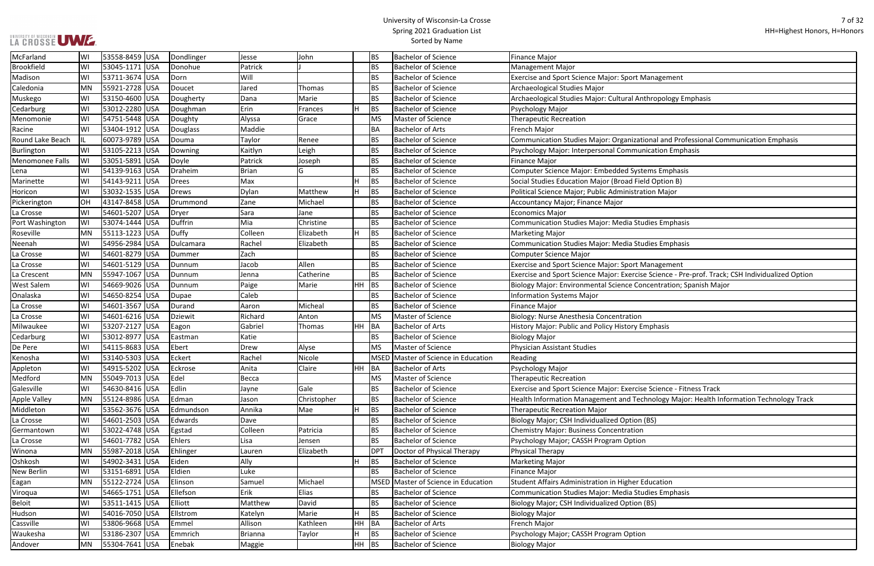# UNIVERSITY OF WISCONSIN<br>LA CROSSE UWE

| rt Management                                              |
|------------------------------------------------------------|
|                                                            |
| Anthropology Emphasis                                      |
|                                                            |
|                                                            |
|                                                            |
| zational and Professional Communication Emphasis           |
| munication Emphasis                                        |
|                                                            |
| ystems Emphasis<br>Field Option B)                         |
| tration Major                                              |
|                                                            |
|                                                            |
| <b>Studies Emphasis</b>                                    |
|                                                            |
| <b>Studies Emphasis</b>                                    |
|                                                            |
| rt Management                                              |
| rcise Science - Pre-prof. Track; CSH Individualized Option |
| Concentration; Spanish Major                               |
|                                                            |
|                                                            |
| on                                                         |
| y Emphasis                                                 |
|                                                            |
|                                                            |
|                                                            |
|                                                            |
|                                                            |
| rcise Science - Fitness Track                              |
| Technology Major: Health Information Technology Track      |
|                                                            |
| ion (BS)                                                   |
| ion                                                        |
| tion                                                       |
|                                                            |
|                                                            |
|                                                            |
| er Education                                               |
| <b>Studies Emphasis</b>                                    |
| ion (BS)                                                   |
|                                                            |
| tinn                                                       |
|                                                            |

| McFarland           | WI | 53558-8459 USA                   | Dondlinger | Jesse           | John        |           | <b>BS</b>   | <b>Bachelor of Science</b>          | <b>Finance Major</b>                                                                            |
|---------------------|----|----------------------------------|------------|-----------------|-------------|-----------|-------------|-------------------------------------|-------------------------------------------------------------------------------------------------|
| <b>Brookfield</b>   | WI | 53045-1171 USA                   | Donohue    | Patrick         |             |           | <b>BS</b>   | <b>Bachelor of Science</b>          | Management Major                                                                                |
| Madison             | WI | 53711-3674 USA                   | Dorn       | Will            |             |           | <b>BS</b>   | <b>Bachelor of Science</b>          | <b>Exercise and Sport Science Major: Sport Management</b>                                       |
| Caledonia           | MN | 55921-2728 USA                   | Doucet     | Jared           | Thomas      |           | <b>BS</b>   | <b>Bachelor of Science</b>          | Archaeological Studies Major                                                                    |
| Muskego             | WI | 53150-4600 USA                   | Dougherty  | Dana            | Marie       |           | <b>BS</b>   | <b>Bachelor of Science</b>          | Archaeological Studies Major: Cultural Anthropology Emphasis                                    |
| Cedarburg           | WI | 53012-2280 USA                   | Doughman   | Erin            | Frances     |           | <b>BS</b>   | <b>Bachelor of Science</b>          | Psychology Major                                                                                |
| Menomonie           | WI | 54751-5448 USA                   | Doughty    | Alyssa          | Grace       |           | <b>MS</b>   | Master of Science                   | <b>Therapeutic Recreation</b>                                                                   |
| Racine              | WI | 53404-1912 USA                   | Douglass   | Maddie          |             |           | <b>BA</b>   | <b>Bachelor of Arts</b>             | French Major                                                                                    |
| Round Lake Beach    |    | 60073-9789 USA                   | Douma      | <b>Taylor</b>   | Renee       |           | <b>BS</b>   | <b>Bachelor of Science</b>          | Communication Studies Major: Organizational and Professional Communication Emphasis             |
| Burlington          | WI | 53105-2213 USA                   | Downing    | Kaitlyn         | Leigh       |           | <b>BS</b>   | <b>Bachelor of Science</b>          | Psychology Major: Interpersonal Communication Emphasis                                          |
| Menomonee Falls     | WI | 53051-5891 USA                   | Doyle      | Patrick         | Joseph      |           | <b>BS</b>   | <b>Bachelor of Science</b>          | <b>Finance Major</b>                                                                            |
| Lena                | WI | 54139-9163 USA                   | Draheim    | Brian           | G           |           | <b>BS</b>   | <b>Bachelor of Science</b>          | Computer Science Major: Embedded Systems Emphasis                                               |
| Marinette           | WI | 54143-9211 USA                   | Drees      | Max             |             |           | <b>BS</b>   | <b>Bachelor of Science</b>          | Social Studies Education Major (Broad Field Option B)                                           |
| Horicon             | WI | 53032-1535 USA                   | Drews      | Dylan           | Matthew     | H         | <b>BS</b>   | <b>Bachelor of Science</b>          | Political Science Major; Public Administration Major                                            |
| Pickerington        | OH | 43147-8458 USA                   | Drummond   | Zane            | Michael     |           | <b>BS</b>   | <b>Bachelor of Science</b>          | Accountancy Major; Finance Major                                                                |
| La Crosse           | WI | 54601-5207 USA                   | Dryer      | Sara            | Jane        |           | <b>BS</b>   | <b>Bachelor of Science</b>          | Economics Major                                                                                 |
| Port Washington     | WI | 53074-1444 USA                   | Duffrin    | Mia             | Christine   |           | <b>BS</b>   | <b>Bachelor of Science</b>          | <b>Communication Studies Major: Media Studies Emphasis</b>                                      |
| Roseville           | MN | 55113-1223 USA                   | Duffy      | Colleen         | Elizabeth   | H.        | <b>BS</b>   | <b>Bachelor of Science</b>          | <b>Marketing Major</b>                                                                          |
| Neenah              | WI | 54956-2984 USA                   | Dulcamara  | Rachel          | Elizabeth   |           | <b>BS</b>   | <b>Bachelor of Science</b>          | <b>Communication Studies Major: Media Studies Emphasis</b>                                      |
| La Crosse           | WI | 54601-8279 USA                   | Dummer     | Zach            |             |           | <b>BS</b>   | <b>Bachelor of Science</b>          | Computer Science Major                                                                          |
| La Crosse           | WI | 54601-5129 USA                   | Dunnum     | Jacob           | Allen       |           | <b>BS</b>   | <b>Bachelor of Science</b>          | Exercise and Sport Science Major: Sport Management                                              |
| La Crescent         | MN | 55947-1067 USA                   | Dunnum     | Jenna           | Catherine   |           | <b>BS</b>   | <b>Bachelor of Science</b>          | Exercise and Sport Science Major: Exercise Science - Pre-prof. Track; CSH Individualized Option |
| <b>West Salem</b>   | WI | 54669-9026 USA                   | Dunnum     | Paige           | Marie       | $HH$ BS   |             | <b>Bachelor of Science</b>          | Biology Major: Environmental Science Concentration; Spanish Major                               |
| Onalaska            | WI | 54650-8254 USA                   | Dupae      | Caleb           |             |           | <b>BS</b>   | <b>Bachelor of Science</b>          | <b>Information Systems Major</b>                                                                |
| La Crosse           | WI | 54601-3567 USA                   | Durand     | Aaron           | Micheal     |           | <b>BS</b>   | <b>Bachelor of Science</b>          | <b>Finance Major</b>                                                                            |
| La Crosse           | WI | 54601-6216 USA                   | Dziewit    | Richard         | Anton       |           | <b>MS</b>   | Master of Science                   | <b>Biology: Nurse Anesthesia Concentration</b>                                                  |
| Milwaukee           | WI | 53207-2127 USA                   | Eagon      | Gabriel         | Thomas      | HH BA     |             | <b>Bachelor of Arts</b>             | History Major: Public and Policy History Emphasis                                               |
| Cedarburg           | WI | 53012-8977 USA                   | Eastman    | Katie           |             |           | <b>BS</b>   | <b>Bachelor of Science</b>          | <b>Biology Major</b>                                                                            |
| De Pere             | WI | 54115-8683 USA                   | Ebert      | Drew            | Alyse       |           | <b>MS</b>   | Master of Science                   | <b>Physician Assistant Studies</b>                                                              |
| Kenosha             | WI | 53140-5303 USA                   | Eckert     | Rachel          | Nicole      |           |             | MSED Master of Science in Education | Reading                                                                                         |
| Appleton            | WI | 54915-5202 USA                   | Eckrose    | Anita           | Claire      | <b>HH</b> | BA          | <b>Bachelor of Arts</b>             | Psychology Major                                                                                |
| Medford             | MN | 55049-7013 USA                   | Edel       | Becca           |             |           | <b>MS</b>   | Master of Science                   | <b>Therapeutic Recreation</b>                                                                   |
| Galesville          | WI | 54630-8416 USA                   | Edlin      | Jayne           | Gale        |           | <b>BS</b>   | <b>Bachelor of Science</b>          | Exercise and Sport Science Major: Exercise Science - Fitness Track                              |
| <b>Apple Valley</b> | MN | 55124-8986 USA                   | Edman      | Jason           | Christopher |           | <b>BS</b>   | <b>Bachelor of Science</b>          | Health Information Management and Technology Major: Health Information Technology Track         |
| Middleton           | WI | 53562-3676 USA                   | Edmundson  | Annika          | Mae         | H         | BS          | <b>Bachelor of Science</b>          | <b>Therapeutic Recreation Major</b>                                                             |
|                     |    |                                  |            |                 |             |           | <b>BS</b>   | <b>Bachelor of Science</b>          |                                                                                                 |
| La Crosse           | WI | 54601-2503 USA<br>53022-4748 USA | Edwards    | Dave<br>Colleen | Patricia    |           | <b>BS</b>   | <b>Bachelor of Science</b>          | Biology Major; CSH Individualized Option (BS)<br><b>Chemistry Major: Business Concentration</b> |
| Germantown          | WI |                                  | Egstad     |                 |             |           |             |                                     |                                                                                                 |
| La Crosse           | WI | 54601-7782 USA                   | Ehlers     | Lisa            | Jensen      |           | <b>BS</b>   | <b>Bachelor of Science</b>          | Psychology Major; CASSH Program Option                                                          |
| Winona              | MN | 55987-2018 USA                   | Ehlinger   | Lauren          | Elizabeth   |           | <b>DPT</b>  | Doctor of Physical Therapy          | <b>Physical Therapy</b>                                                                         |
| Oshkosh             | WI | 54902-3431 USA                   | Eiden      | Ally            |             | н         | <b>BS</b>   | <b>Bachelor of Science</b>          | <b>Marketing Major</b>                                                                          |
| New Berlin          | WI | 53151-6891 USA                   | Eldien     | Luke            |             |           | <b>BS</b>   | <b>Bachelor of Science</b>          | <b>Finance Major</b>                                                                            |
| Eagan               | MN | 55122-2724 USA                   | Elinson    | Samuel          | Michael     |           | <b>MSED</b> | Master of Science in Education      | <b>Student Affairs Administration in Higher Education</b>                                       |
| Viroqua             | WI | 54665-1751 USA                   | Ellefson   | Erik            | Elias       |           | <b>BS</b>   | <b>Bachelor of Science</b>          | Communication Studies Major: Media Studies Emphasis                                             |
| <b>Beloit</b>       | WI | 53511-1415 USA                   | Elliott    | Matthew         | David       |           | <b>BS</b>   | <b>Bachelor of Science</b>          | Biology Major; CSH Individualized Option (BS)                                                   |
| Hudson              | WI | 54016-7050 USA                   | Ellstrom   | Katelyn         | Marie       | H         | BS          | <b>Bachelor of Science</b>          | <b>Biology Major</b>                                                                            |
| Cassville           | WI | 53806-9668 USA                   | Emmel      | Allison         | Kathleen    | HH BA     |             | <b>Bachelor of Arts</b>             | French Major                                                                                    |
| Waukesha            | WI | 53186-2307 USA                   | Emmrich    | Brianna         | Taylor      | н         | <b>BS</b>   | <b>Bachelor of Science</b>          | Psychology Major; CASSH Program Option                                                          |
| Andover             | MN | 55304-7641 USA                   | Enebak     | Maggie          |             | $HH$ BS   |             | <b>Bachelor of Science</b>          | <b>Biology Major</b>                                                                            |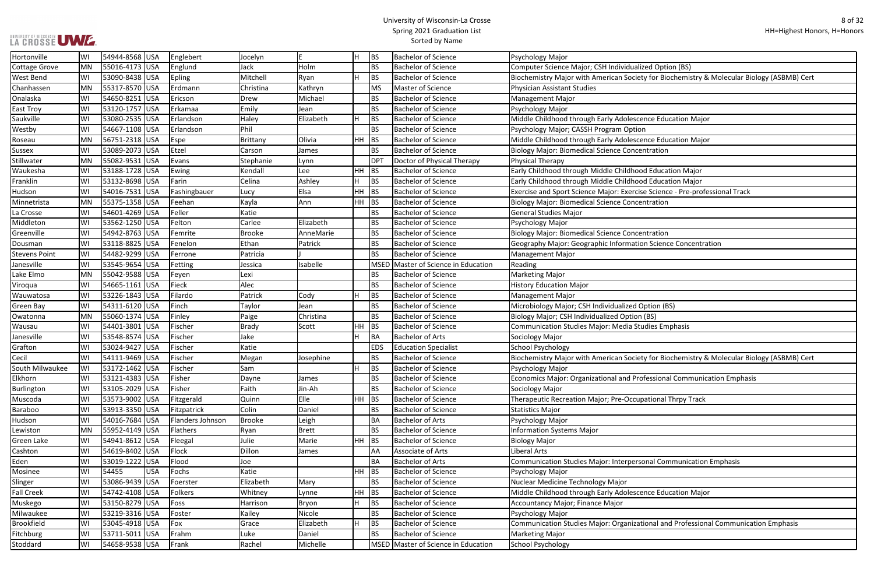#### University of Wisconsin-La Crosse Spring 2021 Graduation List Sorted by Name

ty for Biochemistry & Molecular Biology (ASBMB) Cert

se Science - Pre-professional Track

on Science Concentration

ty for Biochemistry & Molecular Biology (ASBMB) Cert

ofessional Communication Emphasis

Sonal Communication Emphasis

tional and Professional Communication Emphasis

| Hortonville          | WI | 54944-8568 USA  |            | Englebert        | Jocelyn       | E            | H         | <b>BS</b>   | <b>Bachelor of Science</b>          | Psychology Major                                                |
|----------------------|----|-----------------|------------|------------------|---------------|--------------|-----------|-------------|-------------------------------------|-----------------------------------------------------------------|
| <b>Cottage Grove</b> | MN | 55016-4173 USA  |            | Englund          | Jack          | Holm         |           | <b>BS</b>   | <b>Bachelor of Science</b>          | Computer Science Major; CSH Individualized Option (BS)          |
| <b>West Bend</b>     | WI | 53090-8438  USA |            | <b>Epling</b>    | Mitchell      | Ryan         | Н         | <b>BS</b>   | <b>Bachelor of Science</b>          | Biochemistry Major with American Society for Biochemistry &     |
| Chanhassen           | MN | 55317-8570  USA |            | Erdmann          | Christina     | Kathryn      |           | MS          | Master of Science                   | <b>Physician Assistant Studies</b>                              |
| Onalaska             | W١ | 54650-8251 USA  |            | Ericson          | Drew          | Michael      |           | <b>BS</b>   | Bachelor of Science                 | Management Major                                                |
| <b>East Troy</b>     | WI | 53120-1757 USA  |            | Erkamaa          | Emily         | Jean         |           | <b>BS</b>   | <b>Bachelor of Science</b>          | Psychology Major                                                |
| Saukville            | WI | 53080-2535 USA  |            | Erlandson        | Haley         | Elizabeth    | H         | <b>BS</b>   | <b>Bachelor of Science</b>          | Middle Childhood through Early Adolescence Education Major      |
| Westby               | WI | 54667-1108 USA  |            | Erlandson        | Phil          |              |           | <b>BS</b>   | <b>Bachelor of Science</b>          | Psychology Major; CASSH Program Option                          |
| Roseau               | MN | 56751-2318 USA  |            | Espe             | Brittany      | Olivia       | HH BS     |             | <b>Bachelor of Science</b>          | Middle Childhood through Early Adolescence Education Major      |
| <b>Sussex</b>        | WI | 53089-2073 USA  |            | Etzel            | Carson        | James        |           | BS          | <b>Bachelor of Science</b>          | <b>Biology Major: Biomedical Science Concentration</b>          |
| Stillwater           | MN | 55082-9531 USA  |            | Evans            | Stephanie     | Lynn         |           | <b>DPT</b>  | Doctor of Physical Therapy          | <b>Physical Therapy</b>                                         |
| Waukesha             | W١ | 53188-1728 USA  |            | Ewing            | Kendall       | Lee          | HH        | <b>BS</b>   | <b>Bachelor of Science</b>          | Early Childhood through Middle Childhood Education Major        |
| Franklin             | WI | 53132-8698 USA  |            | Farin            | Celina        | Ashley       |           | <b>BS</b>   | <b>Bachelor of Science</b>          | Early Childhood through Middle Childhood Education Major        |
| Hudson               | W١ | 54016-7531 USA  |            | Fashingbauer     | Lucy          | Elsa         | HH        | BS          | <b>Bachelor of Science</b>          | Exercise and Sport Science Major: Exercise Science - Pre-profes |
| Minnetrista          | MN | 55375-1358  USA |            | Feehan           | Kayla         | Ann          | HH BS     |             | <b>Bachelor of Science</b>          | <b>Biology Major: Biomedical Science Concentration</b>          |
| La Crosse            | W١ | 54601-4269 USA  |            | Feller           | Katie         |              |           | BS          | <b>Bachelor of Science</b>          | <b>General Studies Major</b>                                    |
| Middleton            | W١ | 53562-1250 USA  |            | Felton           | Carlee        | Elizabeth    |           | <b>BS</b>   | <b>Bachelor of Science</b>          | Psychology Major                                                |
| Greenville           | W١ | 54942-8763  USA |            | Femrite          | <b>Brooke</b> | AnneMarie    |           | BS          | <b>Bachelor of Science</b>          | <b>Biology Major: Biomedical Science Concentration</b>          |
| Dousman              | WI | 53118-8825      | <b>USA</b> | Fenelon          | Ethan         | Patrick      |           | <b>BS</b>   | <b>Bachelor of Science</b>          | Geography Major: Geographic Information Science Concentrat      |
| <b>Stevens Point</b> | WI | 54482-9299  USA |            | Ferrone          | Patricia      |              |           | <b>BS</b>   | <b>Bachelor of Science</b>          | <b>Management Major</b>                                         |
| Janesville           | WI | 53545-9654      | USA        | Fetting          | Jessica       | Isabelle     |           | <b>MSED</b> | Master of Science in Education      | Reading                                                         |
| Lake Elmo            | MN | 55042-9588  USA |            | Feyen            | Lexi          |              |           | BS.         | <b>Bachelor of Science</b>          | Marketing Major                                                 |
| Viroqua              | WI | 54665-1161  USA |            | Fieck            | Alec          |              |           | <b>BS</b>   | <b>Bachelor of Science</b>          | <b>History Education Major</b>                                  |
| Wauwatosa            | W١ | 53226-1843 USA  |            | Filardo          | Patrick       | Cody         | H         | <b>BS</b>   | Bachelor of Science                 | Management Major                                                |
| Green Bay            | WI | 54311-6120  USA |            | Finch            | Taylor        | Jean         |           | BS          | <b>Bachelor of Science</b>          | Microbiology Major; CSH Individualized Option (BS)              |
| Owatonna             | MN | 55060-1374      | <b>USA</b> | Finley           | Paige         | Christina    |           | <b>BS</b>   | <b>Bachelor of Science</b>          | Biology Major; CSH Individualized Option (BS)                   |
| Wausau               | WI | 54401-3801  USA |            | Fischer          | <b>Brady</b>  | Scott        | <b>HH</b> | <b>BS</b>   | <b>Bachelor of Science</b>          | <b>Communication Studies Major: Media Studies Emphasis</b>      |
| Janesville           | WI | 53548-8574  USA |            | Fischer          | Jake          |              | H.        | <b>BA</b>   | <b>Bachelor of Arts</b>             | Sociology Major                                                 |
| Grafton              | WI | 53024-9427  USA |            | Fischer          | Katie         |              |           | <b>EDS</b>  | <b>Education Specialist</b>         | School Psychology                                               |
| Cecil                | W١ | 54111-9469  USA |            | Fischer          | Megan         | Josephine    |           | BS          | <b>Bachelor of Science</b>          | Biochemistry Major with American Society for Biochemistry &     |
| South Milwaukee      | W١ | 53172-1462 USA  |            | Fischer          | Sam           |              |           | <b>BS</b>   | <b>Bachelor of Science</b>          | Psychology Major                                                |
| Elkhorn              | W١ | 53121-4383 USA  |            | Fisher           | Dayne         | James        |           | BS          | <b>Bachelor of Science</b>          | Economics Major: Organizational and Professional Communica      |
| Burlington           | WI | 53105-2029 USA  |            | Fisher           | Faith         | Jin-Ah       |           | BS          | <b>Bachelor of Science</b>          | Sociology Major                                                 |
| Muscoda              | WI | 53573-9002  USA |            | Fitzgerald       | Quinn         | Elle         | $HH$ BS   |             | <b>Bachelor of Science</b>          | Therapeutic Recreation Major; Pre-Occupational Thrpy Track      |
| Baraboo              | WI | 53913-3350  USA |            | Fitzpatrick      | Colin         | Daniel       |           | BS          | <b>Bachelor of Science</b>          | Statistics Major                                                |
| Hudson               | WI | 54016-7684 USA  |            | Flanders Johnson | <b>Brooke</b> | Leigh        |           | BA          | <b>Bachelor of Arts</b>             | Psychology Major                                                |
| Lewiston             | MN | 55952-4149 USA  |            | Flathers         | Ryan          | <b>Brett</b> |           | BS          | <b>Bachelor of Science</b>          | <b>Information Systems Major</b>                                |
| <b>Green Lake</b>    | WI | 54941-8612 USA  |            | Fleegal          | Julie         | Marie        | HH.       | <b>BS</b>   | <b>Bachelor of Science</b>          | <b>Biology Major</b>                                            |
| Cashton              | WI | 54619-8402  USA |            | Flock            | Dillon        | James        |           | AA          | Associate of Arts                   | Liberal Arts                                                    |
| Eden                 | WI | 53019-1222  USA |            | Flood            | Joe           |              |           | <b>BA</b>   | <b>Bachelor of Arts</b>             | Communication Studies Major: Interpersonal Communication I      |
| Mosinee              | WI | 54455           | <b>USA</b> | Fochs            | Katie         |              | $HH$ BS   |             | <b>Bachelor of Science</b>          | Psychology Major                                                |
| Slinger              | WI | 53086-9439  USA |            | Foerster         | Elizabeth     | Mary         |           | BS          | <b>Bachelor of Science</b>          | Nuclear Medicine Technology Major                               |
| <b>Fall Creek</b>    | W١ | 54742-4108 USA  |            | <b>Folkers</b>   | Whitney       | Lynne        | HH.       | BS          | <b>Bachelor of Science</b>          | Middle Childhood through Early Adolescence Education Major      |
| Muskego              | WI | 53150-8279 USA  |            | Foss             | Harrison      | Bryon        | Н.        | BS          | <b>Bachelor of Science</b>          | Accountancy Major; Finance Major                                |
| Milwaukee            | WI | 53219-3316 USA  |            | Foster           | Kailey        | Nicole       |           | BS          | <b>Bachelor of Science</b>          | Psychology Major                                                |
| <b>Brookfield</b>    | WI | 53045-4918  USA |            | Fox              | Grace         | Elizabeth    | H         | <b>BS</b>   | <b>Bachelor of Science</b>          | Communication Studies Major: Organizational and Professiona     |
| Fitchburg            | WI | 53711-5011  USA |            | Frahm            | Luke          | Daniel       |           | BS          | <b>Bachelor of Science</b>          | Marketing Major                                                 |
| Stoddard             | WI | 54658-9538 USA  |            | Frank            | Rachel        | Michelle     |           |             | MSED Master of Science in Education | School Psychology                                               |
|                      |    |                 |            |                  |               |              |           |             |                                     |                                                                 |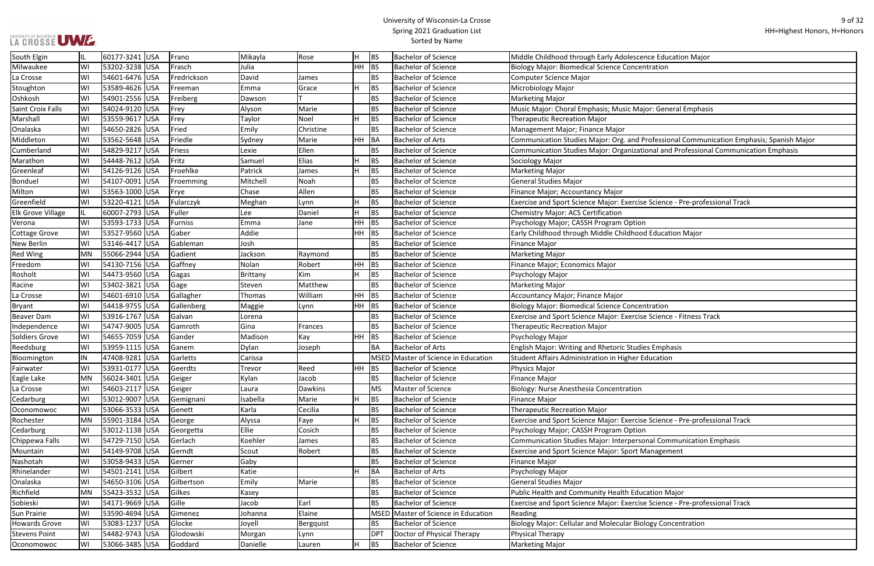# UNIVERSITY OF WISCONSIN<br>LA CROSSE UWE

| nce Education Major!                               |
|----------------------------------------------------|
| ntration                                           |
|                                                    |
|                                                    |
|                                                    |
| ijor: General Emphasis                             |
|                                                    |
|                                                    |
| Professional Communication Emphasis; Spanish Major |
| ional and Professional Communication Emphasis      |
|                                                    |
|                                                    |
|                                                    |
|                                                    |
|                                                    |
| e Science - Pre-professional Track                 |
|                                                    |
| n                                                  |
| d Education Major                                  |
|                                                    |
|                                                    |
|                                                    |
|                                                    |
|                                                    |
|                                                    |
| ntration                                           |
| e Science - Fitness Track                          |
|                                                    |
|                                                    |
|                                                    |
| ies Emphasis                                       |
| Education                                          |
|                                                    |
|                                                    |
|                                                    |
|                                                    |
|                                                    |
| e Science - Pre-professional Track                 |
| n                                                  |
| onal Communication Emphasis                        |
| Management                                         |
|                                                    |
|                                                    |
|                                                    |
|                                                    |
| cation Major                                       |
| e Science - Pre-professional Track                 |
|                                                    |
| ology Concentration                                |
|                                                    |
|                                                    |

| South Elgin              |           | 60177-3241 USA | Frano       | Mikayla  | Rose           | H         | <b>BS</b>   | <b>Bachelor of Science</b>     | Middle Childhood through Early Adolescence Education Major                               |
|--------------------------|-----------|----------------|-------------|----------|----------------|-----------|-------------|--------------------------------|------------------------------------------------------------------------------------------|
| Milwaukee                | WI        | 53202-3238 USA | Frasch      | Julia    |                | HH BS     |             | <b>Bachelor of Science</b>     | <b>Biology Major: Biomedical Science Concentration</b>                                   |
| La Crosse                | WI        | 54601-6476 USA | Fredrickson | David    | James          |           | <b>BS</b>   | <b>Bachelor of Science</b>     | Computer Science Major                                                                   |
| Stoughton                | WI        | 53589-4626 USA | Freeman     | Emma     | Grace          | H         | <b>BS</b>   | <b>Bachelor of Science</b>     | Microbiology Major                                                                       |
| Oshkosh                  | WI        | 54901-2556 USA | Freiberg    | Dawson   |                |           | BS          | <b>Bachelor of Science</b>     | Marketing Major                                                                          |
| Saint Croix Falls        | WI        | 54024-9120 USA | Frey        | Alyson   | Marie          |           | <b>BS</b>   | <b>Bachelor of Science</b>     | Music Major: Choral Emphasis; Music Major: General Emphasis                              |
| Marshall                 | WI        | 53559-9617 USA | Frey        | Taylor   | Noel           | H.        | <b>BS</b>   | <b>Bachelor of Science</b>     | <b>Therapeutic Recreation Major</b>                                                      |
| Onalaska                 | WI        | 54650-2826 USA | Fried       | Emily    | Christine      |           | <b>BS</b>   | <b>Bachelor of Science</b>     | Management Major; Finance Major                                                          |
| Middleton                | WI        | 53562-5648 USA | Friedle     | Sydney   | Marie          | HH BA     |             | <b>Bachelor of Arts</b>        | Communication Studies Major: Org. and Professional Communication Emphasis; Spanish Major |
| Cumberland               | WI        | 54829-9217 USA | Friess      | Lexie    | Ellen          |           | BS          | <b>Bachelor of Science</b>     | Communication Studies Major: Organizational and Professional Communication Emphasis      |
| Marathon                 | WI        | 54448-7612 USA | Fritz       | Samuel   | Elias          | H         | <b>BS</b>   | <b>Bachelor of Science</b>     | Sociology Major                                                                          |
| Greenleaf                | WI        | 54126-9126 USA | Froehlke    | Patrick  | James          | H         | <b>BS</b>   | <b>Bachelor of Science</b>     | Marketing Major                                                                          |
| Bonduel                  | WI        | 54107-0091 USA | Froemming   | Mitchell | Noah           |           | <b>BS</b>   | <b>Bachelor of Science</b>     | General Studies Major                                                                    |
| Milton                   | WI        | 53563-1000 USA | Frye        | Chase    | Allen          |           | <b>BS</b>   | <b>Bachelor of Science</b>     | Finance Major; Accountancy Major                                                         |
| Greenfield               | WI        | 53220-4121 USA | Fularczyk   | Meghan   | Lynn           | H         | <b>BS</b>   | <b>Bachelor of Science</b>     | Exercise and Sport Science Major: Exercise Science - Pre-professional Track              |
| <b>Elk Grove Village</b> |           | 60007-2793 USA | Fuller      | Lee      | Daniel         | H         | <b>BS</b>   | <b>Bachelor of Science</b>     | Chemistry Major: ACS Certification                                                       |
| Verona                   | WI        | 53593-1733 USA | Furniss     | Emma     | Jane           | HН        | <b>BS</b>   | <b>Bachelor of Science</b>     | Psychology Major; CASSH Program Option                                                   |
| Cottage Grove            | WI        | 53527-9560 USA | Gaber       | Addie    |                | HН        | BS          | <b>Bachelor of Science</b>     | Early Childhood through Middle Childhood Education Major                                 |
| <b>New Berlin</b>        | WI        | 53146-4417 USA | Gableman    | Josh     |                |           | <b>BS</b>   | <b>Bachelor of Science</b>     | Finance Major                                                                            |
| <b>Red Wing</b>          | MN        | 55066-2944 USA | Gadient     | Jackson  | Raymond        |           | <b>BS</b>   | <b>Bachelor of Science</b>     | Marketing Major                                                                          |
| Freedom                  | WI        | 54130-7156 USA | Gaffney     | Nolan    | Robert         | HH        | BS          | <b>Bachelor of Science</b>     | Finance Major; Economics Major                                                           |
| Rosholt                  | WI        | 54473-9560 USA | Gagas       | Brittany | Kim            | H.        | <b>BS</b>   | <b>Bachelor of Science</b>     | Psychology Major                                                                         |
| Racine                   | WI        | 53402-3821 USA | Gage        | Steven   | Matthew        |           | <b>BS</b>   | <b>Bachelor of Science</b>     | Marketing Major                                                                          |
| La Crosse                | WI        | 54601-6910 USA | Gallagher   | Thomas   | William        | <b>HH</b> | BS          | <b>Bachelor of Science</b>     | Accountancy Major; Finance Major                                                         |
| <b>Bryant</b>            | WI        | 54418-9755 USA | Gallenberg  | Maggie   | Lynn           | HH BS     |             | <b>Bachelor of Science</b>     | Biology Major: Biomedical Science Concentration                                          |
| <b>Beaver Dam</b>        | WI        | 53916-1767 USA | Galvan      | Lorena   |                |           | <b>BS</b>   | <b>Bachelor of Science</b>     | Exercise and Sport Science Major: Exercise Science - Fitness Track                       |
| Independence             | WI        | 54747-9005 USA | Gamroth     | Gina     | Frances        |           | <b>BS</b>   | <b>Bachelor of Science</b>     | <b>Therapeutic Recreation Major</b>                                                      |
| Soldiers Grove           | WI        | 54655-7059 USA | Gander      | Madison  | Kay            | HH        | <b>BS</b>   | <b>Bachelor of Science</b>     | Psychology Major                                                                         |
| Reedsburg                | WI        | 53959-1115 USA | Ganem       | Dylan    | Joseph         |           | ΒA          | <b>Bachelor of Arts</b>        | <b>English Major: Writing and Rhetoric Studies Emphasis</b>                              |
| Bloomington              | ΙN        | 47408-9281 USA | Garletts    | Carissa  |                |           | MSED        | Master of Science in Education | Student Affairs Administration in Higher Education                                       |
| Fairwater                | WI        | 53931-0177 USA | Geerdts     | Trevor   | Reed           | HH        | <b>BS</b>   | <b>Bachelor of Science</b>     | Physics Major                                                                            |
| Eagle Lake               | MN        | 56024-3401 USA | Geiger      | Kylan    | Jacob          |           | <b>BS</b>   | <b>Bachelor of Science</b>     | Finance Major                                                                            |
| La Crosse                | WI        | 54603-2117 USA | Geiger      | Laura    | <b>Dawkins</b> |           | <b>MS</b>   | Master of Science              | Biology: Nurse Anesthesia Concentration                                                  |
| Cedarburg                | WI        | 53012-9007 USA | Gemignani   | Isabella | Marie          | H         | <b>BS</b>   | <b>Bachelor of Science</b>     | <b>Finance Major</b>                                                                     |
| Oconomowoc               | WI        | 53066-3533 USA | Genett      | Karla    | Cecilia        |           | <b>BS</b>   | <b>Bachelor of Science</b>     | <b>Therapeutic Recreation Major</b>                                                      |
| Rochester                | <b>MN</b> | 55901-3184 USA | George      | Alyssa   | Faye           | H         | <b>BS</b>   | <b>Bachelor of Science</b>     | Exercise and Sport Science Major: Exercise Science - Pre-professional Track              |
| Cedarburg                | WI        | 53012-1138 USA | Georgetta   | Ellie    | Cosich         |           | <b>BS</b>   | <b>Bachelor of Science</b>     | Psychology Major; CASSH Program Option                                                   |
| Chippewa Falls           | WI        | 54729-7150 USA | Gerlach     | Koehler  | James          |           | <b>BS</b>   | <b>Bachelor of Science</b>     | Communication Studies Major: Interpersonal Communication Emphasis                        |
| Mountain                 | WI        | 54149-9708 USA | Gerndt      | Scout    | Robert         |           | <b>BS</b>   | <b>Bachelor of Science</b>     | <b>Exercise and Sport Science Major: Sport Management</b>                                |
| Nashotah                 | WI        | 53058-9433 USA | Gerner      | Gaby     |                |           | <b>BS</b>   | <b>Bachelor of Science</b>     | <b>Finance Major</b>                                                                     |
| Rhinelander              | WI        | 54501-2141 USA | Gilbert     | Katie    |                | H         | BA          | <b>Bachelor of Arts</b>        | Psychology Major                                                                         |
| Onalaska                 | WI        | 54650-3106 USA | Gilbertson  | Emily    | Marie          |           | <b>BS</b>   | <b>Bachelor of Science</b>     | General Studies Major                                                                    |
| Richfield                | MN        | 55423-3532 USA | Gilkes      | Kasey    |                |           | BS          | <b>Bachelor of Science</b>     | Public Health and Community Health Education Major                                       |
| Sobieski                 | WI        | 54171-9669 USA | Gille       | Jacob    | Earl           |           | <b>BS</b>   | <b>Bachelor of Science</b>     | Exercise and Sport Science Major: Exercise Science - Pre-professional Track              |
| <b>Sun Prairie</b>       | WI        | 53590-4694 USA | Gimenez     | Johanna  | Elaine         |           | <b>MSED</b> | Master of Science in Education | Reading                                                                                  |
| <b>Howards Grove</b>     | WI        | 53083-1237 USA | Glocke      | Joyell   | Bergquist      |           | BS.         | <b>Bachelor of Science</b>     | Biology Major: Cellular and Molecular Biology Concentration                              |
| <b>Stevens Point</b>     | WI        | 54482-9743 USA | Glodowski   | Morgan   | Lynn           |           | <b>DPT</b>  | Doctor of Physical Therapy     | Physical Therapy                                                                         |
| Oconomowoc               | WI        | 53066-3485 USA | Goddard     | Danielle | Lauren         | H         | <b>BS</b>   | <b>Bachelor of Science</b>     | Marketing Major                                                                          |
|                          |           |                |             |          |                |           |             |                                |                                                                                          |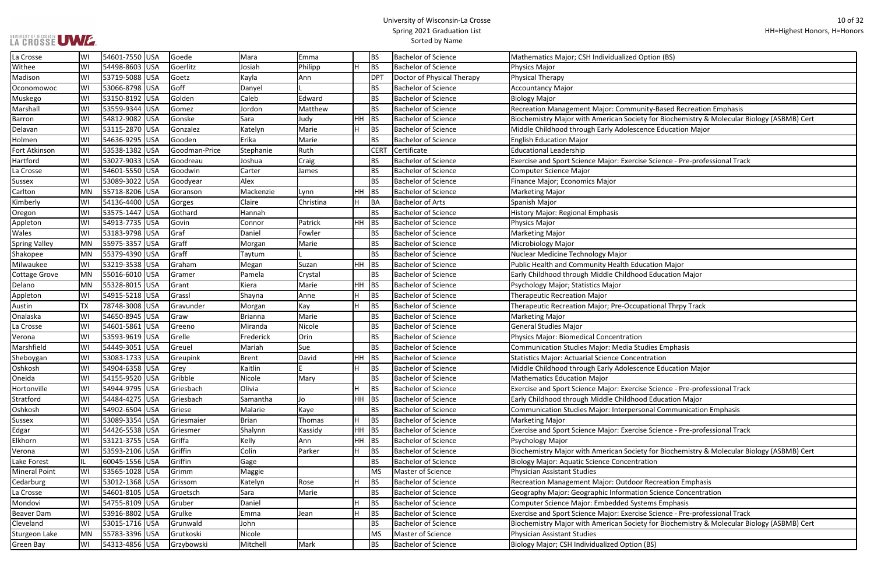#### University of Wisconsin-La Crosse Spring 2021 Graduation List Sorted by Name

### Inity-Based Recreation Emphasis Barron Windor Windor Widdy Gonserve Sara Biology (ASBMB) Certican Society for Biochemistry & Molecular Biology (ASBMB) Cert ence Education Major

se Science - Pre-professional Track

ise Science - Pre-professional Track<br>od Education Major

sonal Communication Emphasis

se Science - Pre-professional Track

ety for Biochemistry & Molecular Biology (ASBMB) Cert

on Science Concentration

se Science - Pre-professional Track

Ety for Biochemistry & Molecular Biology (ASBMB) Cert

| La Crosse            | WI        | 54601-7550 USA           | Goede         | Mara           | Emma      |       | <b>BS</b>   | <b>Bachelor of Science</b> | Mathematics Major; CSH Individualized Option (BS)               |
|----------------------|-----------|--------------------------|---------------|----------------|-----------|-------|-------------|----------------------------|-----------------------------------------------------------------|
| Withee               | WI        | 54498-8603 USA           | Goerlitz      | Josiah         | Philipp   |       | <b>BS</b>   | <b>Bachelor of Science</b> | <b>Physics Major</b>                                            |
| Madison              | WI        | 53719-5088 USA           | Goetz         | Kayla          | Ann       |       | <b>DPT</b>  | Doctor of Physical Therapy | <b>Physical Therapy</b>                                         |
| Oconomowoc           | WI        | 53066-8798 USA           | Goff          | Danyel         |           |       | <b>BS</b>   | <b>Bachelor of Science</b> | <b>Accountancy Major</b>                                        |
| Muskego              | WI        | 53150-8192 USA           | Golden        | Caleb          | Edward    |       | <b>BS</b>   | <b>Bachelor of Science</b> | <b>Biology Major</b>                                            |
| Marshall             | WI        | 53559-9344 USA           | Gomez         | Jordon         | Matthew   |       | <b>BS</b>   | <b>Bachelor of Science</b> | Recreation Management Major: Community-Based Recreation         |
| <b>Barron</b>        | WI        | 54812-9082<br><b>USA</b> | Gonske        | Sara           | Judy      | HH    | <b>BS</b>   | <b>Bachelor of Science</b> | Biochemistry Major with American Society for Biochemistry & I   |
| Delavan              | WI        | 53115-2870 USA           | Gonzalez      | Katelyn        | Marie     |       | <b>BS</b>   | <b>Bachelor of Science</b> | Middle Childhood through Early Adolescence Education Major      |
| Holmen               | WI        | 54636-9295 USA           | Gooden        | Erika          | Marie     |       | <b>BS</b>   | <b>Bachelor of Science</b> | <b>English Education Major</b>                                  |
| Fort Atkinson        | WI        | 53538-1382 USA           | Goodman-Price | Stephanie      | Ruth      |       | <b>CERT</b> | Certificate                | <b>Educational Leadership</b>                                   |
| Hartford             | WI        | 53027-9033 USA           | Goodreau      | Joshua         | Craig     |       | <b>BS</b>   | <b>Bachelor of Science</b> | Exercise and Sport Science Major: Exercise Science - Pre-profes |
| La Crosse            | WI        | 54601-5550 USA           | Goodwin       | Carter         | James     |       | <b>BS</b>   | <b>Bachelor of Science</b> | Computer Science Major                                          |
| <b>Sussex</b>        | WI        | 53089-3022 USA           | Goodyear      | Alex           |           |       | <b>BS</b>   | <b>Bachelor of Science</b> | Finance Major; Economics Major                                  |
| Carlton              | <b>MN</b> | 55718-8206<br><b>USA</b> | Goranson      | Mackenzie      | Lynn      | HH    | <b>BS</b>   | <b>Bachelor of Science</b> | <b>Marketing Major</b>                                          |
| Kimberly             | WI        | 54136-4400 USA           | Gorges        | Claire         | Christina | н     | <b>BA</b>   | <b>Bachelor of Arts</b>    | Spanish Major                                                   |
| Oregon               | WI        | 53575-1447 USA           | Gothard       | Hannah         |           |       | <b>BS</b>   | <b>Bachelor of Science</b> | History Major: Regional Emphasis                                |
| Appleton             | WI        | 54913-7735 USA           | Govin         | Connor         | Patrick   | HH    | <b>BS</b>   | <b>Bachelor of Science</b> | Physics Major                                                   |
| Wales                | WI        | 53183-9798 USA           | Graf          | Daniel         | Fowler    |       | <b>BS</b>   | <b>Bachelor of Science</b> | <b>Marketing Major</b>                                          |
| <b>Spring Valley</b> | MN        | 55975-3357 USA           | Graff         | Morgan         | Marie     |       | <b>BS</b>   | <b>Bachelor of Science</b> | Microbiology Major                                              |
| Shakopee             | <b>MN</b> | 55379-4390 USA           | Graff         | Taytum         |           |       | <b>BS</b>   | <b>Bachelor of Science</b> | Nuclear Medicine Technology Major                               |
| Milwaukee            | WI        | 53219-3538 USA           | Graham        | Megan          | Suzan     | HH.   | <b>BS</b>   | <b>Bachelor of Science</b> | Public Health and Community Health Education Major              |
| <b>Cottage Grove</b> | <b>MN</b> | 55016-6010 USA           | Gramer        | Pamela         | Crystal   |       | <b>BS</b>   | <b>Bachelor of Science</b> | Early Childhood through Middle Childhood Education Major        |
| Delano               | <b>MN</b> | 55328-8015 USA           | <b>Grant</b>  | Kiera          | Marie     | HH.   | <b>BS</b>   | <b>Bachelor of Science</b> | Psychology Major; Statistics Major                              |
| Appleton             | WI        | 54915-5218 USA           | Grassl        | Shayna         | Anne      | H     | <b>BS</b>   | <b>Bachelor of Science</b> | <b>Therapeutic Recreation Major</b>                             |
| Austin               | TX        | 78748-3008 USA           | Gravunder     | Morgan         | Kay       |       | <b>BS</b>   | <b>Bachelor of Science</b> | Therapeutic Recreation Major; Pre-Occupational Thrpy Track      |
| Onalaska             | WI        | 54650-8945 USA           | Graw          | <b>Brianna</b> | Marie     |       | <b>BS</b>   | <b>Bachelor of Science</b> | <b>Marketing Major</b>                                          |
| La Crosse            | WI        | 54601-5861 USA           | Greeno        | Miranda        | Nicole    |       | <b>BS</b>   | <b>Bachelor of Science</b> | <b>General Studies Major</b>                                    |
| Verona               | WI        | 53593-9619 USA           | Grelle        | Frederick      | Orin      |       | <b>BS</b>   | <b>Bachelor of Science</b> | <b>Physics Major: Biomedical Concentration</b>                  |
| Marshfield           | WI        | 54449-3051 USA           | Greuel        | Mariah         | Sue       |       | <b>BS</b>   | <b>Bachelor of Science</b> | <b>Communication Studies Major: Media Studies Emphasis</b>      |
| Sheboygan            | WI        | 53083-1733 USA           | Greupink      | Brent          | David     | HH    | <b>BS</b>   | <b>Bachelor of Science</b> | <b>Statistics Major: Actuarial Science Concentration</b>        |
| Oshkosh              | WI        | 54904-6358 USA           | Grey          | Kaitlin        |           |       | <b>BS</b>   | <b>Bachelor of Science</b> | Middle Childhood through Early Adolescence Education Major      |
| Oneida               | WI        | 54155-9520 USA           | Gribble       | Nicole         | Mary      |       | <b>BS</b>   | <b>Bachelor of Science</b> | <b>Mathematics Education Major</b>                              |
| Hortonville          | WI        | 54944-9795 USA           | Griesbach     | Olivia         |           |       | <b>BS</b>   | <b>Bachelor of Science</b> | Exercise and Sport Science Major: Exercise Science - Pre-profes |
| Stratford            | WI        | 54484-4275 USA           | Griesbach     | Samantha       | Jo        | HH BS |             | <b>Bachelor of Science</b> | Early Childhood through Middle Childhood Education Major        |
| Oshkosh              | WI        | 54902-6504  USA          | Griese        | Malarie        | Kaye      |       | <b>BS</b>   | <b>Bachelor of Science</b> | Communication Studies Major: Interpersonal Communication E      |
| Sussex               | WI        | 53089-3354 USA           | Griesmaier    | Brian          | Thomas    | н     | <b>BS</b>   | <b>Bachelor of Science</b> | <b>Marketing Major</b>                                          |
| Edgar                | WI        | 54426-5538 USA           | Griesmer      | Shalynn        | Kassidy   | HH    | <b>BS</b>   | <b>Bachelor of Science</b> | Exercise and Sport Science Major: Exercise Science - Pre-profes |
| Elkhorn              | WI        | 53121-3755 USA           | Griffa        | Kelly          | Ann       | HH    | BS          | <b>Bachelor of Science</b> | Psychology Major                                                |
| Verona               | WI        | 53593-2106 USA           | Griffin       | Colin          | Parker    | H     | <b>BS</b>   | <b>Bachelor of Science</b> | Biochemistry Major with American Society for Biochemistry & I   |
| Lake Forest          | IL        | 60045-1556 USA           | Griffin       | Gage           |           |       | <b>BS</b>   | <b>Bachelor of Science</b> | <b>Biology Major: Aquatic Science Concentration</b>             |
| <b>Mineral Point</b> | WI        | 53565-1028 USA           | Grimm         | Maggie         |           |       | MS          | Master of Science          | <b>Physician Assistant Studies</b>                              |
| Cedarburg            | WI        | 53012-1368 USA           | Grissom       | Katelyn        | Rose      |       | <b>BS</b>   | <b>Bachelor of Science</b> | Recreation Management Major: Outdoor Recreation Emphasis        |
| La Crosse            | WI        | 54601-8105 USA           | Groetsch      | Sara           | Marie     |       | <b>BS</b>   | <b>Bachelor of Science</b> | Geography Major: Geographic Information Science Concentrati     |
| Mondovi              | WI        | 54755-8109 USA           | Gruber        | Daniel         |           |       | <b>BS</b>   | <b>Bachelor of Science</b> | Computer Science Major: Embedded Systems Emphasis               |
| <b>Beaver Dam</b>    | WI        | 53916-8802 USA           | Grulke        | Emma           | Jean      | H     | <b>BS</b>   | <b>Bachelor of Science</b> | Exercise and Sport Science Major: Exercise Science - Pre-profes |
| Cleveland            | WI        | 53015-1716 USA           | Grunwald      | John           |           |       | <b>BS</b>   | <b>Bachelor of Science</b> | Biochemistry Major with American Society for Biochemistry & I   |
| Sturgeon Lake        | MN        | 55783-3396 USA           | Grutkoski     | Nicole         |           |       | MS          | Master of Science          | <b>Physician Assistant Studies</b>                              |
| Green Bay            | WI        | 54313-4856 USA           | Grzybowski    | Mitchell       | Mark      |       | <b>BS</b>   | <b>Bachelor of Science</b> | Biology Major; CSH Individualized Option (BS)                   |
|                      |           |                          |               |                |           |       |             |                            |                                                                 |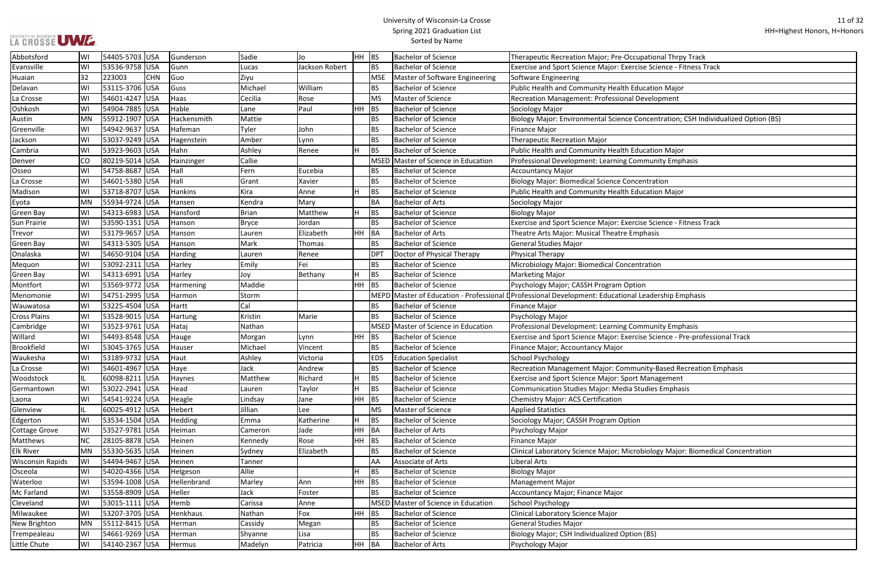#### University of Wisconsin-La Crosse Spring 2021 Graduation List Sorted by Name

ise Science - Fitness Track

### oncentration; CSH Individualized Option (BS)

**Ise Science - Fitness Track** 

ise Science - Pre-professional Track

| Abbotsford              | WI        | 54405-5703 USA           | Gunderson   | Sadie        | Jo             | <b>HH</b> | <b>BS</b>       | <b>Bachelor of Science</b>          | Therapeutic Recreation Major; Pre-Occupational Thrpy Track                                         |
|-------------------------|-----------|--------------------------|-------------|--------------|----------------|-----------|-----------------|-------------------------------------|----------------------------------------------------------------------------------------------------|
| Evansville              | WI        | 53536-9758 USA           | Gunn        | Lucas        | Jackson Robert |           | <b>BS</b>       | <b>Bachelor of Science</b>          | Exercise and Sport Science Major: Exercise Science - Fitness T                                     |
| Huaian                  | 32        | 223003<br><b>CHN</b>     | Guo         | Ziyu         |                |           | <b>MSE</b>      | Master of Software Engineering      | Software Engineering                                                                               |
| Delavan                 | WI        | 53115-3706 USA           | Guss        | Michael      | William        |           | <b>BS</b>       | <b>Bachelor of Science</b>          | Public Health and Community Health Education Major                                                 |
| La Crosse               | WI        | 54601-4247 USA           | Haas        | Cecilia      | Rose           |           | MS              | Master of Science                   | Recreation Management: Professional Development                                                    |
| Oshkosh                 | WI        | 54904-7885 USA           | Hable       | Lane         | Paul           | <b>HH</b> | <b>BS</b>       | <b>Bachelor of Science</b>          | Sociology Major                                                                                    |
| Austin                  | MN        | 55912-1907 USA           | Hackensmith | Mattie       |                |           | <b>BS</b>       | <b>Bachelor of Science</b>          | Biology Major: Environmental Science Concentration; CSH Ind                                        |
| Greenville              | WI        | 54942-9637<br><b>USA</b> | Hafeman     | Tyler        | John           |           | <b>BS</b>       | <b>Bachelor of Science</b>          | <b>Finance Major</b>                                                                               |
| Jackson                 | WI        | 53037-9249 USA           | Hagenstein  | Amber        | Lynn           |           | <b>BS</b>       | <b>Bachelor of Science</b>          | <b>Therapeutic Recreation Major</b>                                                                |
| Cambria                 | WI        | 53923-9603<br>USA        | Hahn        | Ashley       | Renee          | H         | BS              | <b>Bachelor of Science</b>          | Public Health and Community Health Education Major                                                 |
| Denver                  | CO        | 80219-5014 USA           | Hainzinger  | Callie       |                |           |                 | MSED Master of Science in Education | Professional Development: Learning Community Emphasis                                              |
| Osseo                   | WI        | 54758-8687 USA           | Hall        | Fern         | Eucebia        |           | <b>BS</b>       | <b>Bachelor of Science</b>          | Accountancy Major                                                                                  |
| La Crosse               | WI        | 54601-5380 USA           | Hall        | Grant        | Xavier         |           | <b>BS</b>       | <b>Bachelor of Science</b>          | <b>Biology Major: Biomedical Science Concentration</b>                                             |
| Madison                 | WI        | 53718-8707 USA           | Hankins     | Kira         | Anne           | H.        | BS              | <b>Bachelor of Science</b>          | Public Health and Community Health Education Major                                                 |
| Eyota                   | <b>MN</b> | 55934-9724 USA           | Hansen      | Kendra       | Mary           |           | <b>BA</b>       | <b>Bachelor of Arts</b>             | Sociology Major                                                                                    |
| <b>Green Bay</b>        | WI        | 54313-6983 USA           | Hansford    | <b>Brian</b> | Matthew        | н         | BS              | <b>Bachelor of Science</b>          | <b>Biology Major</b>                                                                               |
| <b>Sun Prairie</b>      | WI        | 53590-1351 USA           | Hanson      | <b>Bryce</b> | Jordan         |           | <b>BS</b>       | <b>Bachelor of Science</b>          | Exercise and Sport Science Major: Exercise Science - Fitness T                                     |
| Trevor                  | WI        | 53179-9657 USA           | Hanson      | Lauren       | Elizabeth      | HH.       | BA              | <b>Bachelor of Arts</b>             | Theatre Arts Major: Musical Theatre Emphasis                                                       |
| <b>Green Bay</b>        | WI        | 54313-5305  USA          | Hanson      | Mark         | Thomas         |           | <b>BS</b>       | <b>Bachelor of Science</b>          | <b>General Studies Major</b>                                                                       |
| Onalaska                | WI        | 54650-9104 USA           | Harding     | Lauren       | Renee          |           | DP <sub>1</sub> | Doctor of Physical Therapy          | Physical Therapy                                                                                   |
| Mequon                  | WI        | 53092-2311 USA           | Harley      | Emily        | Fei            |           | <b>BS</b>       | <b>Bachelor of Science</b>          | Microbiology Major: Biomedical Concentration                                                       |
| <b>Green Bay</b>        | WI        | 54313-6991 USA           | Harley      | Joy          | Bethany        | H         | BS              | <b>Bachelor of Science</b>          | <b>Marketing Major</b>                                                                             |
| Montfort                | WI        | 53569-9772 USA           | Harmening   | Maddie       |                | HH        | BS              | <b>Bachelor of Science</b>          | Psychology Major; CASSH Program Option                                                             |
| Menomonie               | WI        | 54751-2995 USA           | Harmon      | Storm        |                |           |                 |                                     | MEPD Master of Education - Professional DProfessional Development: Educational Leadership Emphasis |
| Wauwatosa               | WI        | 53225-4504 USA           | Hartt       | Cal          |                |           | <b>BS</b>       | <b>Bachelor of Science</b>          | <b>Finance Major</b>                                                                               |
| <b>Cross Plains</b>     | WI        | 53528-9015  USA          | Hartung     | Kristin      | Marie          |           | BS              | <b>Bachelor of Science</b>          | Psychology Major                                                                                   |
| Cambridge               | WI        | 53523-9761<br><b>USA</b> | Hataj       | Nathan       |                |           |                 | MSED Master of Science in Education | Professional Development: Learning Community Emphasis                                              |
| Willard                 | WI        | 54493-8548 USA           | Hauge       | Morgan       | Lynn           | <b>HH</b> | BS              | <b>Bachelor of Science</b>          | Exercise and Sport Science Major: Exercise Science - Pre-prof                                      |
| <b>Brookfield</b>       | WI        | 53045-3765 USA           | Hauser      | Michael      | Vincent        |           | <b>BS</b>       | <b>Bachelor of Science</b>          | Finance Major; Accountancy Major                                                                   |
| Waukesha                | WI        | 53189-9732 USA           | Haut        | Ashley       | Victoria       |           | <b>EDS</b>      | <b>Education Specialist</b>         | <b>School Psychology</b>                                                                           |
| La Crosse               | WI        | 54601-4967 USA           | Haye        | Jack         | Andrew         |           | <b>BS</b>       | <b>Bachelor of Science</b>          | Recreation Management Major: Community-Based Recreatio                                             |
| Woodstock               | IL        | 60098-8211 USA           | Haynes      | Matthew      | Richard        | H         | BS              | <b>Bachelor of Science</b>          | <b>Exercise and Sport Science Major: Sport Management</b>                                          |
| Germantown              | WI        | 53022-2941 USA           | Head        | Lauren       | Taylor         | H.        | BS              | <b>Bachelor of Science</b>          | Communication Studies Major: Media Studies Emphasis                                                |
| Laona                   | WI        | 54541-9224 USA           | Heagle      | Lindsay      | Jane           | <b>HH</b> | BS              | <b>Bachelor of Science</b>          | Chemistry Major: ACS Certification                                                                 |
| Glenview                | IL        | 60025-4912 USA           | Hebert      | Jillian      | Lee            |           | <b>MS</b>       | Master of Science                   | <b>Applied Statistics</b>                                                                          |
| Edgerton                | WI        | 53534-1504 USA           | Hedding     | Emma         | Katherine      | H         | <b>BS</b>       | <b>Bachelor of Science</b>          | Sociology Major; CASSH Program Option                                                              |
| <b>Cottage Grove</b>    | WI        | 53527-9781 USA           | Heiman      | Cameron      | Jade           | <b>HH</b> | BA              | <b>Bachelor of Arts</b>             | Psychology Major                                                                                   |
| Matthews                | <b>NC</b> | 28105-8878 USA           | Heinen      | Kennedy      | Rose           | <b>HH</b> | BS              | <b>Bachelor of Science</b>          | <b>Finance Major</b>                                                                               |
| <b>Elk River</b>        | MN        | 55330-5635 USA           | Heinen      | Sydney       | Elizabeth      |           | BS              | <b>Bachelor of Science</b>          | Clinical Laboratory Science Major; Microbiology Major: Biome                                       |
| <b>Wisconsin Rapids</b> | WI        | 54494-9467 USA           | Heinen      | Tanner       |                |           | AA              | Associate of Arts                   | Liberal Arts                                                                                       |
| Osceola                 | WI        | 54020-4366 USA           | Helgeson    | Allie        |                |           | BS              | <b>Bachelor of Science</b>          | <b>Biology Major</b>                                                                               |
| Waterloo                | WI        | 53594-1008 USA           | Hellenbrand | Marley       | Ann            | HH        | BS              | <b>Bachelor of Science</b>          | <b>Management Major</b>                                                                            |
| Mc Farland              | WI        | 53558-8909 USA           | Heller      | Jack         | Foster         |           | <b>BS</b>       | <b>Bachelor of Science</b>          | Accountancy Major; Finance Major                                                                   |
| Cleveland               | WI        | 53015-1111 USA           | Hemb        | Carissa      | Anne           |           |                 | MSED Master of Science in Education | School Psychology                                                                                  |
| Milwaukee               | WI        | 53207-3705 USA           | Henkhaus    | Nathan       | Fox            | HH        | <b>BS</b>       | <b>Bachelor of Science</b>          | Clinical Laboratory Science Major                                                                  |
| New Brighton            | MN        | 55112-8415 USA           | Herman      | Cassidy      | Megan          |           | <b>BS</b>       | <b>Bachelor of Science</b>          | General Studies Major                                                                              |
| Trempealeau             | WI        | 54661-9269 USA           | Herman      | Shyanne      | Lisa           |           | <b>BS</b>       | <b>Bachelor of Science</b>          | Biology Major; CSH Individualized Option (BS)                                                      |
| Little Chute            | WI        | 54140-2367 USA           | Hermus      | Madelyn      | Patricia       | HH        | BA              | <b>Bachelor of Arts</b>             | Psychology Major                                                                                   |
|                         |           |                          |             |              |                |           |                 |                                     |                                                                                                    |

LA CROSSE UWE

La Crosse WI 54601-4967 USA Haye Jack Andrew BS Bachelor of Science Recreation Management Major: Community-Based Recreation Emphasis

biology Major: Biomedical Concentration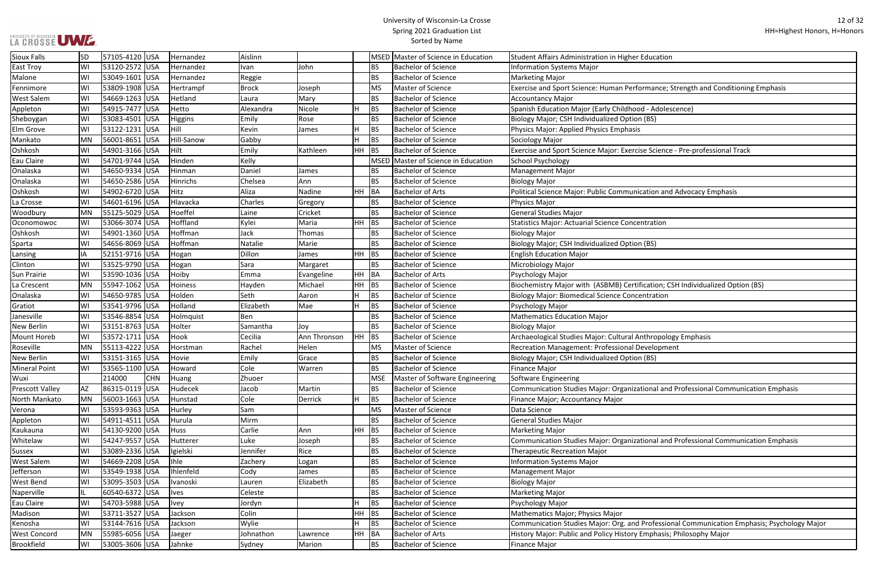#### University of Wisconsin-La Crosse Spring 2021 Graduation List Sorted by Name

#### ormance; Strength and Conditioning Emphasis

se Science - Pre-professional Track

ication and Advocacy Emphasis

fication; CSH Individualized Option (BS)

nthropology Emphasis

tional and Professional Communication Emphasis

tional and Professional Communication Emphasis

Refessional Communication Emphasis; Psychology Major: Org. and Professional Communication Emphasis; Psychology Major Emphasis; Philosophy Major

| <b>Sioux Falls</b>     | <b>SD</b> | 57105-4120 USA |            | Hernandez   | Aislinn   |              |           |             | MSED Master of Science in Education | Student Affairs Administration in Higher Education         |
|------------------------|-----------|----------------|------------|-------------|-----------|--------------|-----------|-------------|-------------------------------------|------------------------------------------------------------|
| <b>East Troy</b>       | WI        | 53120-2572 USA |            | Hernandez   | Ivan      | John         |           | <b>BS</b>   | <b>Bachelor of Science</b>          | <b>Information Systems Major</b>                           |
| Malone                 | WI        | 53049-1601 USA |            | Hernandez   | Reggie    |              |           | <b>BS</b>   | <b>Bachelor of Science</b>          | <b>Marketing Major</b>                                     |
| Fennimore              | WI        | 53809-1908 USA |            | Hertrampf   | Brock     | Joseph       |           | <b>MS</b>   | Master of Science                   | Exercise and Sport Science: Human Performance; Strengtl    |
| <b>West Salem</b>      | WI        | 54669-1263 USA |            | Hetland     | Laura     | Mary         |           | <b>BS</b>   | <b>Bachelor of Science</b>          | <b>Accountancy Major</b>                                   |
| Appleton               | WI        | 54915-7477 USA |            | Hetto       | Alexandra | Nicole       | H         | <b>BS</b>   | <b>Bachelor of Science</b>          | Spanish Education Major (Early Childhood - Adolescence)    |
| Sheboygan              | WI        | 53083-4501 USA |            | Higgins     | Emily     | Rose         |           | <b>BS</b>   | <b>Bachelor of Science</b>          | <b>Biology Major; CSH Individualized Option (BS)</b>       |
| Elm Grove              | WI        | 53122-1231 USA |            | Hill        | Kevin     | James        |           | <b>BS</b>   | <b>Bachelor of Science</b>          | Physics Major: Applied Physics Emphasis                    |
| Mankato                | MN        | 56001-8651 USA |            | Hill-Sanow  | Gabby     |              |           | <b>BS</b>   | <b>Bachelor of Science</b>          | Sociology Major                                            |
| Oshkosh                | WI        | 54901-3166 USA |            | Hilt        | Emily     | Kathleen     | <b>HH</b> | <b>BS</b>   | <b>Bachelor of Science</b>          | Exercise and Sport Science Major: Exercise Science - Pre-p |
| Eau Claire             | WI        | 54701-9744 USA |            | Hinden      | Kelly     |              |           | <b>MSED</b> | Master of Science in Education      | <b>School Psychology</b>                                   |
| Onalaska               | WI        | 54650-9334 USA |            | Hinman      | Daniel    | James        |           | <b>BS</b>   | <b>Bachelor of Science</b>          | <b>Management Major</b>                                    |
| Onalaska               | WI        | 54650-2586 USA |            | Hinrichs    | Chelsea   | Ann          |           | <b>BS</b>   | <b>Bachelor of Science</b>          | <b>Biology Major</b>                                       |
| Oshkosh                | WI        | 54902-6720 USA |            | Hitz        | Aliza     | Nadine       |           | HH BA       | <b>Bachelor of Arts</b>             | Political Science Major: Public Communication and Advoc    |
| La Crosse              | WI        | 54601-6196 USA |            | Hlavacka    | Charles   | Gregory      |           | <b>BS</b>   | <b>Bachelor of Science</b>          | Physics Major                                              |
| Woodbury               | <b>MN</b> | 55125-5029 USA |            | Hoeffel     | Laine     | Cricket      |           | <b>BS</b>   | <b>Bachelor of Science</b>          | <b>General Studies Major</b>                               |
| Oconomowoc             | WI        | 53066-3074 USA |            | Hoffland    | Kylei     | Maria        | HH.       | BS          | <b>Bachelor of Science</b>          | <b>Statistics Major: Actuarial Science Concentration</b>   |
| Oshkosh                | WI        | 54901-1360 USA |            | Hoffman     | Jack      | Thomas       |           | <b>BS</b>   | <b>Bachelor of Science</b>          | <b>Biology Major</b>                                       |
| Sparta                 | WI        | 54656-8069 USA |            | Hoffman     | Natalie   | Marie        |           | <b>BS</b>   | <b>Bachelor of Science</b>          | Biology Major; CSH Individualized Option (BS)              |
| Lansing                | ΙA        | 52151-9716 USA |            | Hogan       | Dillon    | James        | HH BS     |             | <b>Bachelor of Science</b>          | <b>English Education Major</b>                             |
| Clinton                | WI        | 53525-9790 USA |            | Hogan       | Sara      | Margaret     |           | <b>BS</b>   | <b>Bachelor of Science</b>          | Microbiology Major                                         |
| <b>Sun Prairie</b>     | WI        | 53590-1036 USA |            | Hoiby       | Emma      | Evangeline   | HH BA     |             | <b>Bachelor of Arts</b>             | Psychology Major                                           |
| La Crescent            | MN        | 55947-1062 USA |            | Hoiness     | Hayden    | Michael      |           | $HH$ BS     | <b>Bachelor of Science</b>          | Biochemistry Major with (ASBMB) Certification; CSH Indiv   |
| Onalaska               | WI        | 54650-9785 USA |            | Holden      | Seth      | Aaron        | н         | <b>BS</b>   | <b>Bachelor of Science</b>          | <b>Biology Major: Biomedical Science Concentration</b>     |
| Gratiot                | WI        | 53541-9796 USA |            | Holland     | Elizabeth | Mae          | H         | <b>BS</b>   | <b>Bachelor of Science</b>          | Psychology Major                                           |
| Janesville             | WI        | 53546-8854 USA |            | Holmquist   | Ben       |              |           | <b>BS</b>   | <b>Bachelor of Science</b>          | <b>Mathematics Education Major</b>                         |
| <b>New Berlin</b>      | WI        | 53151-8763 USA |            | Holter      | Samantha  | Joy          |           | <b>BS</b>   | <b>Bachelor of Science</b>          | <b>Biology Major</b>                                       |
| Mount Horeb            | WI        | 53572-1711 USA |            | Hook        | Cecilia   | Ann Thronson | HH.       | BS          | <b>Bachelor of Science</b>          | Archaeological Studies Major: Cultural Anthropology Emp    |
| Roseville              | MN        | 55113-4222 USA |            | Horstman    | Rachel    | Helen        |           | <b>MS</b>   | Master of Science                   | Recreation Management: Professional Development            |
| <b>New Berlin</b>      | WI        | 53151-3165 USA |            | Hovie       | Emily     | Grace        |           | <b>BS</b>   | <b>Bachelor of Science</b>          | Biology Major; CSH Individualized Option (BS)              |
| <b>Mineral Point</b>   | WI        | 53565-1100 USA |            | Howard      | Cole      | Warren       |           | <b>BS</b>   | <b>Bachelor of Science</b>          | Finance Major                                              |
| Wuxi                   |           | 214000         | <b>CHN</b> | Huang       | Zhuoer    |              |           | <b>MSE</b>  | Master of Software Engineering      | Software Engineering                                       |
| <b>Prescott Valley</b> | AZ        | 86315-0119 USA |            | Hudecek     | Jacob     | Martin       |           | <b>BS</b>   | <b>Bachelor of Science</b>          | Communication Studies Major: Organizational and Profes     |
| North Mankato          | MN        | 56003-1663 USA |            | Hunstad     | Cole      | Derrick      | Η         | BS          | <b>Bachelor of Science</b>          | Finance Major; Accountancy Major                           |
| Verona                 | WI        | 53593-9363 USA |            | Hurley      | Sam       |              |           | <b>MS</b>   | Master of Science                   | Data Science                                               |
| Appleton               | WI        | 54911-4511 USA |            | Hurula      | Mirm      |              |           | <b>BS</b>   | <b>Bachelor of Science</b>          | <b>General Studies Major</b>                               |
| Kaukauna               | WI        | 54130-9200 USA |            | Huss        | Carlie    | Ann          | HH BS     |             | <b>Bachelor of Science</b>          | <b>Marketing Major</b>                                     |
| Whitelaw               | WI        | 54247-9557 USA |            | Hutterer    | Luke      | Joseph       |           | <b>BS</b>   | <b>Bachelor of Science</b>          | Communication Studies Major: Organizational and Profes     |
| Sussex                 | WI        | 53089-2336 USA |            | Igielski    | Jennifer  | Rice         |           | <b>BS</b>   | <b>Bachelor of Science</b>          | <b>Therapeutic Recreation Major</b>                        |
| <b>West Salem</b>      | WI        | 54669-2208 USA |            | lhle        | Zachery   | Logan        |           | <b>BS</b>   | <b>Bachelor of Science</b>          | <b>Information Systems Major</b>                           |
| Jefferson              | WI        | 53549-1938 USA |            | Ihlenfeld   | Cody      | James        |           | <b>BS</b>   | <b>Bachelor of Science</b>          | <b>Management Major</b>                                    |
| <b>West Bend</b>       | WI        | 53095-3503 USA |            | Ivanoski    | Lauren    | Elizabeth    |           | <b>BS</b>   | <b>Bachelor of Science</b>          | <b>Biology Major</b>                                       |
| Naperville             | IL.       | 60540-6372 USA |            | <b>Ives</b> | Celeste   |              |           | <b>BS</b>   | <b>Bachelor of Science</b>          | <b>Marketing Major</b>                                     |
| Eau Claire             | WI        | 54703-5988 USA |            | <b>Ivey</b> | Jordyn    |              |           | <b>BS</b>   | <b>Bachelor of Science</b>          | Psychology Major                                           |
| Madison                | WI        | 53711-3527 USA |            | Jackson     | Colin     |              | <b>HH</b> | <b>BS</b>   | <b>Bachelor of Science</b>          | Mathematics Major; Physics Major                           |
| Kenosha                | WI        | 53144-7616 USA |            | Jackson     | Wylie     |              |           | <b>BS</b>   | <b>Bachelor of Science</b>          | Communication Studies Major: Org. and Professional Con     |
| <b>West Concord</b>    | MN        | 55985-6056 USA |            | Jaeger      | Johnathon | Lawrence     |           | HH BA       | <b>Bachelor of Arts</b>             | History Major: Public and Policy History Emphasis; Philoso |
| Brookfield             | WI        | 53005-3606 USA |            | Jahnke      | Sydney    | Marion       |           | <b>BS</b>   | <b>Bachelor of Science</b>          | Finance Major                                              |
|                        |           |                |            |             |           |              |           |             |                                     |                                                            |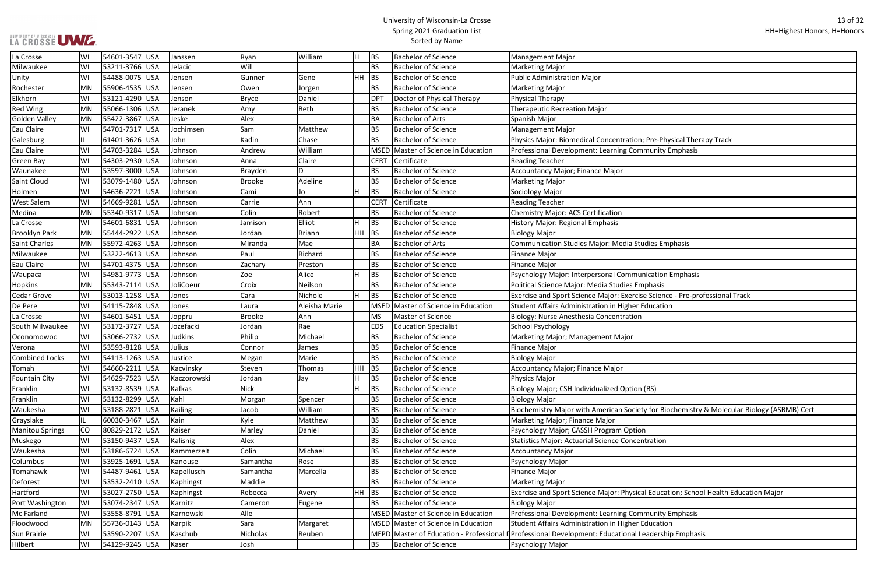# UNIVERSITY OF WISCONSIN<br>LA CROSSE UWE

| Pre-Physical Therapy Track                          |
|-----------------------------------------------------|
| munity Emphasis                                     |
|                                                     |
|                                                     |
|                                                     |
|                                                     |
|                                                     |
|                                                     |
|                                                     |
|                                                     |
|                                                     |
| dies Emphasis                                       |
|                                                     |
|                                                     |
| nication Emphasis                                   |
|                                                     |
| phasis                                              |
| e Science - Pre-professional Track                  |
| ducation                                            |
|                                                     |
|                                                     |
|                                                     |
|                                                     |
|                                                     |
|                                                     |
|                                                     |
|                                                     |
| (BS)                                                |
|                                                     |
| y for Biochemistry & Molecular Biology (ASBMB) Cert |
|                                                     |
| ٦                                                   |
| itration                                            |
|                                                     |
|                                                     |
|                                                     |
|                                                     |
|                                                     |
| Il Education; School Health Education Major         |
|                                                     |
| munity Emphasis                                     |
| ducation                                            |
| eadership Emphasis                                  |

| La Crosse              | WI        | 54601-3547 USA | Janssen     | Ryan          | William       |       | IBS.        | <b>Bachelor of Science</b>          | Management Major                                                                                   |
|------------------------|-----------|----------------|-------------|---------------|---------------|-------|-------------|-------------------------------------|----------------------------------------------------------------------------------------------------|
| Milwaukee              | WI        | 53211-3766 USA | Jelacic     | Will          |               |       | <b>BS</b>   | <b>Bachelor of Science</b>          | <b>Marketing Major</b>                                                                             |
| Unity                  | WI        | 54488-0075 USA | Jensen      | Gunner        | Gene          | HH.   | <b>BS</b>   | <b>Bachelor of Science</b>          | <b>Public Administration Major</b>                                                                 |
| Rochester              | MN        | 55906-4535 USA | Jensen      | Owen          | Jorgen        |       | BS.         | <b>Bachelor of Science</b>          | <b>Marketing Major</b>                                                                             |
| Elkhorn                | WI        | 53121-4290 USA | Jenson      | <b>Bryce</b>  | Daniel        |       | <b>DPT</b>  | Doctor of Physical Therapy          | Physical Therapy                                                                                   |
| <b>Red Wing</b>        | MN        | 55066-1306 USA | Jeranek     | Amy           | Beth          |       | BS.         | <b>Bachelor of Science</b>          | <b>Therapeutic Recreation Major</b>                                                                |
| <b>Golden Valley</b>   | MN        | 55422-3867 USA | Jeske       | Alex          |               |       | BA          | <b>Bachelor of Arts</b>             | Spanish Major                                                                                      |
| Eau Claire             | WI        | 54701-7317 USA | Jochimsen   | Sam           | Matthew       |       | IBS.        | <b>Bachelor of Science</b>          | Management Major                                                                                   |
| Galesburg              |           | 61401-3626 USA | John        | Kadin         | Chase         |       | BS.         | <b>Bachelor of Science</b>          | Physics Major: Biomedical Concentration; Pre-Physical Therapy Track                                |
| Eau Claire             | WI        | 54703-3284 USA | Johnson     | Andrew        | William       |       |             | MSED Master of Science in Education | Professional Development: Learning Community Emphasis                                              |
| Green Bay              | WI        | 54303-2930 USA | Johnson     | Anna          | Claire        |       | <b>CERT</b> | Certificate                         | <b>Reading Teacher</b>                                                                             |
| Waunakee               | WI        | 53597-3000 USA | Johnson     | Brayden       | D             |       | BS          | <b>Bachelor of Science</b>          | Accountancy Major; Finance Major                                                                   |
| Saint Cloud            | WI        | 53079-1480 USA | Johnson     | <b>Brooke</b> | Adeline       |       | BS.         | <b>Bachelor of Science</b>          | <b>Marketing Major</b>                                                                             |
| Holmen                 | WI        | 54636-2221 USA | Johnson     | Cami          | Jo            |       | <b>BS</b>   | <b>Bachelor of Science</b>          | Sociology Major                                                                                    |
| <b>West Salem</b>      | WI        | 54669-9281 USA | Johnson     | Carrie        | Ann           |       | <b>CERT</b> | Certificate                         | <b>Reading Teacher</b>                                                                             |
| Medina                 | MN        | 55340-9317 USA | Johnson     | Colin         | Robert        |       | BS.         | <b>Bachelor of Science</b>          | Chemistry Major: ACS Certification                                                                 |
| La Crosse              | WI        | 54601-6831 USA | Johnson     | Jamison       | Elliot        |       | <b>BS</b>   | <b>Bachelor of Science</b>          | History Major: Regional Emphasis                                                                   |
| <b>Brooklyn Park</b>   | MN        | 55444-2922 USA | Johnson     | Jordan        | <b>Briann</b> | HН    | <b>BS</b>   | <b>Bachelor of Science</b>          | <b>Biology Major</b>                                                                               |
| <b>Saint Charles</b>   | <b>MN</b> | 55972-4263 USA | Johnson     | Miranda       | Mae           |       | BA          | <b>Bachelor of Arts</b>             | Communication Studies Major: Media Studies Emphasis                                                |
| Milwaukee              | WI        | 53222-4613 USA | Johnson     | Paul          | Richard       |       | BS.         | <b>Bachelor of Science</b>          | Finance Major                                                                                      |
| Eau Claire             | WI        | 54701-4375 USA | Johnson     | Zachary       | Preston       |       | <b>BS</b>   | <b>Bachelor of Science</b>          | Finance Major                                                                                      |
| Waupaca                | WI        | 54981-9773 USA | Johnson     | Zoe           | Alice         | н     | <b>BS</b>   | <b>Bachelor of Science</b>          | Psychology Major: Interpersonal Communication Emphasis                                             |
| <b>Hopkins</b>         | MN        | 55343-7114 USA | JoliCoeur   | Croix         | Neilson       |       | <b>BS</b>   | <b>Bachelor of Science</b>          | Political Science Major: Media Studies Emphasis                                                    |
| <b>Cedar Grove</b>     | WI        | 53013-1258 USA | Jones       | Cara          | Nichole       | H.    | <b>BS</b>   | <b>Bachelor of Science</b>          | Exercise and Sport Science Major: Exercise Science - Pre-professional Track                        |
| De Pere                | WI        | 54115-7848 USA | Jones       | Laura         | Aleisha Marie |       |             | MSED Master of Science in Education | Student Affairs Administration in Higher Education                                                 |
| La Crosse              | WI        | 54601-5451 USA | Joppru      | Brooke        | Ann           |       | MS          | Master of Science                   | Biology: Nurse Anesthesia Concentration                                                            |
| South Milwaukee        | WI        | 53172-3727 USA | Jozefacki   | Jordan        | Rae           |       | <b>EDS</b>  | <b>Education Specialist</b>         | School Psychology                                                                                  |
| Oconomowoc             | WI        | 53066-2732 USA | Judkins     | Philip        | Michael       |       | BS.         | <b>Bachelor of Science</b>          | Marketing Major; Management Major                                                                  |
| Verona                 | WI        | 53593-8128 USA | Julius      | Connor        | James         |       | <b>BS</b>   | <b>Bachelor of Science</b>          | Finance Major                                                                                      |
| <b>Combined Locks</b>  | W١        | 54113-1263 USA | Justice     | Megan         | Marie         |       | <b>BS</b>   | <b>Bachelor of Science</b>          | <b>Biology Major</b>                                                                               |
| Tomah                  | WI        | 54660-2211 USA | Kacvinsky   | Steven        | Thomas        | HН    | BS          | <b>Bachelor of Science</b>          | Accountancy Major; Finance Major                                                                   |
| <b>Fountain City</b>   | WI        | 54629-7523 USA | Kaczorowski | Jordan        | Jay           | н     | <b>BS</b>   | <b>Bachelor of Science</b>          | Physics Major                                                                                      |
| Franklin               | WI        | 53132-8539 USA | Kafkas      | Nick          |               |       | <b>BS</b>   | <b>Bachelor of Science</b>          | Biology Major; CSH Individualized Option (BS)                                                      |
| Franklin               | WI        | 53132-8299 USA | Kahl        | Morgan        | Spencer       |       | <b>BS</b>   | <b>Bachelor of Science</b>          | <b>Biology Major</b>                                                                               |
| Waukesha               | WI        | 53188-2821 USA | Kailing     | Jacob         | William       |       | <b>BS</b>   | <b>Bachelor of Science</b>          | Biochemistry Major with American Society for Biochemistry & Molecular Biology (ASBMB) Cert         |
| Grayslake              | IL        | 60030-3467 USA | Kain        | Kyle          | Matthew       |       | <b>BS</b>   | <b>Bachelor of Science</b>          | Marketing Major; Finance Major                                                                     |
| <b>Manitou Springs</b> | CO        | 80829-2172 USA | Kaiser      | Marley        | Daniel        |       | <b>BS</b>   | <b>Bachelor of Science</b>          | Psychology Major; CASSH Program Option                                                             |
| Muskego                | WI        | 53150-9437 USA | Kalisnig    | Alex          |               |       | <b>BS</b>   | <b>Bachelor of Science</b>          | Statistics Major: Actuarial Science Concentration                                                  |
| Waukesha               | WI        | 53186-6724 USA | Kammerzelt  | Colin         | Michael       |       | BS.         | <b>Bachelor of Science</b>          | <b>Accountancy Major</b>                                                                           |
| Columbus               | WI        | 53925-1691 USA | Kanouse     | Samantha      | Rose          |       | <b>BS</b>   | <b>Bachelor of Science</b>          | Psychology Major                                                                                   |
| Tomahawk               | WI        | 54487-9461 USA | Kapellusch  | Samantha      | Marcella      |       | <b>BS</b>   | <b>Bachelor of Science</b>          | Finance Major                                                                                      |
| Deforest               | WI        | 53532-2410 USA | Kaphingst   | Maddie        |               |       | BS.         | <b>Bachelor of Science</b>          | <b>Marketing Major</b>                                                                             |
| Hartford               | WI        | 53027-2750 USA | Kaphingst   | Rebecca       | Avery         | HH BS |             | <b>Bachelor of Science</b>          | Exercise and Sport Science Major: Physical Education; School Health Education Major                |
| Port Washington        | WI        | 53074-2347 USA | Karnitz     | Cameron       | Eugene        |       | <b>BS</b>   | <b>Bachelor of Science</b>          | <b>Biology Major</b>                                                                               |
| Mc Farland             | WI        | 53558-8791 USA | Karnowski   | Alle          |               |       |             | MSED Master of Science in Education | Professional Development: Learning Community Emphasis                                              |
| Floodwood              | MN        | 55736-0143 USA | Karpik      | Sara          | Margaret      |       |             | MSED Master of Science in Education | Student Affairs Administration in Higher Education                                                 |
| Sun Prairie            | WI        | 53590-2207 USA | Kaschub     | Nicholas      | Reuben        |       |             |                                     | MEPD Master of Education - Professional Derofessional Development: Educational Leadership Emphasis |
| Hilbert                | WI        | 54129-9245 USA | Kaser       | Josh          |               |       | <b>BS</b>   | <b>Bachelor of Science</b>          | Psychology Major                                                                                   |
|                        |           |                |             |               |               |       |             |                                     |                                                                                                    |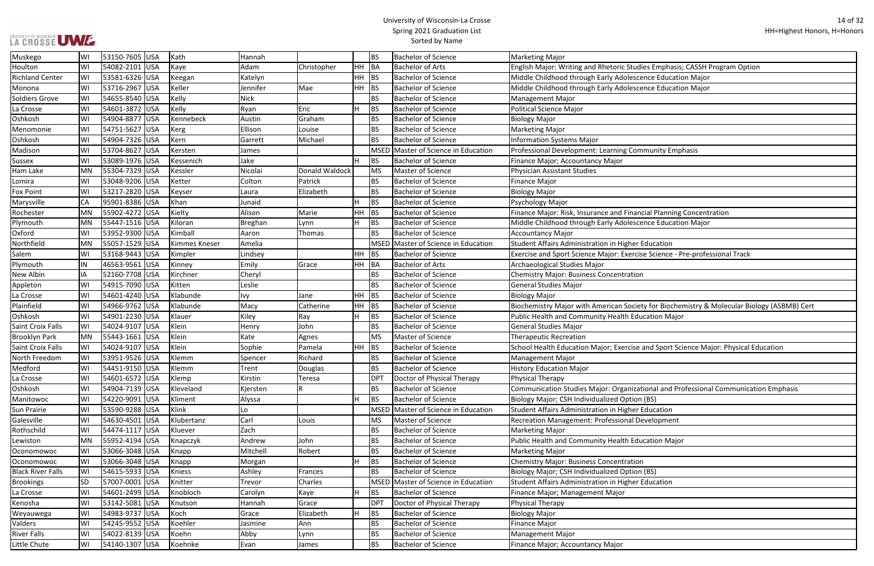# LA CROSSE UMZ

#### University of Wisconsin-La Crosse Spring 2021 Graduation List Sorted by Name

ence Education Major ence Education Major cial Planning Concentration Phoe Education Major se Science - Pre-professional Track Plathering Windering Wishers Andre Macy Catherine Hydror Biochemistry & Molecular Biology (ASBMB) Cert and Sport Science Major: Physical Education ional and Professional Communication Emphasis

| Muskego                  | WI        | 53150-7605 USA | Kath          | Hannah      |                |     | <b>BS</b>       | <b>Bachelor of Science</b>          | <b>Marketing Major</b>                                                        |
|--------------------------|-----------|----------------|---------------|-------------|----------------|-----|-----------------|-------------------------------------|-------------------------------------------------------------------------------|
| Houlton                  | WI        | 54082-2101 USA | Kaye          | Adam        | Christopher    | HH. | BA              | <b>Bachelor of Arts</b>             | English Major: Writing and Rhetoric Studies Emphasis; CASSH Program Option    |
| <b>Richland Center</b>   | WI        | 53581-6326 USA | Keegan        | Katelyn     |                | HH  | BS              | <b>Bachelor of Science</b>          | Middle Childhood through Early Adolescence Education Major                    |
| Monona                   | WI        | 53716-2967 USA | Keller        | Jennifer    | Mae            |     | $HH$ BS         | <b>Bachelor of Science</b>          | Middle Childhood through Early Adolescence Education Major                    |
| Soldiers Grove           | WI        | 54655-8540 USA | Kelly         | <b>Nick</b> |                |     | <b>BS</b>       | <b>Bachelor of Science</b>          | <b>Management Major</b>                                                       |
| La Crosse                | WI        | 54601-3872 USA | Kelly         | Ryan        | Eric           | н   | <b>BS</b>       | <b>Bachelor of Science</b>          | <b>Political Science Major</b>                                                |
| Oshkosh                  | WI        | 54904-8877 USA | Kennebeck     | Austin      | Graham         |     | <b>BS</b>       | <b>Bachelor of Science</b>          | <b>Biology Major</b>                                                          |
| Menomonie                | WI        | 54751-5627 USA | Kerg          | Ellison     | Louise         |     | <b>BS</b>       | <b>Bachelor of Science</b>          | <b>Marketing Major</b>                                                        |
| Oshkosh                  | WI        | 54904-7326 USA | Kern          | Garrett     | Michael        |     | <b>BS</b>       | <b>Bachelor of Science</b>          | <b>Information Systems Major</b>                                              |
| Madison                  | WI        | 53704-8627 USA | Kersten       | James       |                |     | <b>MSED</b>     | Master of Science in Education      | Professional Development: Learning Community Emphasis                         |
| <b>Sussex</b>            | WI        | 53089-1976 USA | Kessenich     | Jake        |                |     | <b>BS</b>       | <b>Bachelor of Science</b>          | Finance Major; Accountancy Major                                              |
| Ham Lake                 | <b>MN</b> | 55304-7329 USA | Kessler       | Nicolai     | Donald Waldock |     | <b>MS</b>       | Master of Science                   | <b>Physician Assistant Studies</b>                                            |
| Lomira                   | WI        | 53048-9206 USA | Ketter        | Colton      | Patrick        |     | <b>BS</b>       | <b>Bachelor of Science</b>          | Finance Major                                                                 |
| <b>Fox Point</b>         | WI        | 53217-2820 USA | Keyser        | Laura       | Elizabeth      |     | <b>BS</b>       | <b>Bachelor of Science</b>          | <b>Biology Major</b>                                                          |
| Marysville               | <b>CA</b> | 95901-8386 USA | Khan          | Junaid      |                |     | <b>BS</b>       | <b>Bachelor of Science</b>          | Psychology Major                                                              |
| Rochester                | MN        | 55902-4272 USA | Kielty        | Alison      | Marie          | HH  | BS              | <b>Bachelor of Science</b>          | Finance Major: Risk, Insurance and Financial Planning Concentration           |
| Plymouth                 | <b>MN</b> | 55447-1516 USA | Kiloran       | Breghan     | Lynn           | H   | <b>BS</b>       | <b>Bachelor of Science</b>          | Middle Childhood through Early Adolescence Education Major                    |
| Oxford                   | WI        | 53952-9300 USA | Kimball       | Aaron       | Thomas         |     | <b>BS</b>       | <b>Bachelor of Science</b>          | <b>Accountancy Major</b>                                                      |
| Northfield               | <b>MN</b> | 55057-1529 USA | Kimmes Kneser | Amelia      |                |     |                 | MSED Master of Science in Education | Student Affairs Administration in Higher Education                            |
| Salem                    | WI        | 53168-9443 USA | Kimpler       | Lindsey     |                | HH. | BS              | <b>Bachelor of Science</b>          | Exercise and Sport Science Major: Exercise Science - Pre-professional Track   |
| Plymouth                 | IN        | 46563-9561 USA | Kinney        | Emily       | Grace          |     | HH BA           | <b>Bachelor of Arts</b>             | Archaeological Studies Major                                                  |
| New Albin                | IA        | 52160-7708 USA | Kirchner      | Cheryl      |                |     | <b>BS</b>       | <b>Bachelor of Science</b>          | <b>Chemistry Major: Business Concentration</b>                                |
| Appleton                 | WI        | 54915-7090 USA | Kitten        | Leslie      |                |     | <b>BS</b>       | <b>Bachelor of Science</b>          | <b>General Studies Major</b>                                                  |
| La Crosse                | WI        | 54601-4240 USA | Klabunde      | Ivy         | Jane           | HH. | <b>BS</b>       | <b>Bachelor of Science</b>          | <b>Biology Major</b>                                                          |
| Plainfield               | WI        | 54966-9762 USA | Klabunde      | Macy        | Catherine      |     | $HH$ BS         | <b>Bachelor of Science</b>          | Biochemistry Major with American Society for Biochemistry & Molecular Biolo   |
| Oshkosh                  | WI        | 54901-2230 USA | Klauer        | Kiley       | Ray            |     | <b>BS</b>       | <b>Bachelor of Science</b>          | Public Health and Community Health Education Major                            |
| Saint Croix Falls        | WI        | 54024-9107 USA | Klein         | Henry       | John           |     | <b>BS</b>       | <b>Bachelor of Science</b>          | <b>General Studies Major</b>                                                  |
| <b>Brooklyn Park</b>     | MN        | 55443-1661 USA | Klein         | Kate        | Agnes          |     | <b>MS</b>       | Master of Science                   | <b>Therapeutic Recreation</b>                                                 |
| Saint Croix Falls        | WI        | 54024-9107 USA | Klein         | Sophie      | Pamela         |     | $HH$ BS         | <b>Bachelor of Science</b>          | School Health Education Major; Exercise and Sport Science Major: Physical Edu |
| North Freedom            | WI        | 53951-9526 USA | Klemm         | Spencer     | Richard        |     | <b>BS</b>       | <b>Bachelor of Science</b>          | <b>Management Major</b>                                                       |
| Medford                  | WI        | 54451-9150 USA | Klemm         | Trent       | Douglas        |     | <b>BS</b>       | <b>Bachelor of Science</b>          | <b>History Education Major</b>                                                |
| La Crosse                | WI        | 54601-6572 USA | Klemp         | Kirstin     | Teresa         |     | <b>DPT</b>      | Doctor of Physical Therapy          | <b>Physical Therapy</b>                                                       |
| Oshkosh                  | WI        | 54904-7139 USA | Kleveland     | Kjersten    |                |     | <b>BS</b>       | <b>Bachelor of Science</b>          | Communication Studies Major: Organizational and Professional Communicatio     |
| Manitowoc                | WI        | 54220-9091 USA | Kliment       | Alyssa      |                |     | <b>BS</b>       | <b>Bachelor of Science</b>          | Biology Major; CSH Individualized Option (BS)                                 |
| Sun Prairie              | WI        | 53590-9288 USA | Klink         | Lo          |                |     | <b>MSED</b>     | Master of Science in Education      | Student Affairs Administration in Higher Education                            |
| Galesville               | WI        | 54630-4501 USA | Klubertanz    | Carl        | Louis          |     | <b>MS</b>       | Master of Science                   | Recreation Management: Professional Development                               |
| Rothschild               | WI        | 54474-1117 USA | Kluever       | Zach        |                |     | <b>BS</b>       | <b>Bachelor of Science</b>          | <b>Marketing Major</b>                                                        |
| Lewiston                 | <b>MN</b> | 55952-4194 USA | Knapczyk      | Andrew      | John           |     | <b>BS</b>       | <b>Bachelor of Science</b>          | Public Health and Community Health Education Major                            |
| Oconomowoc               | WI        | 53066-3048 USA | Knapp         | Mitchell    | Robert         |     | <b>BS</b>       | <b>Bachelor of Science</b>          | <b>Marketing Major</b>                                                        |
| Oconomowoc               | WI        | 53066-3048 USA | Knapp         | Morgan      |                |     | <b>BS</b>       | <b>Bachelor of Science</b>          | <b>Chemistry Major: Business Concentration</b>                                |
| <b>Black River Falls</b> | WI        | 54615-5933 USA | Kniess        | Ashley      | Frances        |     | <b>BS</b>       | <b>Bachelor of Science</b>          | Biology Major; CSH Individualized Option (BS)                                 |
| <b>Brookings</b>         | <b>SD</b> | 57007-0001 USA | Knitter       | Trevor      | Charles        |     |                 | MSED Master of Science in Education | Student Affairs Administration in Higher Education                            |
| La Crosse                | WI        | 54601-2499 USA | Knobloch      | Carolyn     | Kaye           |     | <b>BS</b>       | <b>Bachelor of Science</b>          | Finance Major; Management Major                                               |
| Kenosha                  | WI        | 53142-5081 USA | Knutson       | Hannah      | Grace          |     | DP <sub>1</sub> | Doctor of Physical Therapy          | <b>Physical Therapy</b>                                                       |
| Weyauwega                | WI        | 54983-9737 USA | Koch          | Grace       | Elizabeth      | н   | <b>BS</b>       | <b>Bachelor of Science</b>          | <b>Biology Major</b>                                                          |
| Valders                  | WI        | 54245-9552 USA | Koehler       | Jasmine     | Ann            |     | <b>BS</b>       | <b>Bachelor of Science</b>          | <b>Finance Major</b>                                                          |
| <b>River Falls</b>       | WI        | 54022-8139 USA | Koehn         | Abby        | Lynn           |     | <b>BS</b>       | <b>Bachelor of Science</b>          | <b>Management Major</b>                                                       |
| Little Chute             | WI        | 54140-1307 USA | Koehnke       | Evan        | James          |     | <b>BS</b>       | <b>Bachelor of Science</b>          | Finance Major; Accountancy Major                                              |
|                          |           |                |               |             |                |     |                 |                                     |                                                                               |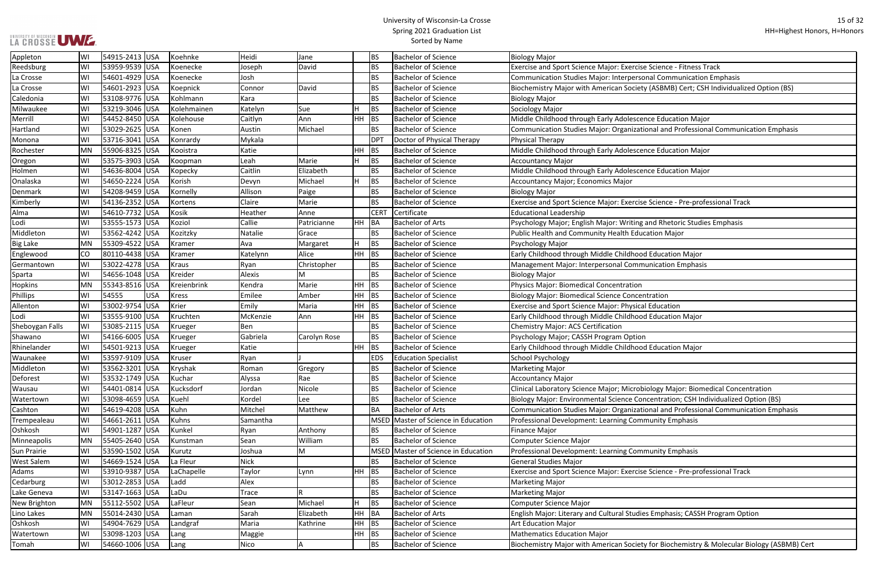#### University of Wisconsin-La Crosse Spring 2021 Graduation List Sorted by Name

se Science - Fitness Track

sonal Communication Emphasis

ety (ASBMB) Cert; CSH Individualized Option (BS)

tional and Professional Communication Emphasis

se Science - Pre-professional Track

g and Rhetoric Studies Emphasis

biology Major: Biomedical Concentration oncentration; CSH Individualized Option (BS)

tional and Professional Communication Emphasis

se Science - Pre-professional Track

ies Emphasis; CASSH Program Option

ety for Biochemistry & Molecular Biology (ASBMB) Cert

| Appleton           | W١ | 54915-2413  USA |            | Koehnke      | Heidi       | Jane         |           | <b>BS</b>   | <b>Bachelor of Science</b>          | <b>Biology Major</b>                                             |
|--------------------|----|-----------------|------------|--------------|-------------|--------------|-----------|-------------|-------------------------------------|------------------------------------------------------------------|
| Reedsburg          | WI | 53959-9539  USA |            | Koenecke     | Joseph      | David        |           | <b>BS</b>   | <b>Bachelor of Science</b>          | Exercise and Sport Science Major: Exercise Science - Fitness Tra |
| La Crosse          | WI | 54601-4929  USA |            | Koenecke     | Josh        |              |           | BS          | <b>Bachelor of Science</b>          | Communication Studies Major: Interpersonal Communication I       |
| La Crosse          | WI | 54601-2923      | <b>USA</b> | Koepnick     | Connor      | David        |           | BS          | <b>Bachelor of Science</b>          | Biochemistry Major with American Society (ASBMB) Cert; CSH       |
| Caledonia          | W١ | 53108-9776 USA  |            | Kohlmann     | Kara        |              |           | <b>BS</b>   | <b>Bachelor of Science</b>          | <b>Biology Major</b>                                             |
| Milwaukee          | W١ | 53219-3046 USA  |            | Kolehmainen  | Katelyn     | Sue          |           | <b>BS</b>   | <b>Bachelor of Science</b>          | Sociology Major                                                  |
| Merrill            | WI | 54452-8450 USA  |            | Kolehouse    | Caitlyn     | Ann          | <b>HH</b> | <b>BS</b>   | <b>Bachelor of Science</b>          | Middle Childhood through Early Adolescence Education Major       |
| Hartland           | WI | 53029-2625 USA  |            | Konen        | Austin      | Michael      |           | BS          | <b>Bachelor of Science</b>          | Communication Studies Major: Organizational and Professiona      |
| Monona             | W١ | 53716-3041 USA  |            | Konrardy     | Mykala      |              |           | <b>DPT</b>  | Doctor of Physical Therapy          | Physical Therapy                                                 |
| Rochester          | MN | 55906-8325 USA  |            | Kooistra     | Katie       |              | HH        | BS          | <b>Bachelor of Science</b>          | Middle Childhood through Early Adolescence Education Major       |
| Oregon             | WI | 53575-3903      | <b>USA</b> | Koopman      | Leah        | Marie        |           | BS          | <b>Bachelor of Science</b>          | Accountancy Major                                                |
| Holmen             | WI | 54636-8004      | <b>USA</b> | Kopecky      | Caitlin     | Elizabeth    |           | <b>BS</b>   | <b>Bachelor of Science</b>          | Middle Childhood through Early Adolescence Education Major       |
| Onalaska           | WI | 54650-2224 USA  |            | Korish       | Devyn       | Michael      | Н.        | <b>BS</b>   | <b>Bachelor of Science</b>          | Accountancy Major; Economics Major                               |
| Denmark            | WI | 54208-9459  USA |            | Kornelly     | Allison     | Paige        |           | BS          | <b>Bachelor of Science</b>          | <b>Biology Major</b>                                             |
| Kimberly           | WI | 54136-2352 USA  |            | Kortens      | Claire      | Marie        |           | BS          | <b>Bachelor of Science</b>          | Exercise and Sport Science Major: Exercise Science - Pre-profes  |
| Alma               | W١ | 54610-7732 USA  |            | Kosik        | Heather     | Anne         |           | <b>CERT</b> | Certificate                         | <b>Educational Leadership</b>                                    |
| Lodi               | WI | 53555-1573  USA |            | Koziol       | Callie      | Patricianne  | HH        | BA          | <b>Bachelor of Arts</b>             | Psychology Major; English Major: Writing and Rhetoric Studies    |
| Middleton          | W١ | 53562-4242 USA  |            | Kozitzky     | Natalie     | Grace        |           | BS          | <b>Bachelor of Science</b>          | Public Health and Community Health Education Major               |
| <b>Big Lake</b>    | MN | 55309-4522 USA  |            | Kramer       | Ava         | Margaret     | H         | <b>BS</b>   | <b>Bachelor of Science</b>          | Psychology Major                                                 |
| Englewood          | CO | 80110-4438 USA  |            | Kramer       | Katelynn    | Alice        | HH        | <b>BS</b>   | <b>Bachelor of Science</b>          | Early Childhood through Middle Childhood Education Major         |
| Germantown         | WI | 53022-4278 USA  |            | <b>Kraus</b> | Ryan        | Christopher  |           | <b>BS</b>   | <b>Bachelor of Science</b>          | Management Major: Interpersonal Communication Emphasis           |
| Sparta             | WI | 54656-1048 USA  |            | Kreider      | Alexis      | M            |           | <b>BS</b>   | <b>Bachelor of Science</b>          | <b>Biology Major</b>                                             |
| Hopkins            | MN | 55343-8516 USA  |            | Kreienbrink  | Kendra      | Marie        | HH        | BS          | <b>Bachelor of Science</b>          | <b>Physics Major: Biomedical Concentration</b>                   |
| <b>Phillips</b>    | W١ | 54555           | <b>USA</b> | <b>Kress</b> | Emilee      | Amber        | HH.       | BS          | <b>Bachelor of Science</b>          | <b>Biology Major: Biomedical Science Concentration</b>           |
| Allenton           | WI | 53002-9754      | <b>USA</b> | Krier        | Emily       | Maria        | HH        | BS          | <b>Bachelor of Science</b>          | Exercise and Sport Science Major: Physical Education             |
| Lodi               | WI | 53555-9100  USA |            | Kruchten     | McKenzie    | Ann          | <b>HH</b> | <b>BS</b>   | <b>Bachelor of Science</b>          | Early Childhood through Middle Childhood Education Major         |
| Sheboygan Falls    | WI | 53085-2115 USA  |            | Krueger      | Ben         |              |           | BS          | <b>Bachelor of Science</b>          | <b>Chemistry Major: ACS Certification</b>                        |
| Shawano            | W١ | 54166-6005 USA  |            | Krueger      | Gabriela    | Carolyn Rose |           | <b>BS</b>   | <b>Bachelor of Science</b>          | Psychology Major; CASSH Program Option                           |
| Rhinelander        | WI | 54501-9213 USA  |            | Krueger      | Katie       |              | HH.       | BS.         | <b>Bachelor of Science</b>          | Early Childhood through Middle Childhood Education Major         |
| Waunakee           | W١ | 53597-9109  USA |            | Kruser       | Ryan        |              |           | <b>EDS</b>  | <b>Education Specialist</b>         | School Psychology                                                |
| Middleton          | WI | 53562-3201  USA |            | Kryshak      | Roman       | Gregory      |           | <b>BS</b>   | <b>Bachelor of Science</b>          | <b>Marketing Major</b>                                           |
| Deforest           | WI | 53532-1749 USA  |            | Kuchar       | Alyssa      | Rae          |           | BS          | <b>Bachelor of Science</b>          | Accountancy Major                                                |
| Wausau             | WI | 54401-0814 USA  |            | Kucksdorf    | Jordan      | Nicole       |           | <b>BS</b>   | <b>Bachelor of Science</b>          | Clinical Laboratory Science Major; Microbiology Major: Biomed    |
| Watertown          | WI | 53098-4659 USA  |            | Kuehl        | Kordel      | Lee          |           | BS          | <b>Bachelor of Science</b>          | Biology Major: Environmental Science Concentration; CSH Indi     |
| Cashton            | W١ | 54619-4208 USA  |            | Kuhn         | Mitchel     | Matthew      |           | BA          | <b>Bachelor of Arts</b>             | Communication Studies Major: Organizational and Professiona      |
| Trempealeau        | WI | 54661-2611 USA  |            | Kuhns        | Samantha    |              |           |             | MSED Master of Science in Education | Professional Development: Learning Community Emphasis            |
| Oshkosh            | WI | 54901-1287  USA |            | Kunkel       | Ryan        | Anthony      |           | BS          | <b>Bachelor of Science</b>          | <b>Finance Major</b>                                             |
| Minneapolis        | MN | 55405-2640 USA  |            | Kunstman     | Sean        | William      |           | <b>BS</b>   | <b>Bachelor of Science</b>          | <b>Computer Science Major</b>                                    |
| <b>Sun Prairie</b> | WI | 53590-1502 USA  |            | Kurutz       | Joshua      | M            |           |             | MSED Master of Science in Education | Professional Development: Learning Community Emphasis            |
| <b>West Salem</b>  | W١ | 54669-1524 USA  |            | La Fleur     | <b>Nick</b> |              |           | <b>BS</b>   | <b>Bachelor of Science</b>          | <b>General Studies Major</b>                                     |
| Adams              | WI | 53910-9387  USA |            | LaChapelle   | Taylor      | Lynn         | HH -      | BS          | <b>Bachelor of Science</b>          | Exercise and Sport Science Major: Exercise Science - Pre-profes  |
| Cedarburg          | WI | 53012-2853 USA  |            | Ladd         | Alex        |              |           | BS          | <b>Bachelor of Science</b>          | Marketing Major                                                  |
| Lake Geneva        | WI | 53147-1663  USA |            | LaDu         | Trace       |              |           | BS          | <b>Bachelor of Science</b>          | Marketing Major                                                  |
| New Brighton       | MN | 55112-5502 USA  |            | LaFleur      | Sean        | Michael      | H         | <b>BS</b>   | <b>Bachelor of Science</b>          | <b>Computer Science Major</b>                                    |
| Lino Lakes         | MN | 55014-2430 USA  |            | Laman        | Sarah       | Elizabeth    | HH BA     |             | <b>Bachelor of Arts</b>             | English Major: Literary and Cultural Studies Emphasis; CASSH P   |
| Oshkosh            | WI | 54904-7629  USA |            | Landgraf     | Maria       | Kathrine     | <b>HH</b> | <b>BS</b>   | <b>Bachelor of Science</b>          | <b>Art Education Major</b>                                       |
| Watertown          | W١ | 53098-1203 USA  |            | Lang         | Maggie      |              | <b>HH</b> | <b>BS</b>   | <b>Bachelor of Science</b>          | Mathematics Education Major                                      |
| Tomah              | WI | 54660-1006 USA  |            | Lang         | Nico        | A            |           | BS          | <b>Bachelor of Science</b>          | Biochemistry Major with American Society for Biochemistry &      |
|                    |    |                 |            |              |             |              |           |             |                                     |                                                                  |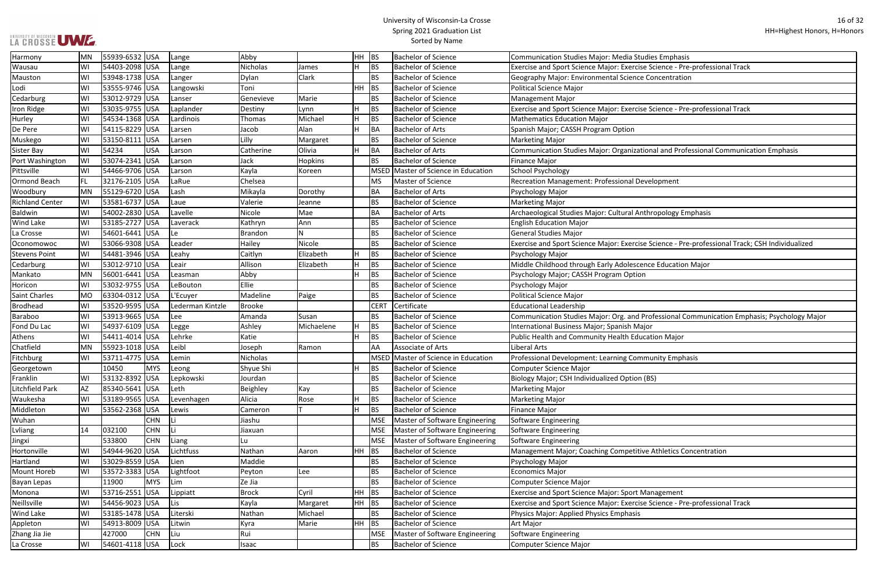#### University of Wisconsin-La Crosse Spring 2021 Graduation List Sorted by Name

se Science - Pre-professional Track

se Science - Pre-professional Track

tional and Professional Communication Emphasis

se Science - Pre-professional Track; CSH Individualized

**Professional Communication Emphasis; Psychology Major:** 

ive Athletics Concentration

se Science - Pre-professional Track

| Harmony                | MN        | 55939-6532 USA  |            | Lange            | Abby           |            | <b>HH</b> | <b>BS</b>   | <b>Bachelor of Science</b>          | <b>Communication Studies Major: Media Studies Emphasis</b>      |
|------------------------|-----------|-----------------|------------|------------------|----------------|------------|-----------|-------------|-------------------------------------|-----------------------------------------------------------------|
| Wausau                 | lwı       | 54403-2098      | <b>USA</b> | Lange            | Nicholas       | James      |           | <b>BS</b>   | <b>Bachelor of Science</b>          | Exercise and Sport Science Major: Exercise Science - Pre-profes |
| Mauston                | WI        | 53948-1738 USA  |            | Langer           | Dylan          | Clark      |           | <b>BS</b>   | <b>Bachelor of Science</b>          | Geography Major: Environmental Science Concentration            |
| Lodi                   | WI        | 53555-9746 USA  |            | Langowski        | Toni           |            | <b>HH</b> | <b>BS</b>   | <b>Bachelor of Science</b>          | <b>Political Science Major</b>                                  |
| Cedarburg              | WI        | 53012-9729      | <b>USA</b> | Lanser           | Genevieve      | Marie      |           | <b>BS</b>   | <b>Bachelor of Science</b>          | <b>Management Major</b>                                         |
| Iron Ridge             | WI        | 53035-9755 USA  |            | Laplander        | Destiny        | Lynn       |           | <b>BS</b>   | <b>Bachelor of Science</b>          | Exercise and Sport Science Major: Exercise Science - Pre-profes |
| Hurley                 | WI        | 54534-1368 USA  |            | Lardinois        | Thomas         | Michael    |           | <b>BS</b>   | <b>Bachelor of Science</b>          | <b>Mathematics Education Major</b>                              |
| De Pere                | WI        | 54115-8229 USA  |            | Larsen           | Jacob          | Alan       |           | BA          | <b>Bachelor of Arts</b>             | Spanish Major; CASSH Program Option                             |
| Muskego                | WI        | 53150-8111      | USA        | Larsen           | Lilly          | Margaret   |           | <b>BS</b>   | <b>Bachelor of Science</b>          | <b>Marketing Major</b>                                          |
| Sister Bay             | WI        | 54234           | USA        | Larson           | Catherine      | Olivia     |           | BA          | <b>Bachelor of Arts</b>             | Communication Studies Major: Organizational and Professiona     |
| Port Washington        | WI        | 53074-2341 USA  |            | Larson           | Jack           | Hopkins    |           | <b>BS</b>   | <b>Bachelor of Science</b>          | <b>Finance Major</b>                                            |
| Pittsville             | WI        | 54466-9706 USA  |            | Larson           | Kayla          | Koreen     |           | <b>MSED</b> | Master of Science in Education      | School Psychology                                               |
| Ormond Beach           | FL.       | 32176-2105 USA  |            | LaRue            | Chelsea        |            |           | <b>MS</b>   | <b>Master of Science</b>            | <b>Recreation Management: Professional Development</b>          |
| Woodbury               | MN        | 55129-6720      | <b>USA</b> | Lash             | Mikayla        | Dorothy    |           | <b>BA</b>   | <b>Bachelor of Arts</b>             | Psychology Major                                                |
| <b>Richland Center</b> | WI        | 53581-6737 USA  |            | Laue             | Valerie        | Jeanne     |           | <b>BS</b>   | <b>Bachelor of Science</b>          | <b>Marketing Major</b>                                          |
| <b>Baldwin</b>         | WI        | 54002-2830 USA  |            | Lavelle          | Nicole         | Mae        |           | BA          | <b>Bachelor of Arts</b>             | Archaeological Studies Major: Cultural Anthropology Emphasis    |
| <b>Wind Lake</b>       | WI        | 53185-2727 USA  |            | Laverack         | Kathryn        | Ann        |           | <b>BS</b>   | <b>Bachelor of Science</b>          | <b>English Education Major</b>                                  |
| La Crosse              | WI        | 54601-6441  USA |            | Le               | <b>Brandon</b> | N          |           | <b>BS</b>   | <b>Bachelor of Science</b>          | General Studies Major                                           |
| Oconomowoc             | WI        | 53066-9308 USA  |            | Leader           | Hailey         | Nicole     |           | <b>BS</b>   | <b>Bachelor of Science</b>          | Exercise and Sport Science Major: Exercise Science - Pre-profes |
| <b>Stevens Point</b>   | WI        | 54481-3946 USA  |            | Leahy            | Caitlyn        | Elizabeth  |           | <b>BS</b>   | <b>Bachelor of Science</b>          | Psychology Major                                                |
| Cedarburg              | WI        | 53012-9710      | <b>USA</b> | Leair            | Allison        | Elizabeth  |           | <b>BS</b>   | <b>Bachelor of Science</b>          | Middle Childhood through Early Adolescence Education Major      |
| Mankato                | MN        | 56001-6441 USA  |            | Leasman          | Abby           |            |           | <b>BS</b>   | <b>Bachelor of Science</b>          | Psychology Major; CASSH Program Option                          |
| Horicon                | WI        | 53032-9755 USA  |            | LeBouton         | Ellie          |            |           | <b>BS</b>   | <b>Bachelor of Science</b>          | Psychology Major                                                |
| <b>Saint Charles</b>   | <b>MO</b> | 63304-0312 USA  |            | L'Ecuyer         | Madeline       | Paige      |           | <b>BS</b>   | <b>Bachelor of Science</b>          | Political Science Major                                         |
| <b>Brodhead</b>        | WI        | 53520-9595 USA  |            | Lederman Kintzle | <b>Brooke</b>  |            |           | <b>CERT</b> | Certificate                         | <b>Educational Leadership</b>                                   |
| Baraboo                | WI        | 53913-9665      | <b>USA</b> | Lee              | Amanda         | Susan      |           | <b>BS</b>   | <b>Bachelor of Science</b>          | Communication Studies Major: Org. and Professional Commun       |
| Fond Du Lac            | WI        | 54937-6109      | <b>USA</b> | Legge            | Ashley         | Michaelene |           | <b>BS</b>   | <b>Bachelor of Science</b>          | International Business Major; Spanish Major                     |
| Athens                 | WI        | 54411-4014 USA  |            | Lehrke           | Katie          |            |           | <b>BS</b>   | <b>Bachelor of Science</b>          | Public Health and Community Health Education Major              |
| Chatfield              | MN        | 55923-1018 USA  |            | Leibl            | Joseph         | Ramon      |           | AA          | Associate of Arts                   | Liberal Arts                                                    |
| Fitchburg              | WI        | 53711-4775  USA |            | Lemin            | Nicholas       |            |           |             | MSED Master of Science in Education | Professional Development: Learning Community Emphasis           |
| Georgetown             |           | 10450           | <b>MYS</b> | Leong            | Shyue Shi      |            |           | <b>BS</b>   | <b>Bachelor of Science</b>          | <b>Computer Science Major</b>                                   |
| Franklin               | WI        | 53132-8392 USA  |            | Lepkowski        | Jourdan        |            |           | <b>BS</b>   | <b>Bachelor of Science</b>          | Biology Major; CSH Individualized Option (BS)                   |
| <b>Litchfield Park</b> | <b>AZ</b> | 85340-5641 USA  |            | Leth             | Beighley       | Kay        |           | <b>BS</b>   | <b>Bachelor of Science</b>          | <b>Marketing Major</b>                                          |
| Waukesha               | WI        | 53189-9565 USA  |            | Levenhagen       | Alicia         | Rose       |           | <b>BS</b>   | <b>Bachelor of Science</b>          | <b>Marketing Major</b>                                          |
| Middleton              | WI        | 53562-2368      | USA        | Lewis            | Cameron        |            | н         | <b>BS</b>   | <b>Bachelor of Science</b>          | <b>Finance Major</b>                                            |
| Wuhan                  |           |                 | <b>CHN</b> | Li               | Jiashu         |            |           | <b>MSE</b>  | Master of Software Engineering      | Software Engineering                                            |
| Lvliang                | 14        | 032100          | <b>CHN</b> | lLi              | Jiaxuan        |            |           | <b>MSE</b>  | Master of Software Engineering      | Software Engineering                                            |
| Jingxi                 |           | 533800          | <b>CHN</b> | Liang            | Lu             |            |           | <b>MSE</b>  | Master of Software Engineering      | Software Engineering                                            |
| Hortonville            | WI        | 54944-9620      | USA        | Lichtfuss        | Nathan         | Aaron      | HH        | <b>BS</b>   | <b>Bachelor of Science</b>          | Management Major; Coaching Competitive Athletics Concentra      |
| Hartland               | WI        | 53029-8559      | <b>USA</b> | Lien             | Maddie         |            |           | <b>BS</b>   | <b>Bachelor of Science</b>          | Psychology Major                                                |
| Mount Horeb            | WI        | 53572-3383 USA  |            | Lightfoot        | Peyton         | Lee        |           | <b>BS</b>   | <b>Bachelor of Science</b>          | <b>Economics Major</b>                                          |
| <b>Bayan Lepas</b>     |           | 11900           | <b>MYS</b> | Lim              | Ze Jia         |            |           | <b>BS</b>   | <b>Bachelor of Science</b>          | <b>Computer Science Major</b>                                   |
| Monona                 | WI        | 53716-2551 USA  |            | Lippiatt         | <b>Brock</b>   | Cyril      | <b>HH</b> | BS          | <b>Bachelor of Science</b>          | <b>Exercise and Sport Science Major: Sport Management</b>       |
| Neillsville            | WI        | 54456-9023 USA  |            | Lis              | Kayla          | Margaret   | HH        | <b>BS</b>   | <b>Bachelor of Science</b>          | Exercise and Sport Science Major: Exercise Science - Pre-profes |
| Wind Lake              | WI        | 53185-1478 USA  |            | Literski         | Nathan         | Michael    |           | <b>BS</b>   | <b>Bachelor of Science</b>          | Physics Major: Applied Physics Emphasis                         |
| Appleton               | WI        | 54913-8009      | <b>USA</b> | Litwin           | Kyra           | Marie      | <b>HH</b> | <b>BS</b>   | <b>Bachelor of Science</b>          | Art Major                                                       |
| Zhang Jia Jie          |           | 427000          | <b>CHN</b> | Liu              | Rui            |            |           | <b>MSE</b>  | Master of Software Engineering      | Software Engineering                                            |
| La Crosse              | WI        | 54601-4118 USA  |            | Lock             | Isaac          |            |           | BS          | <b>Bachelor of Science</b>          | Computer Science Major                                          |
|                        |           |                 |            |                  |                |            |           |             |                                     |                                                                 |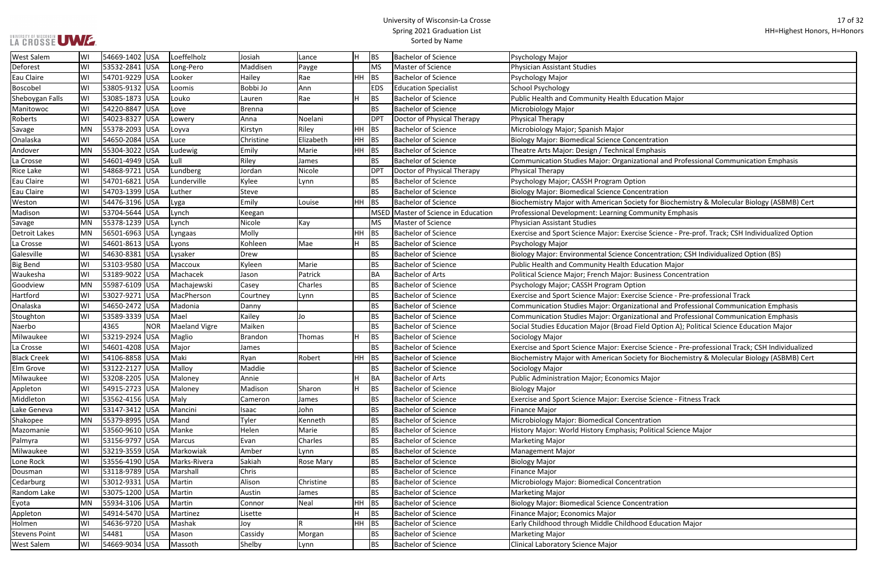#### University of Wisconsin-La Crosse Spring 2021 Graduation List Sorted by Name

ional and Professional Communication Emphasis

ty for Biochemistry & Molecular Biology (ASBMB) Cert

BetScience - Pre-prof. Track; CSH Individualized Option

ncentration; CSH Individualized Option (BS)

e Science - Pre-professional Track

ional and Professional Communication Emphasis

ional and Professional Communication Emphasis

eld Option A); Political Science Education Major

e Science - Pre-professional Track; CSH Individualized ty for Biochemistry & Molecular Biology (ASBMB) Cert

e Science - Fitness Track

| <b>West Salem</b>    | WI        | 54669-1402 USA |            | Loeffelholz          | Josiah         | Lance     | lΗ  | <b>BS</b>   | <b>Bachelor of Science</b>     | Psychology Major                                                 |
|----------------------|-----------|----------------|------------|----------------------|----------------|-----------|-----|-------------|--------------------------------|------------------------------------------------------------------|
| Deforest             | W١        | 53532-2841 USA |            | Long-Pero            | Maddisen       | Payge     |     | MS          | Master of Science              | <b>Physician Assistant Studies</b>                               |
| <b>Eau Claire</b>    | WI        | 54701-9229 USA |            | Looker               | Hailey         | Rae       | HH. | <b>BS</b>   | <b>Bachelor of Science</b>     | Psychology Major                                                 |
| <b>Boscobel</b>      | WI        | 53805-9132 USA |            | Loomis               | Bobbi Jo       | Ann       |     | <b>EDS</b>  | <b>Education Specialist</b>    | School Psychology                                                |
| Sheboygan Falls      | WI        | 53085-1873 USA |            | Louko                | Lauren         | Rae       |     | <b>BS</b>   | <b>Bachelor of Science</b>     | Public Health and Community Health Education Major               |
| Manitowoc            | WI        | 54220-8847 USA |            | Love                 | <b>Brenna</b>  |           |     | <b>BS</b>   | <b>Bachelor of Science</b>     | Microbiology Major                                               |
| Roberts              | WI        | 54023-8327 USA |            | Lowery               | Anna           | Noelani   |     | <b>DPT</b>  | Doctor of Physical Therapy     | Physical Therapy                                                 |
| Savage               | <b>MN</b> | 55378-2093 USA |            | Loyva                | Kirstyn        | Riley     | HH  | <b>BS</b>   | <b>Bachelor of Science</b>     | Microbiology Major; Spanish Major                                |
| Onalaska             | WI        | 54650-2084 USA |            | Luce                 | Christine      | Elizabeth | HH  | <b>BS</b>   | <b>Bachelor of Science</b>     | <b>Biology Major: Biomedical Science Concentration</b>           |
| Andover              | MN        | 55304-3022 USA |            | Ludewig              | Emily          | Marie     | HH  | <b>BS</b>   | <b>Bachelor of Science</b>     | Theatre Arts Major: Design / Technical Emphasis                  |
| La Crosse            | WI        | 54601-4949 USA |            | Lull                 | Riley          | James     |     | <b>BS</b>   | <b>Bachelor of Science</b>     | Communication Studies Major: Organizational and Professional     |
| <b>Rice Lake</b>     | WI        | 54868-9721 USA |            | Lundberg             | Jordan         | Nicole    |     | <b>DPT</b>  | Doctor of Physical Therapy     | Physical Therapy                                                 |
| Eau Claire           | WI        | 54701-6821 USA |            | Lunderville          | Kylee          | Lynn      |     | <b>BS</b>   | <b>Bachelor of Science</b>     | Psychology Major; CASSH Program Option                           |
| <b>Eau Claire</b>    | WI        | 54703-1399     | <b>USA</b> | Luther               | Steve          |           |     | <b>BS</b>   | <b>Bachelor of Science</b>     | <b>Biology Major: Biomedical Science Concentration</b>           |
| Weston               | WI        | 54476-3196 USA |            | Lyga                 | Emily          | Louise    | HH  | <b>BS</b>   | <b>Bachelor of Science</b>     | Biochemistry Major with American Society for Biochemistry & I    |
| Madison              | WI        | 53704-5644 USA |            | Lynch                | Keegan         |           |     | <b>MSED</b> | Master of Science in Education | Professional Development: Learning Community Emphasis            |
| Savage               | <b>MN</b> | 55378-1239 USA |            | Lynch                | Nicole         | Kay       |     | <b>MS</b>   | Master of Science              | <b>Physician Assistant Studies</b>                               |
| <b>Detroit Lakes</b> | MN        | 56501-6963 USA |            | Lyngaas              | Molly          |           | HH  | <b>BS</b>   | <b>Bachelor of Science</b>     | Exercise and Sport Science Major: Exercise Science - Pre-prof. T |
| La Crosse            | WI        | 54601-8613 USA |            | Lyons                | Kohleen        | Mae       | Н   | <b>BS</b>   | <b>Bachelor of Science</b>     | Psychology Major                                                 |
| Galesville           | WI        | 54630-8381 USA |            | Lysaker              | Drew           |           |     | <b>BS</b>   | <b>Bachelor of Science</b>     | Biology Major: Environmental Science Concentration; CSH Indiv    |
| <b>Big Bend</b>      | WI        | 53103-9580 USA |            | Maccoux              | Kyleen         | Marie     |     | <b>BS</b>   | <b>Bachelor of Science</b>     | Public Health and Community Health Education Major               |
| Waukesha             | WI        | 53189-9022 USA |            | Machacek             | Jason          | Patrick   |     | BA          | <b>Bachelor of Arts</b>        | Political Science Major; French Major: Business Concentration    |
| Goodview             | <b>MN</b> | 55987-6109 USA |            | Machajewski          | Casey          | Charles   |     | <b>BS</b>   | <b>Bachelor of Science</b>     | Psychology Major; CASSH Program Option                           |
| Hartford             | WI        | 53027-9271 USA |            | MacPherson           | Courtney       | Lynn      |     | <b>BS</b>   | <b>Bachelor of Science</b>     | Exercise and Sport Science Major: Exercise Science - Pre-profes  |
| Onalaska             | WI        | 54650-2472 USA |            | Madonia              | Danny          |           |     | <b>BS</b>   | <b>Bachelor of Science</b>     | Communication Studies Major: Organizational and Professional     |
| Stoughton            | WI        | 53589-3339     | <b>USA</b> | Mael                 | Kailey         | Jo        |     | <b>BS</b>   | <b>Bachelor of Science</b>     | Communication Studies Major: Organizational and Professional     |
| Naerbo               |           | 4365           | <b>NOR</b> | <b>Maeland Vigre</b> | Maiken         |           |     | <b>BS</b>   | <b>Bachelor of Science</b>     | Social Studies Education Major (Broad Field Option A); Political |
| Milwaukee            | WI        | 53219-2924     | USA        | Maglio               | <b>Brandon</b> | Thomas    | H   | <b>BS</b>   | <b>Bachelor of Science</b>     | Sociology Major                                                  |
| La Crosse            | WI        | 54601-4208 USA |            | Major                | James          |           |     | <b>BS</b>   | <b>Bachelor of Science</b>     | Exercise and Sport Science Major: Exercise Science - Pre-profes  |
| <b>Black Creek</b>   | WI        | 54106-8858 USA |            | Maki                 | Ryan           | Robert    | HH  | <b>BS</b>   | <b>Bachelor of Science</b>     | Biochemistry Major with American Society for Biochemistry & I    |
| Elm Grove            | WI        | 53122-2127 USA |            | Malloy               | Maddie         |           |     | <b>BS</b>   | <b>Bachelor of Science</b>     | Sociology Major                                                  |
| Milwaukee            | WI        | 53208-2205 USA |            | Maloney              | Annie          |           |     | <b>BA</b>   | <b>Bachelor of Arts</b>        | <b>Public Administration Major; Economics Major</b>              |
| Appleton             | W١        | 54915-2723 USA |            | Maloney              | Madison        | Sharon    | Н   | <b>BS</b>   | <b>Bachelor of Science</b>     | <b>Biology Major</b>                                             |
| Middleton            | WI        | 53562-4156 USA |            | Maly                 | Cameron        | James     |     | <b>BS</b>   | <b>Bachelor of Science</b>     | Exercise and Sport Science Major: Exercise Science - Fitness Tra |
| Lake Geneva          | WI        | 53147-3412 USA |            | Mancini              | Isaac          | John      |     | <b>BS</b>   | <b>Bachelor of Science</b>     | <b>Finance Major</b>                                             |
| Shakopee             | <b>MN</b> | 55379-8995 USA |            | Mand                 | Tyler          | Kenneth   |     | <b>BS</b>   | <b>Bachelor of Science</b>     | Microbiology Major: Biomedical Concentration                     |
| Mazomanie            | WI        | 53560-9610 USA |            | Manke                | Helen          | Marie     |     | <b>BS</b>   | <b>Bachelor of Science</b>     | History Major: World History Emphasis; Political Science Major   |
| Palmyra              | WI        | 53156-9797 USA |            | Marcus               | Evan           | Charles   |     | <b>BS</b>   | <b>Bachelor of Science</b>     | <b>Marketing Major</b>                                           |
| Milwaukee            | WI        | 53219-3559 USA |            | Markowiak            | Amber          | Lynn      |     | <b>BS</b>   | <b>Bachelor of Science</b>     | Management Major                                                 |
| Lone Rock            | WI        | 53556-4190 USA |            | Marks-Rivera         | Sakiah         | Rose Mary |     | <b>BS</b>   | <b>Bachelor of Science</b>     | <b>Biology Major</b>                                             |
| Dousman              | WI        | 53118-9789 USA |            | Marshall             | Chris          |           |     | <b>BS</b>   | <b>Bachelor of Science</b>     | <b>Finance Major</b>                                             |
| Cedarburg            | WI        | 53012-9331 USA |            | Martin               | Alison         | Christine |     | <b>BS</b>   | <b>Bachelor of Science</b>     | Microbiology Major: Biomedical Concentration                     |
| Random Lake          | WI        | 53075-1200 USA |            | Martin               | Austin         | James     |     | <b>BS</b>   | <b>Bachelor of Science</b>     | <b>Marketing Major</b>                                           |
| Eyota                | MN        | 55934-3106 USA |            | Martin               | Connor         | Neal      | HH  | <b>BS</b>   | <b>Bachelor of Science</b>     | <b>Biology Major: Biomedical Science Concentration</b>           |
| Appleton             | WI        | 54914-5470 USA |            | Martinez             | Lisette        |           |     | <b>BS</b>   | <b>Bachelor of Science</b>     | Finance Major; Economics Major                                   |
| Holmen               | WI        | 54636-9720 USA |            | Mashak               | Joy            |           | HH  | <b>BS</b>   | <b>Bachelor of Science</b>     | Early Childhood through Middle Childhood Education Major         |
| <b>Stevens Point</b> | WI        | 54481          | <b>USA</b> | Mason                | Cassidy        | Morgan    |     | <b>BS</b>   | <b>Bachelor of Science</b>     | <b>Marketing Major</b>                                           |
| <b>West Salem</b>    | WI        | 54669-9034 USA |            | Massoth              | Shelby         | Lynn      |     | <b>BS</b>   | <b>Bachelor of Science</b>     | Clinical Laboratory Science Major                                |
|                      |           |                |            |                      |                |           |     |             |                                |                                                                  |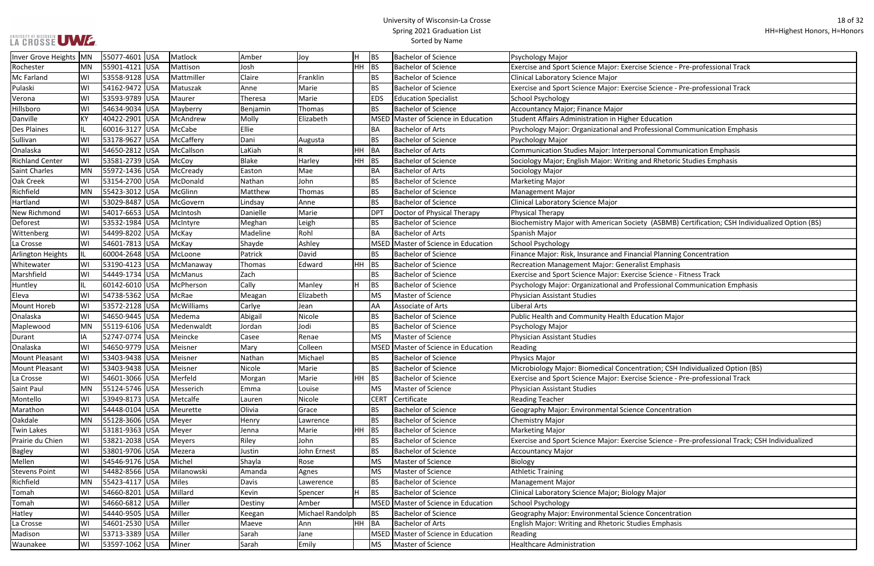#### University of Wisconsin-La Crosse Spring 2021 Graduation List Sorted by Name

Rochester Mattison Bachelor Science - Pre-professional Track

Pulaski Sulaski Wieleski Science - Pre-professional Track

Dessional Communication Emphasis

onal Communication Emphasis

and Rhetoric Studies Emphasis

ty (ASBMB) Certification; CSH Individualized Option (BS)

cial Planning Concentration

se Science - Fitness Track

ofessional Communication Emphasis

ration; CSH Individualized Option (BS) **La Crosse Science - Pre-professional Track** 

e Science - Pre-professional Track; CSH Individualized

| Inver Grove Heights   MN |           | 55077-4601 USA  | Matlock    | Amber        | Joy              |         | BS          | <b>Bachelor of Science</b>          | Psychology Major                                           |
|--------------------------|-----------|-----------------|------------|--------------|------------------|---------|-------------|-------------------------------------|------------------------------------------------------------|
| Rochester                | MN        | 55901-4121 USA  | Mattison   | Josh         |                  | HH      | BS          | <b>Bachelor of Science</b>          | Exercise and Sport Science Major: Exercise Science - Pre-  |
| Mc Farland               | WI        | 53558-9128 USA  | Mattmiller | Claire       | Franklin         |         | <b>BS</b>   | <b>Bachelor of Science</b>          | Clinical Laboratory Science Major                          |
| Pulaski                  | WI        | 54162-9472 USA  | Matuszak   | Anne         | Marie            |         | <b>BS</b>   | <b>Bachelor of Science</b>          | Exercise and Sport Science Major: Exercise Science - Pre-  |
| Verona                   | WI        | 53593-9789 USA  | Maurer     | Theresa      | Marie            |         | <b>EDS</b>  | <b>Education Specialist</b>         | School Psychology                                          |
| Hillsboro                | WI        | 54634-9034 USA  | Mayberry   | Benjamin     | Thomas           |         | BS.         | <b>Bachelor of Science</b>          | Accountancy Major; Finance Major                           |
| Danville                 | KY        | 40422-2901 USA  | McAndrew   | Molly        | Elizabeth        |         |             | MSED Master of Science in Education | Student Affairs Administration in Higher Education         |
| <b>Des Plaines</b>       | IL.       | 60016-3127 USA  | McCabe     | Ellie        |                  |         | BA          | <b>Bachelor of Arts</b>             | Psychology Major: Organizational and Professional Comn     |
| Sullivan                 | WI        | 53178-9627 USA  | McCaffery  | Dani         | Augusta          |         | <b>BS</b>   | <b>Bachelor of Science</b>          | Psychology Major                                           |
| Onalaska                 | WI        | 54650-2812 USA  | McCallson  | LaKiah       |                  | HH BA   |             | <b>Bachelor of Arts</b>             | Communication Studies Major: Interpersonal Communica       |
| <b>Richland Center</b>   | WI        | 53581-2739 USA  | McCoy      | <b>Blake</b> | Harley           | $HH$ BS |             | <b>Bachelor of Science</b>          | Sociology Major; English Major: Writing and Rhetoric Stu   |
| Saint Charles            | <b>MN</b> | 55972-1436 USA  | McCready   | Easton       | Mae              |         | BA          | <b>Bachelor of Arts</b>             | Sociology Major                                            |
| <b>Oak Creek</b>         | WI        | 53154-2700 USA  | McDonald   | Nathan       | John             |         | <b>BS</b>   | <b>Bachelor of Science</b>          | <b>Marketing Major</b>                                     |
| Richfield                | <b>MN</b> | 55423-3012 USA  | McGlinn    | Matthew      | Thomas           |         | BS          | <b>Bachelor of Science</b>          | <b>Management Major</b>                                    |
| Hartland                 | WI        | 53029-8487 USA  | McGovern   | Lindsay      | Anne             |         | <b>BS</b>   | <b>Bachelor of Science</b>          | Clinical Laboratory Science Major                          |
| New Richmond             | WI        | 54017-6653 USA  | McIntosh   | Danielle     | Marie            |         | <b>DPT</b>  | Doctor of Physical Therapy          | <b>Physical Therapy</b>                                    |
| Deforest                 | WI        | 53532-1984 USA  | McIntyre   | Meghan       | Leigh            |         | BS.         | <b>Bachelor of Science</b>          | Biochemistry Major with American Society (ASBMB) Cert      |
| Wittenberg               | WI        | 54499-8202 USA  | McKay      | Madeline     | Rohl             |         | BA          | <b>Bachelor of Arts</b>             | Spanish Major                                              |
| La Crosse                | WI        | 54601-7813 USA  | McKay      | Shayde       | Ashley           |         |             | MSED Master of Science in Education | <b>School Psychology</b>                                   |
| Arlington Heights        | IL.       | 60004-2648 USA  | McLoone    | Patrick      | David            |         | <b>BS</b>   | <b>Bachelor of Science</b>          | Finance Major: Risk, Insurance and Financial Planning Cor  |
| Whitewater               | WI        | 53190-4123 USA  | McManaway  | Thomas       | Edward           | HH      | <b>BS</b>   | <b>Bachelor of Science</b>          | Recreation Management Major: Generalist Emphasis           |
| Marshfield               | WI        | 54449-1734 USA  | McManus    | Zach         |                  |         | <b>BS</b>   | <b>Bachelor of Science</b>          | Exercise and Sport Science Major: Exercise Science - Fitne |
| Huntley                  | IL.       | 60142-6010 USA  | McPherson  | Cally        | Manley           | H.      | <b>BS</b>   | <b>Bachelor of Science</b>          | Psychology Major: Organizational and Professional Comn     |
| Eleva                    | WI        | 54738-5362 USA  | McRae      | Meagan       | Elizabeth        |         | <b>MS</b>   | Master of Science                   | <b>Physician Assistant Studies</b>                         |
| Mount Horeb              | WI        | 53572-2128 USA  | McWilliams | Carlye       | Jean             |         | AA          | <b>Associate of Arts</b>            | Liberal Arts                                               |
| Onalaska                 | WI        | 54650-9445 USA  | Medema     | Abigail      | Nicole           |         | <b>BS</b>   | <b>Bachelor of Science</b>          | Public Health and Community Health Education Major         |
| Maplewood                | MN        | 55119-6106 USA  | Medenwaldt | Jordan       | Jodi             |         | BS          | <b>Bachelor of Science</b>          | Psychology Major                                           |
| Durant                   | IA        | 52747-0774 USA  | Meincke    | Casee        | Renae            |         | <b>MS</b>   | Master of Science                   | <b>Physician Assistant Studies</b>                         |
| Onalaska                 | WI        | 54650-9779  USA | Meisner    | Mary         | Colleen          |         |             | MSED Master of Science in Education | Reading                                                    |
| Mount Pleasant           | WI        | 53403-9438 USA  | Meisner    | Nathan       | Michael          |         | BS.         | <b>Bachelor of Science</b>          | Physics Major                                              |
| Mount Pleasant           | WI        | 53403-9438 USA  | Meisner    | Nicole       | Marie            |         | <b>BS</b>   | <b>Bachelor of Science</b>          | Microbiology Major: Biomedical Concentration; CSH Indiv    |
| La Crosse                | WI        | 54601-3066 USA  | Merfeld    | Morgan       | Marie            | $HH$ BS |             | <b>Bachelor of Science</b>          | Exercise and Sport Science Major: Exercise Science - Pre-  |
| Saint Paul               | MN        | 55124-5746 USA  | Messerich  | Emma         | Louise           |         | <b>MS</b>   | Master of Science                   | <b>Physician Assistant Studies</b>                         |
| Montello                 | WI        | 53949-8173 USA  | Metcalfe   | Lauren       | Nicole           |         | <b>CERT</b> | Certificate                         | <b>Reading Teacher</b>                                     |
| Marathon                 | WI        | 54448-0104 USA  | Meurette   | Olivia       | Grace            |         | <b>BS</b>   | <b>Bachelor of Science</b>          | Geography Major: Environmental Science Concentration       |
| Oakdale                  | <b>MN</b> | 55128-3606 USA  | Meyer      | Henry        | Lawrence         |         | <b>BS</b>   | <b>Bachelor of Science</b>          | <b>Chemistry Major</b>                                     |
| <b>Twin Lakes</b>        | WI        | 53181-9363 USA  | Meyer      | Jenna        | Marie            | HH      | <b>BS</b>   | <b>Bachelor of Science</b>          | <b>Marketing Major</b>                                     |
| Prairie du Chien         | WI        | 53821-2038 USA  | Meyers     | Riley        | John             |         | <b>BS</b>   | <b>Bachelor of Science</b>          | Exercise and Sport Science Major: Exercise Science - Pre-  |
| <b>Bagley</b>            | WI        | 53801-9706 USA  | Mezera     | Justin       | John Ernest      |         | ВS          | <b>Bachelor of Science</b>          | <b>Accountancy Major</b>                                   |
| Mellen                   | WI        | 54546-9176 USA  | Michel     | Shayla       | Rose             |         | <b>MS</b>   | Master of Science                   | Biology                                                    |
| <b>Stevens Point</b>     | WI        | 54482-8566 USA  | Milanowski | Amanda       | Agnes            |         | MS          | Master of Science                   | <b>Athletic Training</b>                                   |
| Richfield                | MN        | 55423-4117 USA  | Miles      | Davis        | Lawerence        |         | BS.         | <b>Bachelor of Science</b>          | <b>Management Major</b>                                    |
| Tomah                    | WI        | 54660-8201 USA  | Millard    | Kevin        | Spencer          | H       | <b>BS</b>   | <b>Bachelor of Science</b>          | Clinical Laboratory Science Major; Biology Major           |
| Tomah                    | WI        | 54660-6812 USA  | Miller     | Destiny      | Amber            |         |             | MSED Master of Science in Education | <b>School Psychology</b>                                   |
| Hatley                   | WI        | 54440-9505 USA  | Miller     | Keegan       | Michael Randolph |         | <b>BS</b>   | <b>Bachelor of Science</b>          | Geography Major: Environmental Science Concentration       |
| La Crosse                | WI        | 54601-2530 USA  | Miller     | Maeve        | Ann              | HH      | <b>BA</b>   | <b>Bachelor of Arts</b>             | English Major: Writing and Rhetoric Studies Emphasis       |
| Madison                  | WI        | 53713-3389 USA  | Miller     | Sarah        | Jane             |         |             | MSED Master of Science in Education | Reading                                                    |
| Waunakee                 | WI        | 53597-1062 USA  | Miner      | Sarah        | <b>Emily</b>     |         | MS          | Master of Science                   | <b>Healthcare Administration</b>                           |
|                          |           |                 |            |              |                  |         |             |                                     |                                                            |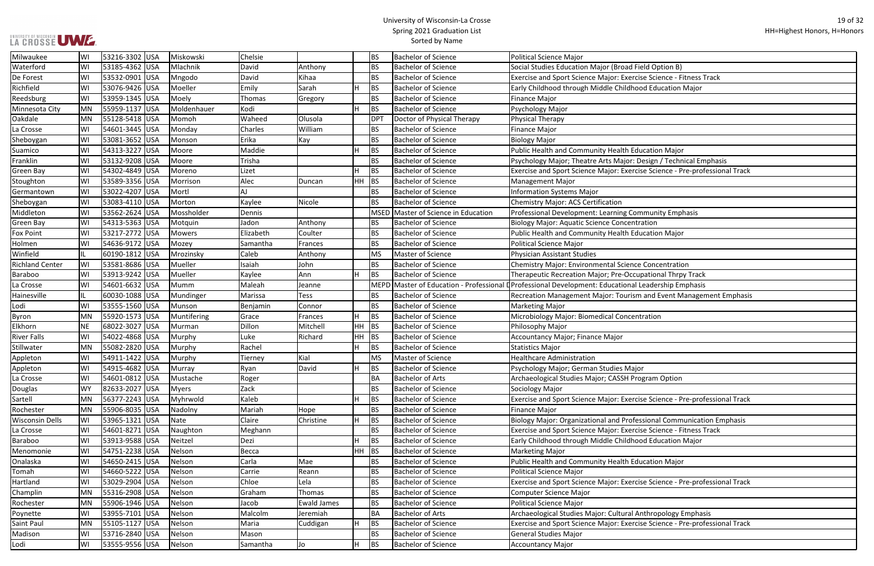#### University of Wisconsin-La Crosse Spring 2021 Graduation List Sorted by Name

se Science - Fitness Track **Pasign / Technical Emphasis** se Science - Pre-professional Track n and Event Management Emphasis se Science - Pre-professional Track ssional Communication Emphasis se Science - Fitness Track se Science - Pre-professional Track nthropology Emphasis se Science - Pre-professional Track

| Milwaukee              | WI        | 53216-3302 USA | Miskowski     | Chelsie   |                    |     | <b>BS</b>  | <b>Bachelor of Science</b>     | <b>Political Science Major</b>                                                                     |
|------------------------|-----------|----------------|---------------|-----------|--------------------|-----|------------|--------------------------------|----------------------------------------------------------------------------------------------------|
| Waterford              | WI        | 53185-4362 USA | Mlachnik      | David     | Anthony            |     | <b>BS</b>  | <b>Bachelor of Science</b>     | Social Studies Education Major (Broad Field Option B)                                              |
| De Forest              | WI        | 53532-0901 USA | Mngodo        | David     | Kihaa              |     | <b>BS</b>  | <b>Bachelor of Science</b>     | Exercise and Sport Science Major: Exercise Science - Fitness T                                     |
| Richfield              | WI        | 53076-9426 USA | Moeller       | Emily     | Sarah              | lH. | <b>BS</b>  | <b>Bachelor of Science</b>     | Early Childhood through Middle Childhood Education Major                                           |
| Reedsburg              | WI        | 53959-1345 USA | Moely         | Thomas    | Gregory            |     | <b>BS</b>  | <b>Bachelor of Science</b>     | <b>Finance Major</b>                                                                               |
| Minnesota City         | <b>MN</b> | 55959-1137 USA | Moldenhauer   | Kodi      |                    | H   | <b>BS</b>  | <b>Bachelor of Science</b>     | Psychology Major                                                                                   |
| Oakdale                | MN        | 55128-5418 USA | Momoh         | Waheed    | Olusola            |     | <b>DPT</b> | Doctor of Physical Therapy     | Physical Therapy                                                                                   |
| La Crosse              | WI        | 54601-3445 USA | Monday        | Charles   | William            |     | <b>BS</b>  | <b>Bachelor of Science</b>     | <b>Finance Major</b>                                                                               |
| Sheboygan              | WI        | 53081-3652 USA | Monson        | Erika     | Kay                |     | <b>BS</b>  | <b>Bachelor of Science</b>     | <b>Biology Major</b>                                                                               |
| Suamico                | WI        | 54313-3227 USA | Moore         | Maddie    |                    | H   | <b>BS</b>  | <b>Bachelor of Science</b>     | Public Health and Community Health Education Major                                                 |
| Franklin               | WI        | 53132-9208 USA | Moore         | Trisha    |                    |     | <b>BS</b>  | <b>Bachelor of Science</b>     | Psychology Major; Theatre Arts Major: Design / Technical Em                                        |
| <b>Green Bay</b>       | WI        | 54302-4849 USA | Moreno        | Lizet     |                    | H   | <b>BS</b>  | <b>Bachelor of Science</b>     | Exercise and Sport Science Major: Exercise Science - Pre-prof                                      |
| Stoughton              | WI        | 53589-3356 USA | Morrison      | Alec      | Duncan             | HH  | <b>BS</b>  | <b>Bachelor of Science</b>     | <b>Management Major</b>                                                                            |
| Germantown             | WI        | 53022-4207 USA | Mortl         | AJ        |                    |     | <b>BS</b>  | <b>Bachelor of Science</b>     | <b>Information Systems Major</b>                                                                   |
| Sheboygan              | WI        | 53083-4110 USA | Morton        | Kaylee    | Nicole             |     | <b>BS</b>  | <b>Bachelor of Science</b>     | <b>Chemistry Major: ACS Certification</b>                                                          |
| Middleton              | WI        | 53562-2624 USA | Mossholder    | Dennis    |                    |     | MSED       | Master of Science in Education | Professional Development: Learning Community Emphasis                                              |
| Green Bay              | WI        | 54313-5363 USA | Motquin       | Jadon     | Anthony            |     | <b>BS</b>  | <b>Bachelor of Science</b>     | <b>Biology Major: Aquatic Science Concentration</b>                                                |
| <b>Fox Point</b>       | WI        | 53217-2772 USA | <b>Mowers</b> | Elizabeth | Coulter            |     | <b>BS</b>  | <b>Bachelor of Science</b>     | Public Health and Community Health Education Major                                                 |
| Holmen                 | WI        | 54636-9172 USA | Mozey         | Samantha  | Frances            |     | <b>BS</b>  | <b>Bachelor of Science</b>     | <b>Political Science Major</b>                                                                     |
| Winfield               | IL.       | 60190-1812 USA | Mrozinsky     | Caleb     | Anthony            |     | <b>MS</b>  | Master of Science              | <b>Physician Assistant Studies</b>                                                                 |
| <b>Richland Center</b> | WI        | 53581-8686 USA | Mueller       | Isaiah    | John               |     | <b>BS</b>  | <b>Bachelor of Science</b>     | <b>Chemistry Major: Environmental Science Concentration</b>                                        |
| <b>Baraboo</b>         | WI        | 53913-9242 USA | Mueller       | Kaylee    | Ann                | lΗ  | <b>BS</b>  | <b>Bachelor of Science</b>     | Therapeutic Recreation Major; Pre-Occupational Thrpy Track                                         |
| La Crosse              | WI        | 54601-6632 USA | Mumm          | Maleah    | Jeanne             |     |            |                                | MEPD Master of Education - Professional DProfessional Development: Educational Leadership Emphasis |
| Hainesville            | IL.       | 60030-1088 USA | Mundinger     | Marissa   | <b>Tess</b>        |     | <b>BS</b>  | <b>Bachelor of Science</b>     | Recreation Management Major: Tourism and Event Managen                                             |
| Lodi                   | WI        | 53555-1560 USA | Munson        | Benjamin  | Connor             |     | <b>BS</b>  | <b>Bachelor of Science</b>     | <b>Marketing Major</b>                                                                             |
| Byron                  | MN        | 55920-1573 USA | Muntifering   | Grace     | Frances            | lH. | <b>BS</b>  | <b>Bachelor of Science</b>     | Microbiology Major: Biomedical Concentration                                                       |
| Elkhorn                | <b>NE</b> | 68022-3027 USA | Murman        | Dillon    | Mitchell           | HH. | BS         | <b>Bachelor of Science</b>     | Philosophy Major                                                                                   |
| <b>River Falls</b>     | WI        | 54022-4868 USA | Murphy        | Luke      | Richard            | HH. | BS         | <b>Bachelor of Science</b>     | Accountancy Major; Finance Major                                                                   |
| Stillwater             | <b>MN</b> | 55082-2820 USA | Murphy        | Rachel    |                    | lн  | <b>BS</b>  | <b>Bachelor of Science</b>     | <b>Statistics Major</b>                                                                            |
| Appleton               | WI        | 54911-1422 USA | Murphy        | Tierney   | Kial               |     | <b>MS</b>  | Master of Science              | <b>Healthcare Administration</b>                                                                   |
| Appleton               | WI        | 54915-4682 USA | Murray        | Ryan      | David              | lн  | <b>BS</b>  | <b>Bachelor of Science</b>     | Psychology Major; German Studies Major                                                             |
| La Crosse              | WI        | 54601-0812 USA | Mustache      | Roger     |                    |     | <b>BA</b>  | <b>Bachelor of Arts</b>        | Archaeological Studies Major; CASSH Program Option                                                 |
| Douglas                | <b>WY</b> | 82633-2027 USA | <b>Myers</b>  | Zack      |                    |     | <b>BS</b>  | <b>Bachelor of Science</b>     | Sociology Major                                                                                    |
| Sartell                | <b>MN</b> | 56377-2243 USA | Myhrwold      | Kaleb     |                    | H   | BS         | <b>Bachelor of Science</b>     | Exercise and Sport Science Major: Exercise Science - Pre-prof                                      |
| Rochester              | MN        | 55906-8035 USA | Nadolny       | Mariah    | Hope               |     | <b>BS</b>  | <b>Bachelor of Science</b>     | <b>Finance Major</b>                                                                               |
| <b>Wisconsin Dells</b> | WI        | 53965-1321 USA | Nate          | Claire    | Christine          | H   | BS         | <b>Bachelor of Science</b>     | Biology Major: Organizational and Professional Communicatio                                        |
| La Crosse              | WI        | 54601-8271 USA | Naughton      | Meghann   |                    |     | <b>BS</b>  | <b>Bachelor of Science</b>     | Exercise and Sport Science Major: Exercise Science - Fitness T                                     |
| Baraboo                | WI        | 53913-9588 USA | Neitzel       | Dezi      |                    | lн  | BS         | <b>Bachelor of Science</b>     | Early Childhood through Middle Childhood Education Major                                           |
| Menomonie              | WI        | 54751-2238 USA | Nelson        | Becca     |                    | HH. | BS         | <b>Bachelor of Science</b>     | <b>Marketing Major</b>                                                                             |
| Onalaska               | WI        | 54650-2415 USA | Nelson        | Carla     | Mae                |     | <b>BS</b>  | <b>Bachelor of Science</b>     | Public Health and Community Health Education Major                                                 |
| Tomah                  | WI        | 54660-5222 USA | Nelson        | Carrie    | Reann              |     | <b>BS</b>  | <b>Bachelor of Science</b>     | <b>Political Science Major</b>                                                                     |
| Hartland               | WI        | 53029-2904 USA | Nelson        | Chloe     | Lela               |     | <b>BS</b>  | <b>Bachelor of Science</b>     | Exercise and Sport Science Major: Exercise Science - Pre-prof                                      |
| Champlin               | MN        | 55316-2908 USA | Nelson        | Graham    | Thomas             |     | <b>BS</b>  | <b>Bachelor of Science</b>     | <b>Computer Science Major</b>                                                                      |
| Rochester              | MN        | 55906-1946 USA | Nelson        | Jacob     | <b>Ewald James</b> |     | <b>BS</b>  | <b>Bachelor of Science</b>     | <b>Political Science Major</b>                                                                     |
| Poynette               | WI        | 53955-7101 USA | Nelson        | Malcolm   | Jeremiah           |     | <b>BA</b>  | <b>Bachelor of Arts</b>        | Archaeological Studies Major: Cultural Anthropology Emphas                                         |
| <b>Saint Paul</b>      | MN        | 55105-1127 USA | Nelson        | Maria     | Cuddigan           | H   | BS         | <b>Bachelor of Science</b>     | Exercise and Sport Science Major: Exercise Science - Pre-prof                                      |
| Madison                | WI        | 53716-2840 USA | Nelson        | Mason     |                    |     | <b>BS</b>  | <b>Bachelor of Science</b>     | <b>General Studies Major</b>                                                                       |
| Lodi                   | WI        | 53555-9556 USA | Nelson        | Samantha  | Jo                 | H   | <b>BS</b>  | <b>Bachelor of Science</b>     | <b>Accountancy Major</b>                                                                           |
|                        |           |                |               |           |                    |     |            |                                |                                                                                                    |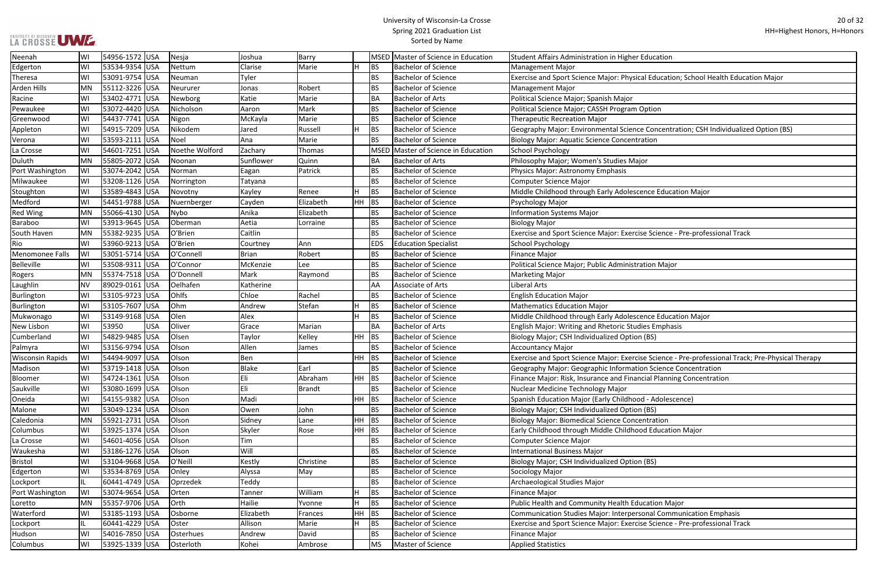#### University of Wisconsin-La Crosse Spring 2021 Graduation List Sorted by Name

#### al Education; School Health Education Major: <sup>Physical</sup> Education; School Health Education;

e Concentration; CSH Individualized Option (BS)

se Science - Pre-professional Track

se Science - Pre-professional Track; Pre-Physical Therapy on Science Concentration ncial Planning Concentration

sonal Communication Emphasis

Lockport III. 604<br>Se Science - Pre-professional Track

| Neenah                  | WI        | 54956-1572 USA |            | Nesja          | Joshua       | Barry         |         |             | MSED Master of Science in Education | <b>Student Affairs Administration in Higher Education</b>       |
|-------------------------|-----------|----------------|------------|----------------|--------------|---------------|---------|-------------|-------------------------------------|-----------------------------------------------------------------|
| Edgerton                | WI        | 53534-9354 USA |            | Nettum         | Clarise      | Marie         |         | <b>BS</b>   | <b>Bachelor of Science</b>          | <b>Management Major</b>                                         |
| Theresa                 | WI        | 53091-9754 USA |            | Neuman         | Tyler        |               |         | <b>BS</b>   | <b>Bachelor of Science</b>          | Exercise and Sport Science Major: Physical Education; School H  |
| <b>Arden Hills</b>      | <b>MN</b> | 55112-3226 USA |            | Neururer       | Jonas        | Robert        |         | <b>BS</b>   | <b>Bachelor of Science</b>          | Management Major                                                |
| Racine                  | WI        | 53402-4771 USA |            | Newborg        | Katie        | Marie         |         | <b>BA</b>   | <b>Bachelor of Arts</b>             | Political Science Major; Spanish Major                          |
| Pewaukee                | WI        | 53072-4420 USA |            | Nicholson      | Aaron        | Mark          |         | <b>BS</b>   | <b>Bachelor of Science</b>          | Political Science Major; CASSH Program Option                   |
| Greenwood               | WI        | 54437-7741 USA |            | Nigon          | McKayla      | Marie         |         | <b>BS</b>   | <b>Bachelor of Science</b>          | <b>Therapeutic Recreation Major</b>                             |
| Appleton                | WI        | 54915-7209 USA |            | Nikodem        | Jared        | Russell       |         | <b>BS</b>   | <b>Bachelor of Science</b>          | Geography Major: Environmental Science Concentration; CSH I     |
| Verona                  | WI        | 53593-2111 USA |            | Noel           | Ana          | Marie         |         | <b>BS</b>   | <b>Bachelor of Science</b>          | <b>Biology Major: Aquatic Science Concentration</b>             |
| La Crosse               | WI        | 54601-7251 USA |            | Noethe Wolford | Zachary      | Thomas        |         | <b>MSED</b> | Master of Science in Education      | <b>School Psychology</b>                                        |
| Duluth                  | MN        | 55805-2072 USA |            | Noonan         | Sunflower    | Quinn         |         | <b>BA</b>   | <b>Bachelor of Arts</b>             | Philosophy Major; Women's Studies Major                         |
| Port Washington         | WI        | 53074-2042 USA |            | Norman         | Eagan        | Patrick       |         | <b>BS</b>   | <b>Bachelor of Science</b>          | Physics Major: Astronomy Emphasis                               |
| Milwaukee               | WI        | 53208-1126 USA |            | Norrington     | Tatyana      |               |         | <b>BS</b>   | <b>Bachelor of Science</b>          | <b>Computer Science Major</b>                                   |
| Stoughton               | WI        | 53589-4843 USA |            | Novotny        | Kayley       | Renee         | H       | BS          | <b>Bachelor of Science</b>          | Middle Childhood through Early Adolescence Education Major      |
| Medford                 | WI        | 54451-9788 USA |            | Nuernberger    | Cayden       | Elizabeth     | HH      | <b>BS</b>   | <b>Bachelor of Science</b>          | Psychology Major                                                |
| <b>Red Wing</b>         | MN        | 55066-4130 USA |            | Nybo           | Anika        | Elizabeth     |         | <b>BS</b>   | <b>Bachelor of Science</b>          | <b>Information Systems Major</b>                                |
| <b>Baraboo</b>          | WI        | 53913-9645 USA |            | Oberman        | Aetia        | Lorraine      |         | <b>BS</b>   | <b>Bachelor of Science</b>          | <b>Biology Major</b>                                            |
| South Haven             | <b>MN</b> | 55382-9235 USA |            | O'Brien        | Caitlin      |               |         | <b>BS</b>   | <b>Bachelor of Science</b>          | Exercise and Sport Science Major: Exercise Science - Pre-profes |
| Rio                     | WI        | 53960-9213 USA |            | O'Brien        | Courtney     | Ann           |         | <b>EDS</b>  | <b>Education Specialist</b>         | School Psychology                                               |
| Menomonee Falls         | WI        | 53051-5714 USA |            | O'Connell      | <b>Brian</b> | Robert        |         | <b>BS</b>   | <b>Bachelor of Science</b>          | <b>Finance Major</b>                                            |
| Belleville              | WI        | 53508-9311 USA |            | O'Connor       | McKenzie     | Lee           |         | <b>BS</b>   | <b>Bachelor of Science</b>          | Political Science Major; Public Administration Major            |
| Rogers                  | <b>MN</b> | 55374-7518 USA |            | O'Donnell      | Mark         | Raymond       |         | <b>BS</b>   | <b>Bachelor of Science</b>          | <b>Marketing Major</b>                                          |
| Laughlin                | <b>NV</b> | 89029-0161 USA |            | Oelhafen       | Katherine    |               |         | AA          | <b>Associate of Arts</b>            | Liberal Arts                                                    |
| Burlington              | WI        | 53105-9723 USA |            | Ohlfs          | Chloe        | Rachel        |         | <b>BS</b>   | <b>Bachelor of Science</b>          | <b>English Education Major</b>                                  |
| Burlington              | WI        | 53105-7607 USA |            | Ohm            | Andrew       | Stefan        |         | <b>BS</b>   | <b>Bachelor of Science</b>          | <b>Mathematics Education Major</b>                              |
| Mukwonago               | WI        | 53149-9168 USA |            | Olen           | Alex         |               |         | <b>BS</b>   | <b>Bachelor of Science</b>          | Middle Childhood through Early Adolescence Education Major      |
| New Lisbon              | WI        | 53950          | <b>USA</b> | Oliver         | Grace        | Marian        |         | <b>BA</b>   | <b>Bachelor of Arts</b>             | English Major: Writing and Rhetoric Studies Emphasis            |
| Cumberland              | WI        | 54829-9485 USA |            | Olsen          | Taylor       | Kelley        | HH      | <b>BS</b>   | <b>Bachelor of Science</b>          | Biology Major; CSH Individualized Option (BS)                   |
| Palmyra                 | WI        | 53156-9794 USA |            | Olson          | Allen        | James         |         | <b>BS</b>   | <b>Bachelor of Science</b>          | <b>Accountancy Major</b>                                        |
| <b>Wisconsin Rapids</b> | WI        | 54494-9097 USA |            | Olson          | Ben          |               | $HH$ BS |             | <b>Bachelor of Science</b>          | Exercise and Sport Science Major: Exercise Science - Pre-profes |
| Madison                 | WI        | 53719-1418 USA |            | Olson          | <b>Blake</b> | Earl          |         | <b>BS</b>   | <b>Bachelor of Science</b>          | Geography Major: Geographic Information Science Concentrat      |
| Bloomer                 | WI        | 54724-1361 USA |            | Olson          | Eli          | Abraham       | $HH$ BS |             | <b>Bachelor of Science</b>          | Finance Major: Risk, Insurance and Financial Planning Concenti  |
| Saukville               | WI        | 53080-1699 USA |            | Olson          | Eli          | <b>Brandt</b> |         | <b>BS</b>   | <b>Bachelor of Science</b>          | Nuclear Medicine Technology Major                               |
| Oneida                  | WI        | 54155-9382 USA |            | Olson          | Madi         |               | $HH$ BS |             | <b>Bachelor of Science</b>          | Spanish Education Major (Early Childhood - Adolescence)         |
| Malone                  | WI        | 53049-1234 USA |            | Olson          | Owen         | John          |         | <b>BS</b>   | <b>Bachelor of Science</b>          | Biology Major; CSH Individualized Option (BS)                   |
| Caledonia               | <b>MN</b> | 55921-2731 USA |            | Olson          | Sidney       | Lane          | $HH$ BS |             | <b>Bachelor of Science</b>          | <b>Biology Major: Biomedical Science Concentration</b>          |
| Columbus                | WI        | 53925-1374 USA |            | Olson          | Skyler       | Rose          | $HH$ BS |             | <b>Bachelor of Science</b>          | Early Childhood through Middle Childhood Education Major        |
| La Crosse               | WI        | 54601-4056 USA |            | Olson          | Tim          |               |         | <b>BS</b>   | <b>Bachelor of Science</b>          | <b>Computer Science Major</b>                                   |
| Waukesha                | WI        | 53186-1276 USA |            | Olson          | Will         |               |         | <b>BS</b>   | <b>Bachelor of Science</b>          | <b>International Business Major</b>                             |
| <b>Bristol</b>          | WI        | 53104-9668 USA |            | O'Neill        | Kestly       | Christine     |         | <b>BS</b>   | <b>Bachelor of Science</b>          | Biology Major; CSH Individualized Option (BS)                   |
| Edgerton                | WI        | 53534-8769 USA |            | Onley          | Alyssa       | May           |         | <b>BS</b>   | <b>Bachelor of Science</b>          | Sociology Major                                                 |
| Lockport                | IL        | 60441-4749 USA |            | Oprzedek       | Teddy        |               |         | <b>BS</b>   | <b>Bachelor of Science</b>          | Archaeological Studies Major                                    |
| Port Washington         | WI        | 53074-9654 USA |            | Orten          | Tanner       | William       |         | BS          | <b>Bachelor of Science</b>          | Finance Major                                                   |
| Loretto                 | MN        | 55357-9706 USA |            | Orth           | Hailie       | Yvonne        |         | <b>BS</b>   | <b>Bachelor of Science</b>          | Public Health and Community Health Education Major              |
| Waterford               | WI        | 53185-1193 USA |            | Osborne        | Elizabeth    | Frances       | $HH$ BS |             | <b>Bachelor of Science</b>          | Communication Studies Major: Interpersonal Communication I      |
| Lockport                | IL        | 60441-4229 USA |            | Oster          | Allison      | Marie         | H.      | <b>BS</b>   | <b>Bachelor of Science</b>          | Exercise and Sport Science Major: Exercise Science - Pre-profes |
| Hudson                  | WI        | 54016-7850 USA |            | Osterhues      | Andrew       | David         |         | <b>BS</b>   | <b>Bachelor of Science</b>          | <b>Finance Major</b>                                            |
| Columbus                | WI        | 53925-1339 USA |            | Osterloth      | Kohei        | Ambrose       |         | <b>MS</b>   | Master of Science                   | <b>Applied Statistics</b>                                       |
|                         |           |                |            |                |              |               |         |             |                                     |                                                                 |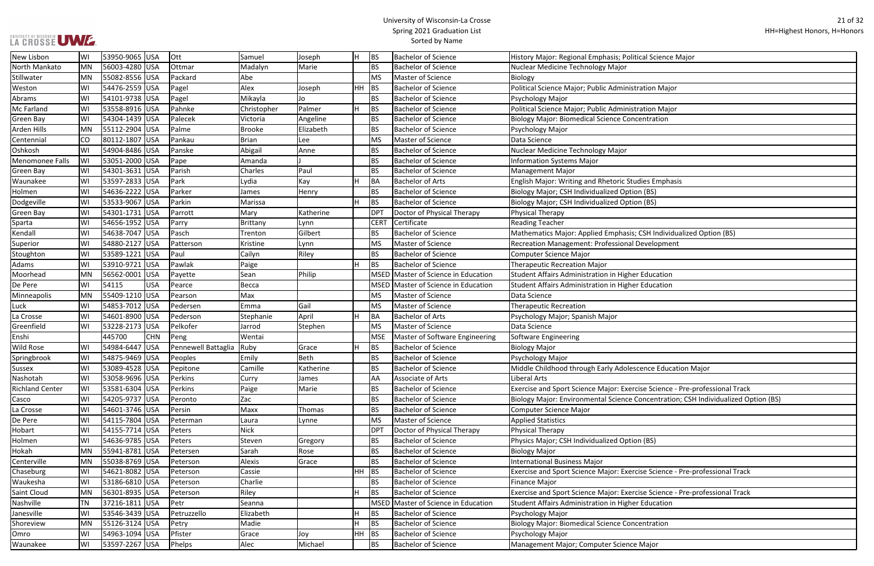#### University of Wisconsin-La Crosse Spring 2021 Graduation List Sorted by Name

| al Science Major                            |
|---------------------------------------------|
|                                             |
|                                             |
| tion Major                                  |
|                                             |
| tion Major                                  |
| ntration                                    |
|                                             |
|                                             |
|                                             |
|                                             |
|                                             |
| es Emphasis                                 |
| (BS)                                        |
| (BS)                                        |
|                                             |
|                                             |
| SH Individualized Option (BS)               |
| evelopment                                  |
|                                             |
|                                             |
| ducation                                    |
| ducation                                    |
|                                             |
|                                             |
|                                             |
|                                             |
|                                             |
|                                             |
|                                             |
| nce Education Major                         |
| e Science - Pre-professional Track          |
| ncentration; CSH Individualized Option (BS) |
|                                             |
|                                             |
|                                             |
| (BS)                                        |
|                                             |
|                                             |
| e Science - Pre-professional Track          |
|                                             |
| e Science - Pre-professional Track          |
| ducation                                    |
|                                             |
| ntration                                    |
|                                             |
| <i><b>Aajor</b></i>                         |
|                                             |

| New Lisbon             | WI        | 53950-9065 USA |            | Ott                 | Samuel        | Joseph       | Iн    | <b>BS</b>   | <b>Bachelor of Science</b>          | History Major: Regional Emphasis; Political Science Major                          |
|------------------------|-----------|----------------|------------|---------------------|---------------|--------------|-------|-------------|-------------------------------------|------------------------------------------------------------------------------------|
| North Mankato          | <b>MN</b> | 56003-4280 USA |            | Ottmar              | Madalyn       | Marie        |       | <b>BS</b>   | <b>Bachelor of Science</b>          | Nuclear Medicine Technology Major                                                  |
| Stillwater             | <b>MN</b> | 55082-8556 USA |            | Packard             | Abe           |              |       | <b>MS</b>   | Master of Science                   | Biology                                                                            |
| Weston                 | WI        | 54476-2559 USA |            | Pagel               | Alex          | Joseph       | HH BS |             | <b>Bachelor of Science</b>          | Political Science Major; Public Administration Major                               |
| Abrams                 | WI        | 54101-9738 USA |            | Pagel               | Mikayla       | Jo           |       | <b>BS</b>   | <b>Bachelor of Science</b>          | Psychology Major                                                                   |
| Mc Farland             | WI        | 53558-8916 USA |            | Pahnke              | Christopher   | Palmer       | H     | BS          | <b>Bachelor of Science</b>          | Political Science Major; Public Administration Major                               |
| <b>Green Bay</b>       | WI        | 54304-1439 USA |            | Palecek             | Victoria      | Angeline     |       | <b>BS</b>   | <b>Bachelor of Science</b>          | <b>Biology Major: Biomedical Science Concentration</b>                             |
| Arden Hills            | MN        | 55112-2904 USA |            | Palme               | <b>Brooke</b> | Elizabeth    |       | <b>BS</b>   | <b>Bachelor of Science</b>          | Psychology Major                                                                   |
| Centennial             | CO        | 80112-1807 USA |            | Pankau              | <b>Brian</b>  | Lee          |       | <b>MS</b>   | Master of Science                   | Data Science                                                                       |
| Oshkosh                | WI        | 54904-8486 USA |            | Panske              | Abigail       | Anne         |       | <b>BS</b>   | <b>Bachelor of Science</b>          | Nuclear Medicine Technology Major                                                  |
| Menomonee Falls        | WI        | 53051-2000 USA |            | Pape                | Amanda        |              |       | <b>BS</b>   | <b>Bachelor of Science</b>          | <b>Information Systems Major</b>                                                   |
| Green Bay              | WI        | 54301-3631 USA |            | Parish              | Charles       | Paul         |       | <b>BS</b>   | <b>Bachelor of Science</b>          | <b>Management Major</b>                                                            |
| Waunakee               | WI        | 53597-2833 USA |            | Park                | Lydia         | Kay          | lн    | <b>BA</b>   | <b>Bachelor of Arts</b>             | English Major: Writing and Rhetoric Studies Emphasis                               |
| Holmen                 | WI        | 54636-2222 USA |            | Parker              | James         | Henry        |       | <b>BS</b>   | <b>Bachelor of Science</b>          | Biology Major; CSH Individualized Option (BS)                                      |
| Dodgeville             | WI        | 53533-9067 USA |            | Parkin              | Marissa       |              | lн    | <b>BS</b>   | <b>Bachelor of Science</b>          | Biology Major; CSH Individualized Option (BS)                                      |
| <b>Green Bay</b>       | WI        | 54301-1731 USA |            | Parrott             | Mary          | Katherine    |       | <b>DPT</b>  | Doctor of Physical Therapy          | Physical Therapy                                                                   |
| Sparta                 | WI        | 54656-1952 USA |            | Parry               | Brittany      | Lynn         |       | <b>CERT</b> | Certificate                         | <b>Reading Teacher</b>                                                             |
| Kendall                | WI        | 54638-7047 USA |            | Pasch               | Trenton       | Gilbert      |       | <b>BS</b>   | <b>Bachelor of Science</b>          | Mathematics Major: Applied Emphasis; CSH Individualized Option (BS)                |
| Superior               | WI        | 54880-2127 USA |            | Patterson           | Kristine      | Lynn         |       | <b>MS</b>   | Master of Science                   | Recreation Management: Professional Development                                    |
| Stoughton              | WI        | 53589-1221 USA |            | Paul                | Cailyn        | Riley        |       | <b>BS</b>   | <b>Bachelor of Science</b>          | Computer Science Major                                                             |
| Adams                  | WI        | 53910-9721 USA |            | Pawlak              | Paige         |              | H     | <b>BS</b>   | <b>Bachelor of Science</b>          | <b>Therapeutic Recreation Major</b>                                                |
| Moorhead               | MN        | 56562-0001 USA |            | Payette             | Sean          | Philip       |       |             | MSED Master of Science in Education | Student Affairs Administration in Higher Education                                 |
| De Pere                | WI        | 54115          | USA        | Pearce              | Becca         |              |       |             | MSED Master of Science in Education | Student Affairs Administration in Higher Education                                 |
| Minneapolis            | <b>MN</b> | 55409-1210 USA |            | Pearson             | Max           |              |       | <b>MS</b>   | Master of Science                   | Data Science                                                                       |
| Luck                   | WI        | 54853-7012 USA |            | Pedersen            | Emma          | Gail         |       | <b>MS</b>   | Master of Science                   | <b>Therapeutic Recreation</b>                                                      |
| La Crosse              | WI        | 54601-8900 USA |            | Pederson            | Stephanie     | April        | lн    | <b>BA</b>   | <b>Bachelor of Arts</b>             | Psychology Major; Spanish Major                                                    |
| Greenfield             | WI        | 53228-2173 USA |            | Pelkofer            | Jarrod        | Stephen      |       | <b>MS</b>   | Master of Science                   | Data Science                                                                       |
| Enshi                  |           | 445700         | <b>CHN</b> | Peng                | Wentai        |              |       | <b>MSE</b>  | Master of Software Engineering      | Software Engineering                                                               |
| <b>Wild Rose</b>       | WI        | 54984-6447 USA |            | Pennewell Battaglia | Ruby          | Grace        | lH.   | <b>BS</b>   | <b>Bachelor of Science</b>          | <b>Biology Major</b>                                                               |
| Springbrook            | WI        | 54875-9469 USA |            | Peoples             | Emily         | Beth         |       | <b>BS</b>   | <b>Bachelor of Science</b>          | Psychology Major                                                                   |
| <b>Sussex</b>          | WI        | 53089-4528 USA |            | Pepitone            | Camille       | Katherine    |       | <b>BS</b>   | <b>Bachelor of Science</b>          | Middle Childhood through Early Adolescence Education Major                         |
| Nashotah               | WI        | 53058-9696 USA |            | Perkins             | Curry         | <b>James</b> |       | AA          | Associate of Arts                   | Liberal Arts                                                                       |
| <b>Richland Center</b> | WI        | 53581-6304 USA |            | Perkins             | Paige         | Marie        |       | <b>BS</b>   | <b>Bachelor of Science</b>          | Exercise and Sport Science Major: Exercise Science - Pre-professional Track        |
| Casco                  | WI        | 54205-9737 USA |            | Peronto             | Zac           |              |       | <b>BS</b>   | <b>Bachelor of Science</b>          | Biology Major: Environmental Science Concentration; CSH Individualized Option (BS) |
| La Crosse              | WI        | 54601-3746 USA |            | Persin              | Maxx          | Thomas       |       | <b>BS</b>   | <b>Bachelor of Science</b>          | Computer Science Major                                                             |
| De Pere                | WI        | 54115-7804 USA |            | Peterman            | Laura         | Lynne        |       | <b>MS</b>   | Master of Science                   | <b>Applied Statistics</b>                                                          |
| Hobart                 | WI        | 54155-7714 USA |            | Peters              | <b>Nick</b>   |              |       | <b>DPT</b>  | Doctor of Physical Therapy          | Physical Therapy                                                                   |
| Holmen                 | WI        | 54636-9785 USA |            | Peters              | Steven        | Gregory      |       | <b>BS</b>   | <b>Bachelor of Science</b>          | Physics Major; CSH Individualized Option (BS)                                      |
| Hokah                  | <b>MN</b> | 55941-8781 USA |            | Petersen            | Sarah         | Rose         |       | <b>BS</b>   | <b>Bachelor of Science</b>          | <b>Biology Major</b>                                                               |
| Centerville            | <b>MN</b> | 55038-8769 USA |            | Peterson            | Alexis        | Grace        |       | <b>BS</b>   | <b>Bachelor of Science</b>          | <b>International Business Major</b>                                                |
| Chaseburg              | WI        | 54621-8082 USA |            | Peterson            | Cassie        |              | HH BS |             | <b>Bachelor of Science</b>          | Exercise and Sport Science Major: Exercise Science - Pre-professional Track        |
| Waukesha               | WI        | 53186-6810 USA |            | Peterson            | Charlie       |              |       | <b>BS</b>   | <b>Bachelor of Science</b>          | <b>Finance Major</b>                                                               |
| Saint Cloud            | <b>MN</b> | 56301-8935 USA |            | Peterson            | Riley         |              | H     | <b>BS</b>   | <b>Bachelor of Science</b>          | Exercise and Sport Science Major: Exercise Science - Pre-professional Track        |
| Nashville              | TN        | 37216-1811 USA |            | Petr                | Seanna        |              |       |             | MSED Master of Science in Education | Student Affairs Administration in Higher Education                                 |
| Janesville             | W١        | 53546-3439 USA |            | Petruzzello         | Elizabeth     |              |       | <b>BS</b>   | <b>Bachelor of Science</b>          | Psychology Major                                                                   |
| Shoreview              | <b>MN</b> | 55126-3124 USA |            | Petry               | Madie         |              | H     | BS          | <b>Bachelor of Science</b>          | <b>Biology Major: Biomedical Science Concentration</b>                             |
| Omro                   | WI        | 54963-1094 USA |            | Pfister             | Grace         | Joy          | HH    | BS          | <b>Bachelor of Science</b>          | Psychology Major                                                                   |
| Waunakee               | WI        | 53597-2267 USA |            | Phelps              | Alec          | Michael      |       | <b>BS</b>   | <b>Bachelor of Science</b>          | Management Major; Computer Science Major                                           |
|                        |           |                |            |                     |               |              |       |             |                                     |                                                                                    |

UNIVERSITY OF WISCONSIN<br>LA CROSSE UWE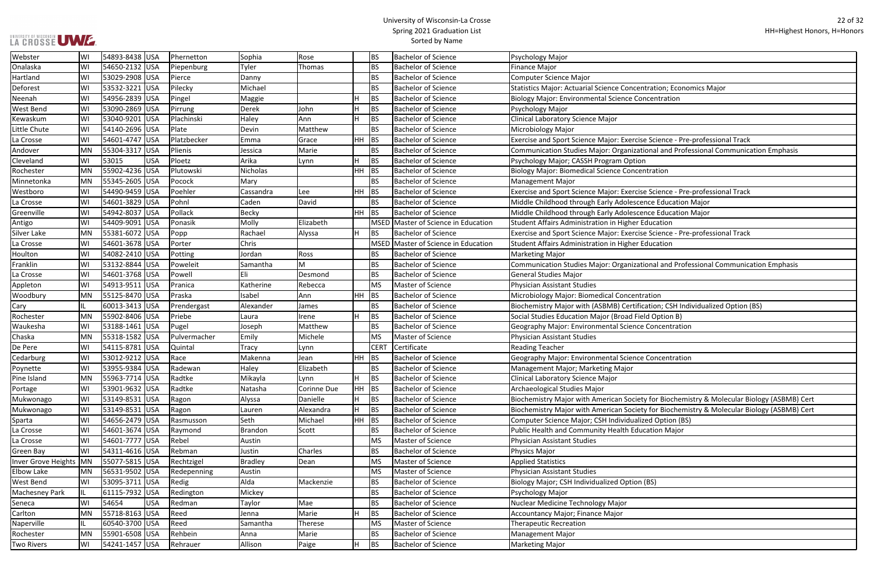#### University of Wisconsin-La Crosse Spring 2021 Graduation List Sorted by Name

ntration; Economics Major:

se Science - Pre-professional Track

tional and Professional Communication Emphasis

ise Science - Pre-professional Track

ise Science - Pre-professional Track

tional and Professional Communication Emphasis

ication; CSH Individualized Option (BS)

ety for Biochemistry & Molecular Biology (ASBMB) Cert

ety for Biochemistry & Molecular Biology (ASBMB) Cert

| Webster               | W١        | 54893-8438  USA |            | Phernetton   | Sophia          | Rose        |           | <b>BS</b>   | <b>Bachelor of Science</b>          | Psychology Major                                                      |
|-----------------------|-----------|-----------------|------------|--------------|-----------------|-------------|-----------|-------------|-------------------------------------|-----------------------------------------------------------------------|
| Onalaska              | W١        | 54650-2132 USA  |            | Piepenburg   | Tyler           | Thomas      |           | BS          | <b>Bachelor of Science</b>          | <b>Finance Major</b>                                                  |
| Hartland              | WI        | 53029-2908  USA |            | Pierce       | Danny           |             |           | <b>BS</b>   | <b>Bachelor of Science</b>          | <b>Computer Science Major</b>                                         |
| Deforest              | W١        | 53532-3221  USA |            | Pilecky      | Michael         |             |           | BS          | <b>Bachelor of Science</b>          | <b>Statistics Major: Actuarial Science Concentration; Economics M</b> |
| Neenah                | W١        | 54956-2839  USA |            | Pingel       | Maggie          |             |           | <b>BS</b>   | <b>Bachelor of Science</b>          | <b>Biology Major: Environmental Science Concentration</b>             |
| <b>West Bend</b>      | W١        | 53090-2869 USA  |            | Pirrung      | Derek           | John        | н         | <b>BS</b>   | <b>Bachelor of Science</b>          | Psychology Major                                                      |
| Kewaskum              | W١        | 53040-9201 USA  |            | Plachinski   | Haley           | Ann         |           | <b>BS</b>   | <b>Bachelor of Science</b>          | Clinical Laboratory Science Major                                     |
| Little Chute          | WI        | 54140-2696 USA  |            | Plate        | Devin           | Matthew     |           | BS          | <b>Bachelor of Science</b>          | Microbiology Major                                                    |
| La Crosse             | WI        | 54601-4747 USA  |            | Platzbecker  | Emma            | Grace       | HH -      | BS          | <b>Bachelor of Science</b>          | Exercise and Sport Science Major: Exercise Science - Pre-profes       |
| Andover               | MN        | 55304-3317 USA  |            | Plienis      | Jessica         | Marie       |           | <b>BS</b>   | <b>Bachelor of Science</b>          | Communication Studies Major: Organizational and Professiona           |
| Cleveland             | W١        | 53015           | <b>USA</b> | Ploetz       | Arika           | Lynn        | H         | <b>BS</b>   | <b>Bachelor of Science</b>          | Psychology Major; CASSH Program Option                                |
| Rochester             | <b>MN</b> | 55902-4236 USA  |            | Plutowski    | <b>Nicholas</b> |             | <b>HH</b> | <b>BS</b>   | <b>Bachelor of Science</b>          | <b>Biology Major: Biomedical Science Concentration</b>                |
| Minnetonka            | MN        | 55345-2605 USA  |            | Pocock       | Mary            |             |           | <b>BS</b>   | <b>Bachelor of Science</b>          | Management Major                                                      |
| Westboro              | WI        | 54490-9459      | USA        | Poehler      | Cassandra       | Lee         | HH.       | <b>BS</b>   | <b>Bachelor of Science</b>          | Exercise and Sport Science Major: Exercise Science - Pre-profes       |
| La Crosse             | WI        | 54601-3829 USA  |            | Pohnl        | Caden           | David       |           | <b>BS</b>   | <b>Bachelor of Science</b>          | Middle Childhood through Early Adolescence Education Major            |
| Greenville            | WI        | 54942-8037  USA |            | Pollack      | <b>Becky</b>    |             | <b>HH</b> | <b>BS</b>   | <b>Bachelor of Science</b>          | Middle Childhood through Early Adolescence Education Major            |
| Antigo                | WI        | 54409-9091  USA |            | Ponasik      | Molly           | Elizabeth   |           |             | MSED Master of Science in Education | <b>Student Affairs Administration in Higher Education</b>             |
| <b>Silver Lake</b>    | MN        | 55381-6072 USA  |            | Popp         | Rachael         | Alyssa      | H.        | <b>BS</b>   | <b>Bachelor of Science</b>          | Exercise and Sport Science Major: Exercise Science - Pre-profes       |
| La Crosse             | W١        | 54601-3678 USA  |            | Porter       | Chris           |             |           |             | MSED Master of Science in Education | Student Affairs Administration in Higher Education                    |
| Houlton               | W١        | 54082-2410 USA  |            | Potting      | Jordan          | Ross        |           | BS          | <b>Bachelor of Science</b>          | <b>Marketing Major</b>                                                |
| Franklin              | W١        | 53132-8844      | <b>USA</b> | Poweleit     | Samantha        | м           |           | BS          | <b>Bachelor of Science</b>          | Communication Studies Major: Organizational and Professiona           |
| La Crosse             | WI        | 54601-3768 USA  |            | Powell       | Eli             | Desmond     |           | <b>BS</b>   | <b>Bachelor of Science</b>          | <b>General Studies Major</b>                                          |
| Appleton              | WI        | 54913-9511  USA |            | Pranica      | Katherine       | Rebecca     |           | <b>MS</b>   | Master of Science                   | <b>Physician Assistant Studies</b>                                    |
| Woodbury              | MN        | 55125-8470 USA  |            | Praska       | Isabel          | Ann         | <b>HH</b> | BS          | <b>Bachelor of Science</b>          | Microbiology Major: Biomedical Concentration                          |
| Cary                  |           | 60013-3413 USA  |            | Prendergast  | Alexander       | James       |           | <b>BS</b>   | <b>Bachelor of Science</b>          | Biochemistry Major with (ASBMB) Certification; CSH Individual         |
| Rochester             | <b>MN</b> | 55902-8406 USA  |            | Priebe       | Laura           | Irene       |           | <b>BS</b>   | <b>Bachelor of Science</b>          | Social Studies Education Major (Broad Field Option B)                 |
| Waukesha              | W١        | 53188-1461 USA  |            | Pugel        | Joseph          | Matthew     |           | BS          | <b>Bachelor of Science</b>          | Geography Major: Environmental Science Concentration                  |
| Chaska                | MN        | 55318-1582 USA  |            | Pulvermacher | Emily           | Michele     |           | <b>MS</b>   | <b>Master of Science</b>            | <b>Physician Assistant Studies</b>                                    |
| De Pere               | WI        | 54115-8781  USA |            | Quintal      | Tracy           | Lynn        |           | <b>CERT</b> | Certificate                         | <b>Reading Teacher</b>                                                |
| Cedarburg             | W١        | 53012-9212  USA |            | Race         | Makenna         | Jean        | <b>HH</b> | <b>BS</b>   | <b>Bachelor of Science</b>          | Geography Major: Environmental Science Concentration                  |
| Poynette              | W١        | 53955-9384  USA |            | Radewan      | Haley           | Elizabeth   |           | <b>BS</b>   | <b>Bachelor of Science</b>          | Management Major; Marketing Major                                     |
| Pine Island           | MN        | 55963-7714 USA  |            | Radtke       | Mikayla         | Lynn        | H         | <b>BS</b>   | <b>Bachelor of Science</b>          | Clinical Laboratory Science Major                                     |
| Portage               | WI        | 53901-9632 USA  |            | Radtke       | Natasha         | Corinne Due | <b>HH</b> | <b>BS</b>   | <b>Bachelor of Science</b>          | Archaeological Studies Major                                          |
| Mukwonago             | WI        | 53149-8531  USA |            | Ragon        | Alyssa          | Danielle    | H.        | <b>BS</b>   | <b>Bachelor of Science</b>          | Biochemistry Major with American Society for Biochemistry &           |
| Mukwonago             | WI        | 53149-8531 USA  |            | Ragon        | Lauren          | Alexandra   | H.        | <b>BS</b>   | <b>Bachelor of Science</b>          | Biochemistry Major with American Society for Biochemistry &           |
| Sparta                | WI        | 54656-2479 USA  |            | Rasmusson    | Seth            | Michael     | $HH$ BS   |             | <b>Bachelor of Science</b>          | Computer Science Major; CSH Individualized Option (BS)                |
| La Crosse             | WI        | 54601-3674 USA  |            | Raymond      | Brandon         | Scott       |           | BS          | <b>Bachelor of Science</b>          | Public Health and Community Health Education Major                    |
| La Crosse             | W١        | 54601-7777 USA  |            | Rebel        | Austin          |             |           | <b>MS</b>   | Master of Science                   | <b>Physician Assistant Studies</b>                                    |
| Green Bay             | WI        | 54311-4616 USA  |            | Rebman       | Justin          | Charles     |           | BS          | <b>Bachelor of Science</b>          | Physics Major                                                         |
| Inver Grove Heights   | MN        | 55077-5815  USA |            | Rechtzigel   | Bradley         | Dean        |           | <b>MS</b>   | Master of Science                   | <b>Applied Statistics</b>                                             |
| Elbow Lake            | MN        | 56531-9502  USA |            | Redepenning  | Austin          |             |           | <b>MS</b>   | Master of Science                   | <b>Physician Assistant Studies</b>                                    |
| <b>West Bend</b>      | WI        | 53095-3711 USA  |            | Redig        | Alda            | Mackenzie   |           | BS          | <b>Bachelor of Science</b>          | Biology Major; CSH Individualized Option (BS)                         |
| <b>Machesney Park</b> | IL.       | 61115-7932  USA |            | Redington    | Mickey          |             |           | BS          | <b>Bachelor of Science</b>          | Psychology Major                                                      |
| Seneca                | WI        | 54654           | <b>USA</b> | Redman       | Taylor          | Mae         |           | <b>BS</b>   | <b>Bachelor of Science</b>          | Nuclear Medicine Technology Major                                     |
| Carlton               | MN        | 55718-8163 USA  |            | Reed         | Jenna           | Marie       |           | <b>BS</b>   | <b>Bachelor of Science</b>          | Accountancy Major; Finance Major                                      |
| Naperville            |           | 60540-3700  USA |            | Reed         | Samantha        | Therese     |           | <b>MS</b>   | Master of Science                   | <b>Therapeutic Recreation</b>                                         |
| Rochester             | MN        | 55901-6508  USA |            | Rehbein      | Anna            | Marie       |           | BS          | <b>Bachelor of Science</b>          | <b>Management Major</b>                                               |
| <b>Two Rivers</b>     | WI        | 54241-1457  USA |            | Rehrauer     | Allison         | Paige       |           | <b>BS</b>   | <b>Bachelor of Science</b>          | Marketing Major                                                       |
|                       |           |                 |            |              |                 |             |           |             |                                     |                                                                       |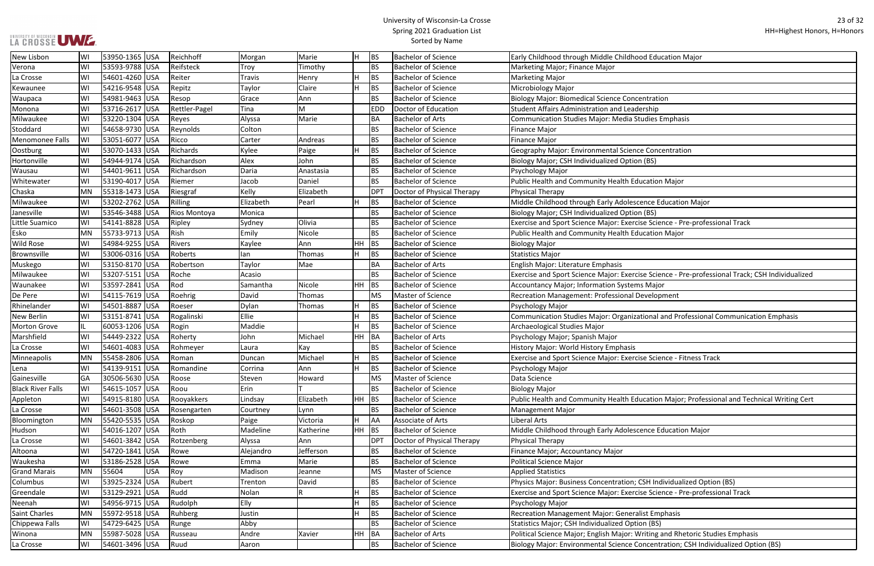# UNIVERSITY OF WISCONSIN<br>LA CROSSE UWE

| od Education Major                                      |
|---------------------------------------------------------|
|                                                         |
|                                                         |
|                                                         |
| ntration                                                |
| rship?                                                  |
| udies Emphasis                                          |
|                                                         |
|                                                         |
| e Concentration                                         |
| (BS)                                                    |
|                                                         |
| cation Major                                            |
|                                                         |
|                                                         |
| ence Education Major                                    |
| (BS)                                                    |
| se Science - Pre-professional Track                     |
| cation Major                                            |
|                                                         |
|                                                         |
|                                                         |
| se Science - Pre-professional Track; CSH Individualized |
| s Major                                                 |
| evelopment                                              |
|                                                         |
| cional and Professional Communication Emphasis          |
|                                                         |
|                                                         |
|                                                         |
| se Science - Fitness Track                              |
|                                                         |
|                                                         |
|                                                         |
|                                                         |
| Ication Major; Professional and Technical Writing Cert  |
|                                                         |
|                                                         |
| ence Education Major                                    |
|                                                         |
|                                                         |
|                                                         |
|                                                         |
| SH Individualized Option (BS)                           |
| se Science - Pre-professional Track                     |
|                                                         |
| ist Emphasis                                            |
| n (BS)                                                  |
| riting and Rhetoric Studies Emphasis                    |
| ncentration; CSH Individualized Option (BS)             |
|                                                         |

| New Lisbon               | WI        | 53950-1365 USA | Reichhoff     | Morgan    | Marie     | IH.     | <b>BS</b>  | <b>Bachelor of Science</b> | Early Childhood through Middle Childhood Education Major                                        |
|--------------------------|-----------|----------------|---------------|-----------|-----------|---------|------------|----------------------------|-------------------------------------------------------------------------------------------------|
| Verona                   | WI        | 53593-9788 USA | Reifsteck     | Troy      | Timothy   |         | <b>BS</b>  | <b>Bachelor of Science</b> | Marketing Major; Finance Major                                                                  |
| La Crosse                | WI        | 54601-4260 USA | Reiter        | Travis    | Henry     | H       | <b>BS</b>  | <b>Bachelor of Science</b> | <b>Marketing Major</b>                                                                          |
| Kewaunee                 | WI        | 54216-9548 USA | Repitz        | Taylor    | Claire    | H       | <b>BS</b>  | <b>Bachelor of Science</b> | Microbiology Major                                                                              |
| Waupaca                  | WI        | 54981-9463 USA | Resop         | Grace     | Ann       |         | <b>BS</b>  | <b>Bachelor of Science</b> | <b>Biology Major: Biomedical Science Concentration</b>                                          |
| Monona                   | WI        | 53716-2617 USA | Rettler-Pagel | Tina      | M         |         | <b>EDD</b> | Doctor of Education        | <b>Student Affairs Administration and Leadership</b>                                            |
| Milwaukee                | WI        | 53220-1304 USA | Reyes         | Alyssa    | Marie     |         | <b>BA</b>  | <b>Bachelor of Arts</b>    | <b>Communication Studies Major: Media Studies Emphasis</b>                                      |
| Stoddard                 | WI        | 54658-9730 USA | Reynolds      | Colton    |           |         | <b>BS</b>  | <b>Bachelor of Science</b> | <b>Finance Major</b>                                                                            |
| Menomonee Falls          | WI        | 53051-6077 USA | Ricco         | Carter    | Andreas   |         | <b>BS</b>  | <b>Bachelor of Science</b> | <b>Finance Major</b>                                                                            |
| Oostburg                 | WI        | 53070-1433 USA | Richards      | Kylee     | Paige     | H       | <b>BS</b>  | <b>Bachelor of Science</b> | Geography Major: Environmental Science Concentration                                            |
| Hortonville              | WI        | 54944-9174 USA | Richardson    | Alex      | John      |         | <b>BS</b>  | <b>Bachelor of Science</b> | Biology Major; CSH Individualized Option (BS)                                                   |
| Wausau                   | WI        | 54401-9611 USA | Richardson    | Daria     | Anastasia |         | <b>BS</b>  | <b>Bachelor of Science</b> | Psychology Major                                                                                |
| Whitewater               | WI        | 53190-4017 USA | Riemer        | Jacob     | Daniel    |         | <b>BS</b>  | <b>Bachelor of Science</b> | Public Health and Community Health Education Major                                              |
| Chaska                   | <b>MN</b> | 55318-1473 USA | Riesgraf      | Kelly     | Elizabeth |         | DPT        | Doctor of Physical Therapy | Physical Therapy                                                                                |
| Milwaukee                | WI        | 53202-2762 USA | Rilling       | Elizabeth | Pearl     | H.      | <b>BS</b>  | <b>Bachelor of Science</b> | Middle Childhood through Early Adolescence Education Major                                      |
| Janesville               | WI        | 53546-3488 USA | Rios Montoya  | Monica    |           |         | <b>BS</b>  | <b>Bachelor of Science</b> | Biology Major; CSH Individualized Option (BS)                                                   |
| Little Suamico           | WI        | 54141-8828 USA | Ripley        | Sydney    | Olivia    |         | <b>BS</b>  | <b>Bachelor of Science</b> | Exercise and Sport Science Major: Exercise Science - Pre-professional Track                     |
| Esko                     | MN        | 55733-9713 USA | Rish          | Emily     | Nicole    |         | <b>BS</b>  | <b>Bachelor of Science</b> | Public Health and Community Health Education Major                                              |
| <b>Wild Rose</b>         | WI        | 54984-9255 USA | Rivers        | Kaylee    | Ann       | $HH$ BS |            | <b>Bachelor of Science</b> | <b>Biology Major</b>                                                                            |
| Brownsville              | WI        | 53006-0316 USA | Roberts       | lan       | Thomas    | H       | <b>BS</b>  | <b>Bachelor of Science</b> | <b>Statistics Major</b>                                                                         |
| Muskego                  | WI        | 53150-8170 USA | Robertson     | Taylor    | Mae       |         | <b>BA</b>  | <b>Bachelor of Arts</b>    | English Major: Literature Emphasis                                                              |
| Milwaukee                | WI        | 53207-5151 USA | Roche         | Acasio    |           |         | <b>BS</b>  | <b>Bachelor of Science</b> | Exercise and Sport Science Major: Exercise Science - Pre-professional Track; CSH Individualized |
| Waunakee                 | WI        | 53597-2841 USA | Rod           | Samantha  | Nicole    | $HH$ BS |            | <b>Bachelor of Science</b> | Accountancy Major; Information Systems Major                                                    |
| De Pere                  | WI        | 54115-7619 USA | Roehrig       | David     | Thomas    |         | <b>MS</b>  | Master of Science          | Recreation Management: Professional Development                                                 |
| Rhinelander              | WI        | 54501-8887 USA | Roeser        | Dylan     | Thomas    |         | <b>BS</b>  | <b>Bachelor of Science</b> | Psychology Major                                                                                |
| <b>New Berlin</b>        | WI        | 53151-8741 USA | Rogalinski    | Ellie     |           |         | <b>BS</b>  | <b>Bachelor of Science</b> | Communication Studies Major: Organizational and Professional Communication Emphasis             |
| <b>Morton Grove</b>      |           | 60053-1206 USA | Rogin         | Maddie    |           |         | <b>BS</b>  | <b>Bachelor of Science</b> | Archaeological Studies Major                                                                    |
| Marshfield               | WI        | 54449-2322 USA | Roherty       | John      | Michael   | HH BA   |            | <b>Bachelor of Arts</b>    | Psychology Major; Spanish Major                                                                 |
| La Crosse                | WI        | 54601-4083 USA | Rohmeyer      | Laura     | Kay       |         | <b>BS</b>  | <b>Bachelor of Science</b> | History Major: World History Emphasis                                                           |
| Minneapolis              | <b>MN</b> | 55458-2806 USA | Roman         | Duncan    | Michael   |         | <b>BS</b>  | <b>Bachelor of Science</b> | Exercise and Sport Science Major: Exercise Science - Fitness Track                              |
| Lena                     | WI        | 54139-9151 USA | Romandine     | Corrina   | Ann       | H.      | <b>BS</b>  | <b>Bachelor of Science</b> | Psychology Major                                                                                |
| Gainesville              | GA        | 30506-5630 USA | Roose         | Steven    | Howard    |         | <b>MS</b>  | Master of Science          | Data Science                                                                                    |
| <b>Black River Falls</b> | WI        | 54615-1057 USA | Roou          | Erin      |           |         | <b>BS</b>  | <b>Bachelor of Science</b> | <b>Biology Major</b>                                                                            |
| Appleton                 | WI        | 54915-8180 USA | Rooyakkers    | Lindsay   | Elizabeth | $HH$ BS |            | <b>Bachelor of Science</b> | Public Health and Community Health Education Major; Professional and Technical Writing Cert     |
| La Crosse                | WI        | 54601-3508 USA | Rosengarten   | Courtney  | Lynn      |         | <b>BS</b>  | <b>Bachelor of Science</b> | <b>Management Major</b>                                                                         |
| Bloomington              | MN        | 55420-5535 USA | Roskop        | Paige     | Victoria  | H       | AA         | Associate of Arts          | Liberal Arts                                                                                    |
| Hudson                   | WI        | 54016-1207 USA | Roth          | Madeline  | Katherine | $HH$ BS |            | <b>Bachelor of Science</b> | Middle Childhood through Early Adolescence Education Major                                      |
| La Crosse                | W         | 54601-3842 USA | Rotzenberg    | Alyssa    | Ann       |         | <b>DPT</b> | Doctor of Physical Therapy | Physical Therapy                                                                                |
| Altoona                  | WI        | 54720-1841 USA | Rowe          | Alejandro | Jefferson |         | <b>BS</b>  | <b>Bachelor of Science</b> | Finance Major; Accountancy Major                                                                |
| Waukesha                 | WI        | 53186-2528 USA | Rowe          | Emma      | Marie     |         | <b>BS</b>  | <b>Bachelor of Science</b> | <b>Political Science Major</b>                                                                  |
| <b>Grand Marais</b>      | MN        | 55604<br>USA   | Roy           | Madison   | Jeanne    |         | <b>MS</b>  | Master of Science          | <b>Applied Statistics</b>                                                                       |
| Columbus                 | WI        | 53925-2324 USA | Rubert        | Trenton   | David     |         | <b>BS</b>  | <b>Bachelor of Science</b> | Physics Major: Business Concentration; CSH Individualized Option (BS)                           |
| Greendale                | WI        | 53129-2921 USA | Rudd          | Nolan     | R         | н       | <b>BS</b>  | <b>Bachelor of Science</b> | Exercise and Sport Science Major: Exercise Science - Pre-professional Track                     |
| Neenah                   | WI        | 54956-9715 USA | Rudolph       | Elly      |           |         | <b>BS</b>  | <b>Bachelor of Science</b> | Psychology Major                                                                                |
| <b>Saint Charles</b>     | <b>MN</b> | 55972-9518 USA | Ruhberg       | Justin    |           | H       | <b>BS</b>  | <b>Bachelor of Science</b> | Recreation Management Major: Generalist Emphasis                                                |
| Chippewa Falls           | WI        | 54729-6425 USA | Runge         | Abby      |           |         | <b>BS</b>  | <b>Bachelor of Science</b> | Statistics Major; CSH Individualized Option (BS)                                                |
| Winona                   | MN        | 55987-5028 USA | Russeau       | Andre     | Xavier    | HH BA   |            | <b>Bachelor of Arts</b>    | Political Science Major; English Major: Writing and Rhetoric Studies Emphasis                   |
| La Crosse                | WI        | 54601-3496 USA | Ruud          | Aaron     |           |         | <b>BS</b>  | <b>Bachelor of Science</b> | Biology Major: Environmental Science Concentration; CSH Individualized Option (BS)              |
|                          |           |                |               |           |           |         |            |                            |                                                                                                 |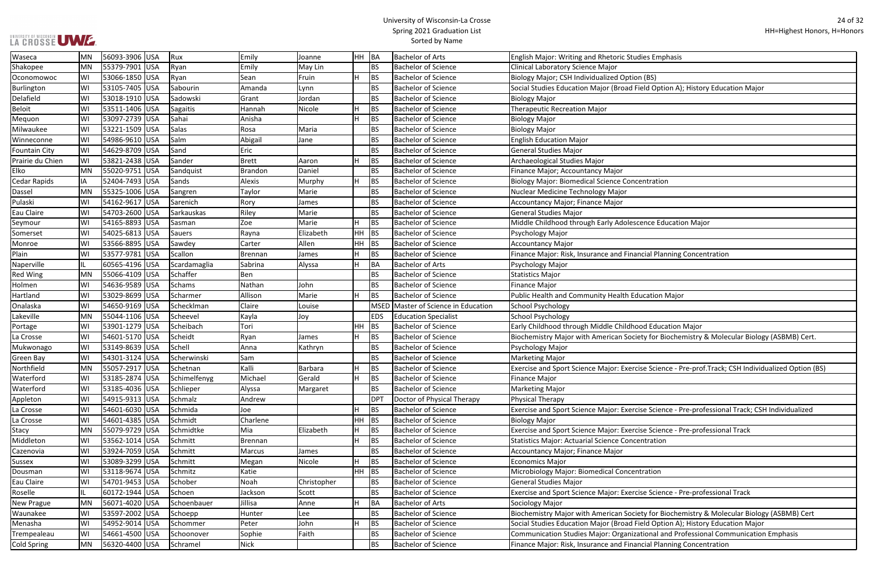#### University of Wisconsin-La Crosse Spring 2021 Graduation List Sorted by Name

ield Option A); History Education Major ence Education Major ncial Planning Concentration ety for Biochemistry & Molecular Biology (ASBMB) Cert. se Science - Pre-prof.Track; CSH Individualized Option (BS) se Science - Pre-professional Track; CSH Individualized se Science - Pre-professional Track se Science - Pre-professional Track ety for Biochemistry & Molecular Biology (ASBMB) Cert eld Option A); History Education Major tional and Professional Communication Emphasis ncial Planning Concentration

| Waseca               | <b>MN</b> | 56093-3906 USA  | Rux           | Emily          | Joanne      | HH BA     |                 | <b>Bachelor of Arts</b>        | English Major: Writing and Rhetoric Studies Emphasis         |
|----------------------|-----------|-----------------|---------------|----------------|-------------|-----------|-----------------|--------------------------------|--------------------------------------------------------------|
| Shakopee             | MN        | 55379-7901 USA  | Ryan          | Emily          | May Lin     |           | <b>BS</b>       | <b>Bachelor of Science</b>     | Clinical Laboratory Science Major                            |
| Oconomowoc           | WI        | 53066-1850 USA  | Ryan          | Sean           | Fruin       |           | <b>BS</b>       | <b>Bachelor of Science</b>     | Biology Major; CSH Individualized Option (BS)                |
| <b>Burlington</b>    | WI        | 53105-7405 USA  | Sabourin      | Amanda         | Lynn        |           | <b>BS</b>       | <b>Bachelor of Science</b>     | Social Studies Education Major (Broad Field Option A); Histo |
| Delafield            | WI        | 53018-1910 USA  | Sadowski      | Grant          | Jordan      |           | <b>BS</b>       | <b>Bachelor of Science</b>     | <b>Biology Major</b>                                         |
| <b>Beloit</b>        | WI        | 53511-1406 USA  | Sagaitis      | Hannah         | Nicole      |           | <b>BS</b>       | <b>Bachelor of Science</b>     | <b>Therapeutic Recreation Major</b>                          |
| Mequon               | WI        | 53097-2739 USA  | Sahai         | Anisha         |             |           | <b>BS</b>       | <b>Bachelor of Science</b>     | <b>Biology Major</b>                                         |
| Milwaukee            | WI        | 53221-1509 USA  | Salas         | Rosa           | Maria       |           | <b>BS</b>       | <b>Bachelor of Science</b>     | <b>Biology Major</b>                                         |
| Winneconne           | WI        | 54986-9610 USA  | Salm          | Abigail        | Jane        |           | <b>BS</b>       | <b>Bachelor of Science</b>     | <b>English Education Major</b>                               |
| <b>Fountain City</b> | WI        | 54629-8709 USA  | Sand          | Eric           |             |           | <b>BS</b>       | <b>Bachelor of Science</b>     | <b>General Studies Major</b>                                 |
| Prairie du Chien     | WI        | 53821-2438 USA  | Sander        | <b>Brett</b>   | Aaron       |           | <b>BS</b>       | <b>Bachelor of Science</b>     | Archaeological Studies Major                                 |
| Elko                 | MN        | 55020-9751 USA  | Sandquist     | <b>Brandon</b> | Daniel      |           | <b>BS</b>       | <b>Bachelor of Science</b>     | Finance Major; Accountancy Major                             |
| Cedar Rapids         | ΙA        | 52404-7493 USA  | Sands         | Alexis         | Murphy      |           | <b>BS</b>       | <b>Bachelor of Science</b>     | <b>Biology Major: Biomedical Science Concentration</b>       |
| Dassel               | MN        | 55325-1006 USA  | Sangren       | Taylor         | Marie       |           | <b>BS</b>       | <b>Bachelor of Science</b>     | Nuclear Medicine Technology Major                            |
| Pulaski              | WI        | 54162-9617 USA  | Sarenich      | Rory           | James       |           | <b>BS</b>       | <b>Bachelor of Science</b>     | Accountancy Major; Finance Major                             |
| Eau Claire           | WI        | 54703-2600 USA  | Sarkauskas    | Riley          | Marie       |           | <b>BS</b>       | <b>Bachelor of Science</b>     | <b>General Studies Major</b>                                 |
| Seymour              | WI        | 54165-8893 USA  | Sasman        | Zoe            | Marie       |           | <b>BS</b>       | <b>Bachelor of Science</b>     | Middle Childhood through Early Adolescence Education Ma      |
| Somerset             | WI        | 54025-6813 USA  | <b>Sauers</b> | Rayna          | Elizabeth   | <b>HH</b> | <b>BS</b>       | <b>Bachelor of Science</b>     | Psychology Major                                             |
| Monroe               | WI        | 53566-8895 USA  | Sawdey        | Carter         | Allen       | HH        | <b>BS</b>       | <b>Bachelor of Science</b>     | <b>Accountancy Major</b>                                     |
| Plain                | WI        | 53577-9781 USA  | Scallon       | Brennan        | James       |           | <b>BS</b>       | <b>Bachelor of Science</b>     | Finance Major: Risk, Insurance and Financial Planning Conce  |
| Naperville           | IL.       | 60565-4196 USA  | Scardamaglia  | Sabrina        | Alyssa      | H         | BA              | <b>Bachelor of Arts</b>        | Psychology Major                                             |
| <b>Red Wing</b>      | MN        | 55066-4109 USA  | Schaffer      | Ben            |             |           | <b>BS</b>       | <b>Bachelor of Science</b>     | <b>Statistics Major</b>                                      |
| Holmen               | WI        | 54636-9589 USA  | <b>Schams</b> | Nathan         | John        |           | <b>BS</b>       | <b>Bachelor of Science</b>     | Finance Major                                                |
| Hartland             | WI        | 53029-8699 USA  | Scharmer      | Allison        | Marie       | H         | <b>BS</b>       | <b>Bachelor of Science</b>     | Public Health and Community Health Education Major           |
| Onalaska             | WI        | 54650-9169 USA  | Schecklman    | Claire         | Louise      |           | <b>MSED</b>     | Master of Science in Education | <b>School Psychology</b>                                     |
| Lakeville            | MN        | 55044-1106 USA  | Scheevel      | Kayla          | Joy         |           | <b>EDS</b>      | <b>Education Specialist</b>    | <b>School Psychology</b>                                     |
| Portage              | WI        | 53901-1279  USA | Scheibach     | Tori           |             | <b>HH</b> | BS              | <b>Bachelor of Science</b>     | Early Childhood through Middle Childhood Education Major     |
| La Crosse            | WI        | 54601-5170 USA  | Scheidt       | Ryan           | James       |           | <b>BS</b>       | <b>Bachelor of Science</b>     | Biochemistry Major with American Society for Biochemistry    |
| Mukwonago            | WI        | 53149-8639 USA  | Schell        | Anna           | Kathryn     |           | <b>BS</b>       | <b>Bachelor of Science</b>     | Psychology Major                                             |
| Green Bay            | WI        | 54301-3124 USA  | Scherwinski   | Sam            |             |           | <b>BS</b>       | <b>Bachelor of Science</b>     | <b>Marketing Major</b>                                       |
| Northfield           | MN        | 55057-2917 USA  | Schetnan      | Kalli          | Barbara     |           | <b>BS</b>       | <b>Bachelor of Science</b>     | Exercise and Sport Science Major: Exercise Science - Pre-pro |
| Waterford            | WI        | 53185-2874 USA  | Schimelfenyg  | Michael        | Gerald      |           | <b>BS</b>       | <b>Bachelor of Science</b>     | <b>Finance Major</b>                                         |
| Waterford            | WI        | 53185-4036 USA  | Schlieper     | Alyssa         | Margaret    |           | <b>BS</b>       | <b>Bachelor of Science</b>     | <b>Marketing Major</b>                                       |
| Appleton             | WI        | 54915-9313 USA  | Schmalz       | Andrew         |             |           | DP <sub>1</sub> | Doctor of Physical Therapy     | Physical Therapy                                             |
| La Crosse            | WI        | 54601-6030 USA  | Schmida       | Joe            |             |           | <b>BS</b>       | <b>Bachelor of Science</b>     | Exercise and Sport Science Major: Exercise Science - Pre-pro |
| La Crosse            | WI        | 54601-4385 USA  | Schmidt       | Charlene       |             | HH        | BS              | <b>Bachelor of Science</b>     | <b>Biology Major</b>                                         |
| <b>Stacy</b>         | MN        | 55079-9729 USA  | Schmidtke     | Mia            | Elizabeth   |           | <b>BS</b>       | <b>Bachelor of Science</b>     | Exercise and Sport Science Major: Exercise Science - Pre-pro |
| Middleton            | WI        | 53562-1014 USA  | Schmitt       | Brennan        |             | ч         | <b>BS</b>       | <b>Bachelor of Science</b>     | <b>Statistics Major: Actuarial Science Concentration</b>     |
| Cazenovia            | WI        | 53924-7059 USA  | Schmitt       | Marcus         | James       |           | <b>BS</b>       | <b>Bachelor of Science</b>     | <b>Accountancy Major; Finance Major</b>                      |
| Sussex               | WI        | 53089-3299 USA  | Schmitt       | Megan          | Nicole      |           | <b>BS</b>       | <b>Bachelor of Science</b>     | <b>Economics Major</b>                                       |
| Dousman              | WI        | 53118-9674 USA  | Schmitz       | Katie          |             | HH        | BS              | <b>Bachelor of Science</b>     | Microbiology Major: Biomedical Concentration                 |
| Eau Claire           | WI        | 54701-9453 USA  | Schober       | Noah           | Christopher |           | <b>BS</b>       | <b>Bachelor of Science</b>     | <b>General Studies Major</b>                                 |
| Roselle              | IL.       | 60172-1944 USA  | Schoen        | Jackson        | Scott       |           | <b>BS</b>       | <b>Bachelor of Science</b>     | Exercise and Sport Science Major: Exercise Science - Pre-pro |
| <b>New Prague</b>    | MN        | 56071-4020 USA  | Schoenbauer   | Jillisa        | Anne        |           | BA              | <b>Bachelor of Arts</b>        | Sociology Major                                              |
| Waunakee             | WI        | 53597-2002 USA  | Schoepp       | Hunter         | Lee         |           | <b>BS</b>       | <b>Bachelor of Science</b>     | Biochemistry Major with American Society for Biochemistry    |
| Menasha              | WI        | 54952-9014 USA  | Schommer      | Peter          | John        |           | <b>BS</b>       | <b>Bachelor of Science</b>     | Social Studies Education Major (Broad Field Option A); Histo |
| Trempealeau          | WI        | 54661-4500 USA  | Schoonover    | Sophie         | Faith       |           | <b>BS</b>       | <b>Bachelor of Science</b>     | Communication Studies Major: Organizational and Professio    |
| <b>Cold Spring</b>   | MN        | 56320-4400 USA  | Schramel      | Nick           |             |           | <b>BS</b>       | <b>Bachelor of Science</b>     | Finance Major: Risk, Insurance and Financial Planning Conce  |
|                      |           |                 |               |                |             |           |                 |                                |                                                              |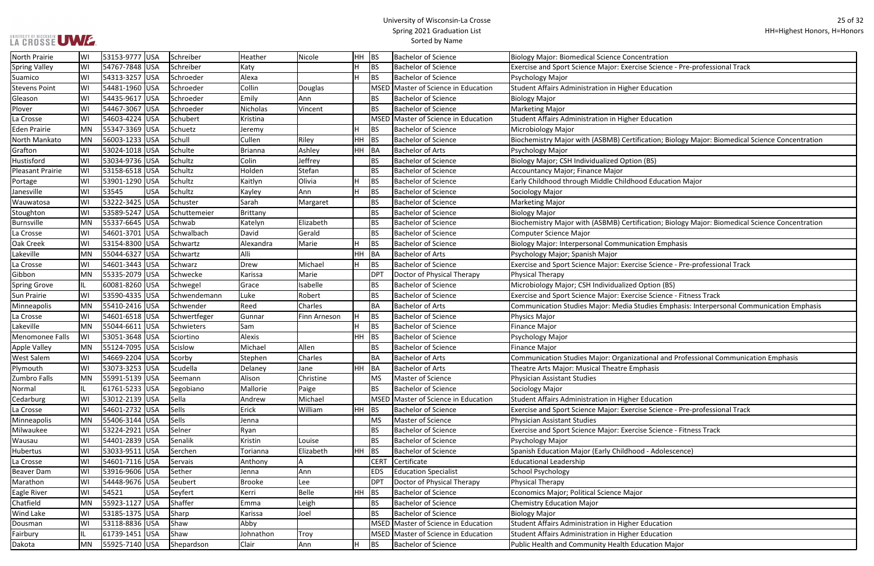#### University of Wisconsin-La Crosse Spring 2021 Graduation List Sorted by Name

ise Science - Pre-professional Track

ication; Biology Major: Biomedical Science Concentration

Fication; Biology Major: Biomedical Science Concentration

ise Science - Pre-professional Track

se Science - Fitness Track

udies Emphasis: Interpersonal Communication Emphasis: Major: Media Studies Emphasis: Interpersonal Communication

tional and Professional Communication Emphasis

se Science - Pre-professional Track

se Science - Fitness Track

| North Prairie           | WI        | 53153-9777 USA |            | Schreiber    | Heather        | Nicole         | HH        | <b>BS</b>   | <b>Bachelor of Science</b>          | <b>Biology Major: Biomedical Science Concentration</b>           |
|-------------------------|-----------|----------------|------------|--------------|----------------|----------------|-----------|-------------|-------------------------------------|------------------------------------------------------------------|
| <b>Spring Valley</b>    | WI        | 54767-7848 USA |            | Schreiber    | Katy           |                | H         | <b>BS</b>   | <b>Bachelor of Science</b>          | Exercise and Sport Science Major: Exercise Science - Pre-pro     |
| Suamico                 | WI        | 54313-3257 USA |            | Schroeder    | Alexa          |                | H         | <b>BS</b>   | <b>Bachelor of Science</b>          | Psychology Major                                                 |
| <b>Stevens Point</b>    | WI        | 54481-1960 USA |            | Schroeder    | Collin         | <b>Douglas</b> |           |             | MSED Master of Science in Education | <b>Student Affairs Administration in Higher Education</b>        |
| Gleason                 | WI        | 54435-9617 USA |            | Schroeder    | Emily          | Ann            |           | <b>BS</b>   | <b>Bachelor of Science</b>          | <b>Biology Major</b>                                             |
| Plover                  | WI        | 54467-3067     | <b>USA</b> | Schroeder    | Nicholas       | Vincent        |           | <b>BS</b>   | <b>Bachelor of Science</b>          | <b>Marketing Major</b>                                           |
| La Crosse               | WI        | 54603-4224 USA |            | Schubert     | Kristina       |                |           | <b>MSED</b> | Master of Science in Education      | <b>Student Affairs Administration in Higher Education</b>        |
| <b>Eden Prairie</b>     | <b>MN</b> | 55347-3369 USA |            | Schuetz      | Jeremy         |                | н         | <b>BS</b>   | <b>Bachelor of Science</b>          | Microbiology Major                                               |
| North Mankato           | MN        | 56003-1233 USA |            | Schull       | Cullen         | Riley          | HH        | <b>BS</b>   | <b>Bachelor of Science</b>          | Biochemistry Major with (ASBMB) Certification; Biology Ma        |
| Grafton                 | WI        | 53024-1018 USA |            | Schulte      | <b>Brianna</b> | Ashley         | HH        | BA          | <b>Bachelor of Arts</b>             | Psychology Major                                                 |
| Hustisford              | WI        | 53034-9736 USA |            | Schultz      | Colin          | Jeffrey        |           | <b>BS</b>   | <b>Bachelor of Science</b>          | Biology Major; CSH Individualized Option (BS)                    |
| <b>Pleasant Prairie</b> | WI        | 53158-6518 USA |            | Schultz      | Holden         | Stefan         |           | <b>BS</b>   | <b>Bachelor of Science</b>          | Accountancy Major; Finance Major                                 |
| Portage                 | WI        | 53901-1290     | <b>USA</b> | Schultz      | Kaitlyn        | Olivia         | H         | <b>BS</b>   | <b>Bachelor of Science</b>          | Early Childhood through Middle Childhood Education Major         |
| Janesville              | WI        | 53545          | <b>USA</b> | Schultz      | Kayley         | Ann            |           | <b>BS</b>   | <b>Bachelor of Science</b>          | Sociology Major                                                  |
| Wauwatosa               | WI        | 53222-3425     | <b>USA</b> | Schuster     | Sarah          | Margaret       |           | <b>BS</b>   | <b>Bachelor of Science</b>          | <b>Marketing Major</b>                                           |
| Stoughton               | WI        | 53589-5247 USA |            | Schuttemeier | Brittany       |                |           | <b>BS</b>   | <b>Bachelor of Science</b>          | <b>Biology Major</b>                                             |
| <b>Burnsville</b>       | <b>MN</b> | 55337-6645 USA |            | Schwab       | Katelyn        | Elizabeth      |           | <b>BS</b>   | <b>Bachelor of Science</b>          | Biochemistry Major with (ASBMB) Certification; Biology Ma        |
| La Crosse               | WI        | 54601-3701 USA |            | Schwalbach   | David          | Gerald         |           | <b>BS</b>   | <b>Bachelor of Science</b>          | <b>Computer Science Major</b>                                    |
| Oak Creek               | WI        | 53154-8300 USA |            | Schwartz     | Alexandra      | Marie          | H         | <b>BS</b>   | <b>Bachelor of Science</b>          | <b>Biology Major: Interpersonal Communication Emphasis</b>       |
| Lakeville               | <b>MN</b> | 55044-6327 USA |            | Schwartz     | Alli           |                | HH        | BA          | <b>Bachelor of Arts</b>             | Psychology Major; Spanish Major                                  |
| La Crosse               | WI        | 54601-3443 USA |            | Schwarz      | Drew           | Michael        | H         | <b>BS</b>   | <b>Bachelor of Science</b>          | Exercise and Sport Science Major: Exercise Science - Pre-pro     |
| Gibbon                  | <b>MN</b> | 55335-2079 USA |            | Schwecke     | Karissa        | Marie          |           | <b>DPT</b>  | Doctor of Physical Therapy          | <b>Physical Therapy</b>                                          |
| <b>Spring Grove</b>     | IL        | 60081-8260 USA |            | Schwegel     | Grace          | Isabelle       |           | <b>BS</b>   | <b>Bachelor of Science</b>          | Microbiology Major; CSH Individualized Option (BS)               |
| <b>Sun Prairie</b>      | WI        | 53590-4335 USA |            | Schwendemann | Luke           | Robert         |           | <b>BS</b>   | <b>Bachelor of Science</b>          | Exercise and Sport Science Major: Exercise Science - Fitness     |
| Minneapolis             | <b>MN</b> | 55410-2416     | <b>USA</b> | Schwender    | Reed           | Charles        |           | BA          | <b>Bachelor of Arts</b>             | Communication Studies Major: Media Studies Emphasis: Int         |
| La Crosse               | WI        | 54601-6518 USA |            | Schwertfeger | Gunnar         | Finn Arneson   | H         | <b>BS</b>   | <b>Bachelor of Science</b>          | <b>Physics Major</b>                                             |
| Lakeville               | <b>MN</b> | 55044-6611 USA |            | Schwieters   | Sam            |                | н         | <b>BS</b>   | <b>Bachelor of Science</b>          | <b>Finance Major</b>                                             |
| Menomonee Falls         | WI        | 53051-3648 USA |            | Sciortino    | Alexis         |                | HH        | <b>BS</b>   | <b>Bachelor of Science</b>          | Psychology Major                                                 |
| <b>Apple Valley</b>     | <b>MN</b> | 55124-7095 USA |            | Scislow      | Michael        | Allen          |           | <b>BS</b>   | <b>Bachelor of Science</b>          | <b>Finance Major</b>                                             |
| <b>West Salem</b>       | WI        | 54669-2204 USA |            | Scorby       | Stephen        | Charles        |           | <b>BA</b>   | <b>Bachelor of Arts</b>             | <b>Communication Studies Major: Organizational and Professio</b> |
| Plymouth                | WI        | 53073-3253 USA |            | Scudella     | Delaney        | Jane           | <b>HH</b> | <b>BA</b>   | <b>Bachelor of Arts</b>             | Theatre Arts Major: Musical Theatre Emphasis                     |
| Zumbro Falls            | MN        | 55991-5139 USA |            | Seemann      | Alison         | Christine      |           | <b>MS</b>   | Master of Science                   | <b>Physician Assistant Studies</b>                               |
| Normal                  | IL.       | 61761-5233 USA |            | Segobiano    | Mallorie       | Paige          |           | <b>BS</b>   | <b>Bachelor of Science</b>          | Sociology Major                                                  |
| Cedarburg               | WI        | 53012-2139 USA |            | Sella        | Andrew         | Michael        |           |             | MSED Master of Science in Education | Student Affairs Administration in Higher Education               |
| La Crosse               | WI        | 54601-2732 USA |            | Sells        | Erick          | William        | HH        | <b>BS</b>   | <b>Bachelor of Science</b>          | Exercise and Sport Science Major: Exercise Science - Pre-pro     |
| Minneapolis             | <b>MN</b> | 55406-3144 USA |            | Sells        | Jenna          |                |           | <b>MS</b>   | Master of Science                   | <b>Physician Assistant Studies</b>                               |
| Milwaukee               | WI        | 53224-2921 USA |            | Selner       | Ryan           |                |           | <b>BS</b>   | <b>Bachelor of Science</b>          | Exercise and Sport Science Major: Exercise Science - Fitness     |
| Wausau                  | WI        | 54401-2839 USA |            | Senalik      | Kristin        | Louise         |           | <b>BS</b>   | <b>Bachelor of Science</b>          | Psychology Major                                                 |
| Hubertus                | WI        | 53033-9511 USA |            | Serchen      | Torianna       | Elizabeth      | HH        | <b>BS</b>   | <b>Bachelor of Science</b>          | Spanish Education Major (Early Childhood - Adolescence)          |
| La Crosse               | WI        | 54601-7116 USA |            | Servais      | Anthony        | A              |           | <b>CERT</b> | Certificate                         | <b>Educational Leadership</b>                                    |
| <b>Beaver Dam</b>       | WI        | 53916-9606 USA |            | Sether       | Jenna          | Ann            |           | <b>EDS</b>  | <b>Education Specialist</b>         | <b>School Psychology</b>                                         |
| Marathon                | WI        | 54448-9676 USA |            | Seubert      | <b>Brooke</b>  | Lee            |           | <b>DPT</b>  | Doctor of Physical Therapy          | <b>Physical Therapy</b>                                          |
| Eagle River             | WI        | 54521          | <b>USA</b> | Seyfert      | Kerri          | <b>Belle</b>   | HH        | <b>BS</b>   | <b>Bachelor of Science</b>          | Economics Major; Political Science Major                         |
| Chatfield               | <b>MN</b> | 55923-1127 USA |            | Shaffer      | Emma           | Leigh          |           | BS          | <b>Bachelor of Science</b>          | <b>Chemistry Education Major</b>                                 |
| <b>Wind Lake</b>        | WI        | 53185-1375 USA |            | Sharp        | Karissa        | Joel           |           | <b>BS</b>   | <b>Bachelor of Science</b>          | <b>Biology Major</b>                                             |
| Dousman                 | WI        | 53118-8836 USA |            | Shaw         | Abby           |                |           |             | MSED Master of Science in Education | Student Affairs Administration in Higher Education               |
| Fairbury                | IL.       | 61739-1451 USA |            | Shaw         | Johnathon      | Troy           |           |             | MSED Master of Science in Education | <b>Student Affairs Administration in Higher Education</b>        |
| Dakota                  | <b>MN</b> | 55925-7140 USA |            | Shepardson   | Clair          | Ann            | н.        | <b>BS</b>   | <b>Bachelor of Science</b>          | Public Health and Community Health Education Major               |
|                         |           |                |            |              |                |                |           |             |                                     |                                                                  |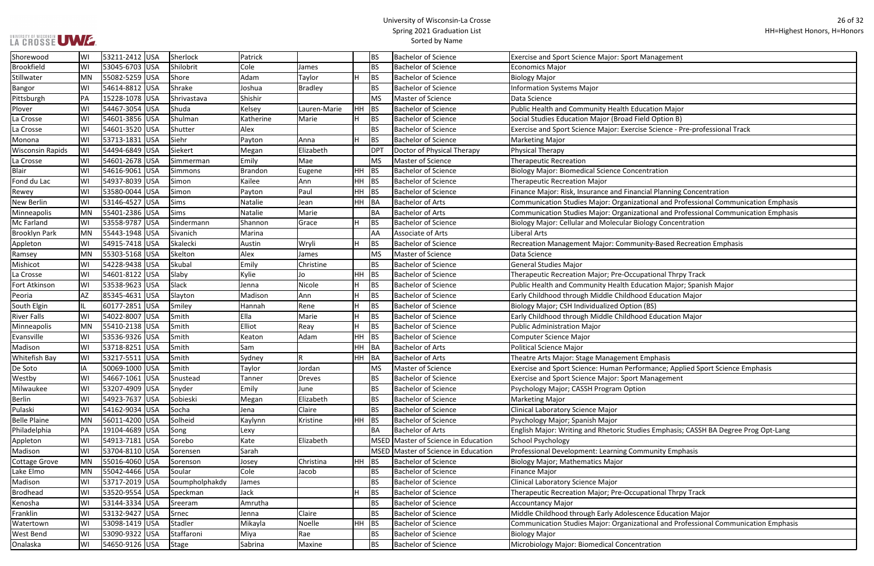#### University of Wisconsin-La Crosse Spring 2021 Graduation List Sorted by Name

ise Science - Pre-professional Track ncial Planning Concentration tional and Professional Communication Emphasis tional and Professional Communication Emphasis Inity-Based Recreation Emphasis ucation Major; Spanish Major Drmance; Applied Sport Science Emphasis lies Emphasis; CASSH BA Degree Prog Opt-Lang

tional and Professional Communication Emphasis

| Shorewood               | WI        | 53211-2412 USA | Sherlock       | Patrick   |                |         | <b>BS</b>  | <b>Bachelor of Science</b>          | <b>Exercise and Sport Science Major: Sport Management</b>       |
|-------------------------|-----------|----------------|----------------|-----------|----------------|---------|------------|-------------------------------------|-----------------------------------------------------------------|
| Brookfield              | WI        | 53045-6703 USA | Shilobrit      | Cole      | James          |         | <b>BS</b>  | <b>Bachelor of Science</b>          | <b>Economics Major</b>                                          |
| Stillwater              | MN        | 55082-5259 USA | Shore          | Adam      | Taylor         |         | <b>BS</b>  | <b>Bachelor of Science</b>          | <b>Biology Major</b>                                            |
| Bangor                  | WI        | 54614-8812 USA | Shrake         | Joshua    | <b>Bradley</b> |         | <b>BS</b>  | <b>Bachelor of Science</b>          | <b>Information Systems Major</b>                                |
| Pittsburgh              | PA        | 15228-1078 USA | Shrivastava    | Shishir   |                |         | <b>MS</b>  | Master of Science                   | Data Science                                                    |
| Plover                  | WI        | 54467-3054 USA | Shuda          | Kelsey    | Lauren-Marie   | HH      | BS         | <b>Bachelor of Science</b>          | Public Health and Community Health Education Major              |
| La Crosse               | WI        | 54601-3856 USA | Shulman        | Katherine | Marie          |         | <b>BS</b>  | <b>Bachelor of Science</b>          | Social Studies Education Major (Broad Field Option B)           |
| La Crosse               | WI        | 54601-3520 USA | Shutter        | Alex      |                |         | <b>BS</b>  | <b>Bachelor of Science</b>          | Exercise and Sport Science Major: Exercise Science - Pre-profes |
| Monona                  | WI        | 53713-1831 USA | Siehr          | Payton    | Anna           | H       | <b>BS</b>  | <b>Bachelor of Science</b>          | Marketing Major                                                 |
| <b>Wisconsin Rapids</b> | WI        | 54494-6849 USA | Siekert        | Megan     | Elizabeth      |         | <b>DPT</b> | Doctor of Physical Therapy          | <b>Physical Therapy</b>                                         |
| La Crosse               | WI        | 54601-2678 USA | Simmerman      | Emily     | Mae            |         | <b>MS</b>  | <b>Master of Science</b>            | <b>Therapeutic Recreation</b>                                   |
| <b>Blair</b>            | WI        | 54616-9061 USA | Simmons        | Brandon   | Eugene         | $HH$ BS |            | <b>Bachelor of Science</b>          | <b>Biology Major: Biomedical Science Concentration</b>          |
| Fond du Lac             | WI        | 54937-8039 USA | Simon          | Kailee    | Ann            | $HH$ BS |            | <b>Bachelor of Science</b>          | <b>Therapeutic Recreation Major</b>                             |
| Rewey                   | WI        | 53580-0044 USA | Simon          | Payton    | Paul           | HH.     | <b>BS</b>  | <b>Bachelor of Science</b>          | Finance Major: Risk, Insurance and Financial Planning Concenti  |
| <b>New Berlin</b>       | WI        | 53146-4527 USA | Sims           | Natalie   | Jean           | HH BA   |            | <b>Bachelor of Arts</b>             | Communication Studies Major: Organizational and Professiona     |
| Minneapolis             | <b>MN</b> | 55401-2386 USA | Sims           | Natalie   | Marie          |         | <b>BA</b>  | <b>Bachelor of Arts</b>             | Communication Studies Major: Organizational and Professiona     |
| Mc Farland              | WI        | 53558-9787 USA | Sindermann     | Shannon   | Grace          |         | <b>BS</b>  | <b>Bachelor of Science</b>          | Biology Major: Cellular and Molecular Biology Concentration     |
| <b>Brooklyn Park</b>    | MN        | 55443-1948 USA | Sivanich       | Marina    |                |         | AA         | <b>Associate of Arts</b>            | Liberal Arts                                                    |
| Appleton                | WI        | 54915-7418 USA | Skalecki       | Austin    | Wryli          |         | <b>BS</b>  | <b>Bachelor of Science</b>          | Recreation Management Major: Community-Based Recreation         |
| Ramsey                  | <b>MN</b> | 55303-5168 USA | Skelton        | Alex      | James          |         | <b>MS</b>  | <b>Master of Science</b>            | Data Science                                                    |
| Mishicot                | WI        | 54228-9438 USA | Skubal         | Emily     | Christine      |         | <b>BS</b>  | <b>Bachelor of Science</b>          | <b>General Studies Major</b>                                    |
| La Crosse               | WI        | 54601-8122 USA | Slaby          | Kylie     | Jo             | HH      | BS         | <b>Bachelor of Science</b>          | Therapeutic Recreation Major; Pre-Occupational Thrpy Track      |
| Fort Atkinson           | WI        | 53538-9623 USA | Slack          | Jenna     | Nicole         |         | <b>BS</b>  | <b>Bachelor of Science</b>          | Public Health and Community Health Education Major; Spanish     |
| Peoria                  | AZ        | 85345-4631 USA | Slayton        | Madison   | Ann            |         | <b>BS</b>  | <b>Bachelor of Science</b>          | Early Childhood through Middle Childhood Education Major        |
| South Elgin             | IL        | 60177-2851 USA | Smiley         | Hannah    | Rene           |         | <b>BS</b>  | <b>Bachelor of Science</b>          | Biology Major; CSH Individualized Option (BS)                   |
| <b>River Falls</b>      | WI        | 54022-8007 USA | Smith          | Ella      | Marie          |         | <b>BS</b>  | <b>Bachelor of Science</b>          | Early Childhood through Middle Childhood Education Major        |
| Minneapolis             | <b>MN</b> | 55410-2138 USA | Smith          | Elliot    | Reay           |         | <b>BS</b>  | <b>Bachelor of Science</b>          | <b>Public Administration Major</b>                              |
| Evansville              | WI        | 53536-9326 USA | Smith          | Keaton    | Adam           | HH      | BS         | <b>Bachelor of Science</b>          | <b>Computer Science Major</b>                                   |
| Madison                 | WI        | 53718-8251 USA | Smith          | Sam       |                | HH      | BA         | <b>Bachelor of Arts</b>             | <b>Political Science Major</b>                                  |
| <b>Whitefish Bay</b>    | WI        | 53217-5511 USA | Smith          | Sydney    |                | HH      | BA         | <b>Bachelor of Arts</b>             | Theatre Arts Major: Stage Management Emphasis                   |
| De Soto                 | IA        | 50069-1000 USA | Smith          | Taylor    | Jordan         |         | <b>MS</b>  | Master of Science                   | Exercise and Sport Science: Human Performance; Applied Spor     |
| Westby                  | WI        | 54667-1061 USA | Snustead       | Tanner    | <b>Dreves</b>  |         | <b>BS</b>  | <b>Bachelor of Science</b>          | Exercise and Sport Science Major: Sport Management              |
| Milwaukee               | WI        | 53207-4909 USA | Snyder         | Emily     | June           |         | <b>BS</b>  | <b>Bachelor of Science</b>          | Psychology Major; CASSH Program Option                          |
| <b>Berlin</b>           | WI        | 54923-7637 USA | Sobieski       | Megan     | Elizabeth      |         | <b>BS</b>  | <b>Bachelor of Science</b>          | <b>Marketing Major</b>                                          |
| Pulaski                 | WI        | 54162-9034 USA | Socha          | Jena      | Claire         |         | <b>BS</b>  | <b>Bachelor of Science</b>          | Clinical Laboratory Science Major                               |
| <b>Belle Plaine</b>     | MN        | 56011-4200 USA | Solheid        | Kaylynn   | Kristine       | $HH$ BS |            | <b>Bachelor of Science</b>          | Psychology Major; Spanish Major                                 |
| Philadelphia            | PA        | 19104-4689 USA | Song           | Lexy      |                |         | <b>BA</b>  | <b>Bachelor of Arts</b>             | English Major: Writing and Rhetoric Studies Emphasis; CASSH E   |
| Appleton                | WI        | 54913-7181 USA | Sorebo         | Kate      | Elizabeth      |         |            | MSED Master of Science in Education | School Psychology                                               |
| Madison                 | WI        | 53704-8110 USA | Sorensen       | Sarah     |                |         |            | MSED Master of Science in Education | Professional Development: Learning Community Emphasis           |
| Cottage Grove           | MN        | 55016-4060 USA | Sorenson       | Josey     | Christina      | HH BS   |            | <b>Bachelor of Science</b>          | <b>Biology Major; Mathematics Major</b>                         |
| Lake Elmo               | <b>MN</b> | 55042-4466 USA | Soular         | Cole      | Jacob          |         | <b>BS</b>  | <b>Bachelor of Science</b>          | <b>Finance Major</b>                                            |
| Madison                 | WI        | 53717-2019 USA | Soumpholphakdy | James     |                |         | <b>BS</b>  | <b>Bachelor of Science</b>          | Clinical Laboratory Science Major                               |
| <b>Brodhead</b>         | WI        | 53520-9554 USA | Speckman       | Jack      |                |         | BS         | <b>Bachelor of Science</b>          | Therapeutic Recreation Major; Pre-Occupational Thrpy Track      |
| Kenosha                 | WI        | 53144-3334 USA | Sreeram        | Amrutha   |                |         | <b>BS</b>  | <b>Bachelor of Science</b>          | <b>Accountancy Major</b>                                        |
| Franklin                | WI        | 53132-9427 USA | Srnec          | Jenna     | Claire         |         | <b>BS</b>  | <b>Bachelor of Science</b>          | Middle Childhood through Early Adolescence Education Major      |
| Watertown               | WI        | 53098-1419 USA | Stadler        | Mikayla   | Noelle         | $HH$ BS |            | <b>Bachelor of Science</b>          | Communication Studies Major: Organizational and Professiona     |
| <b>West Bend</b>        | WI        | 53090-9322 USA | Staffaroni     | Miya      | Rae            |         | BS         | <b>Bachelor of Science</b>          | <b>Biology Major</b>                                            |
| Onalaska                | WI        | 54650-9126 USA | Stage          | Sabrina   | Maxine         |         | <b>BS</b>  | <b>Bachelor of Science</b>          | Microbiology Major: Biomedical Concentration                    |
|                         |           |                |                |           |                |         |            |                                     |                                                                 |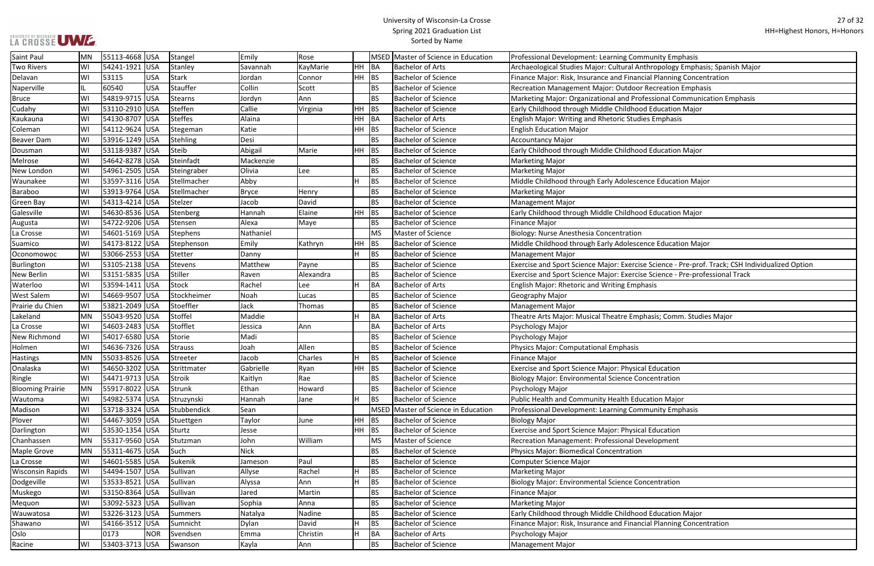#### University of Wisconsin-La Crosse Spring 2021 Graduation List Sorted by Name

Inthropology Emphasis; Spanish Major

ncial Planning Concentration

 $1$ Oressional Communication Emphasis

Ise Science - Pre-prof. Track; CSH Individualized Option se Science - Pre-professional Track

phasis; Comm. Studies Major:

ncial Planning Concentration

| Saint Paul              | IMN       | 55113-4668  USA  |            | Stangel        | Emily        | Rose      |           |           | MSED Master of Science in Education | <b>Professional Development: Learning Community Emphasis</b>    |
|-------------------------|-----------|------------------|------------|----------------|--------------|-----------|-----------|-----------|-------------------------------------|-----------------------------------------------------------------|
| <b>Two Rivers</b>       | WI        | 54241-1921 USA   |            | Stanley        | Savannah     | KayMarie  | HH        | BA        | <b>Bachelor of Arts</b>             | Archaeological Studies Major: Cultural Anthropology Emphasis    |
| Delavan                 | WI        | 53115            | <b>USA</b> | Stark          | Jordan       | Connor    | HH.       | BS        | <b>Bachelor of Science</b>          | Finance Major: Risk, Insurance and Financial Planning Concenti  |
| Naperville              | IL        | 60540            | <b>USA</b> | Stauffer       | Collin       | Scott     |           | <b>BS</b> | <b>Bachelor of Science</b>          | Recreation Management Major: Outdoor Recreation Emphasis        |
| <b>Bruce</b>            | WI        | 54819-9715 USA   |            | <b>Stearns</b> | Jordyn       | Ann       |           | <b>BS</b> | <b>Bachelor of Science</b>          | Marketing Major: Organizational and Professional Communica      |
| Cudahy                  | WI        | 53110-2910   USA |            | Steffen        | Callie       | Virginia  | HH.       | <b>BS</b> | <b>Bachelor of Science</b>          | Early Childhood through Middle Childhood Education Major        |
| Kaukauna                | WI        | 54130-8707 USA   |            | <b>Steffes</b> | Alaina       |           | HH        | BA        | <b>Bachelor of Arts</b>             | <b>English Major: Writing and Rhetoric Studies Emphasis</b>     |
| Coleman                 | WI        | 54112-9624 USA   |            | Stegeman       | Katie        |           | HH        | <b>BS</b> | <b>Bachelor of Science</b>          | <b>English Education Major</b>                                  |
| Beaver Dam              | WI        | 53916-1249 USA   |            | Stehling       | Desi         |           |           | <b>BS</b> | <b>Bachelor of Science</b>          | <b>Accountancy Major</b>                                        |
| Dousman                 | WI        | 53118-9387 USA   |            | Steib          | Abigail      | Marie     | HH        | BS        | <b>Bachelor of Science</b>          | Early Childhood through Middle Childhood Education Major        |
| Melrose                 | WI        | 54642-8278 USA   |            | Steinfadt      | Mackenzie    |           |           | <b>BS</b> | <b>Bachelor of Science</b>          | <b>Marketing Major</b>                                          |
| New London              | WI        | 54961-2505 USA   |            | Steingraber    | Olivia       | Lee       |           | <b>BS</b> | <b>Bachelor of Science</b>          | <b>Marketing Major</b>                                          |
| Waunakee                | WI        | 53597-3116 USA   |            | Stellmacher    | Abby         |           | Н         | BS        | <b>Bachelor of Science</b>          | Middle Childhood through Early Adolescence Education Major      |
| Baraboo                 | WI        | 53913-9764 USA   |            | Stellmacher    | <b>Bryce</b> | Henry     |           | <b>BS</b> | <b>Bachelor of Science</b>          | <b>Marketing Major</b>                                          |
| <b>Green Bay</b>        | WI        | 54313-4214 USA   |            | Stelzer        | Jacob        | David     |           | <b>BS</b> | <b>Bachelor of Science</b>          | <b>Management Major</b>                                         |
| Galesville              | WI        | 54630-8536 USA   |            | Stenberg       | Hannah       | Elaine    | HH        | <b>BS</b> | <b>Bachelor of Science</b>          | Early Childhood through Middle Childhood Education Major        |
| Augusta                 | WI        | 54722-9206 USA   |            | Stensen        | Alexa        | Maye      |           | <b>BS</b> | <b>Bachelor of Science</b>          | Finance Major                                                   |
| La Crosse               | WI        | 54601-5169 USA   |            | Stephens       | Nathaniel    |           |           | MS        | Master of Science                   | Biology: Nurse Anesthesia Concentration                         |
| Suamico                 | WI        | 54173-8122 USA   |            | Stephenson     | Emily        | Kathryn   | <b>HH</b> | <b>BS</b> | <b>Bachelor of Science</b>          | Middle Childhood through Early Adolescence Education Major      |
| Oconomowoc              | WI        | 53066-2553 USA   |            | Stetter        | Danny        |           | H         | BS        | <b>Bachelor of Science</b>          | <b>Management Major</b>                                         |
| Burlington              | WI        | 53105-2138 USA   |            | Stevens        | Matthew      | Payne     |           | <b>BS</b> | <b>Bachelor of Science</b>          | Exercise and Sport Science Major: Exercise Science - Pre-prof.  |
| <b>New Berlin</b>       | WI        | 53151-5835 USA   |            | Stiller        | Raven        | Alexandra |           | <b>BS</b> | <b>Bachelor of Science</b>          | Exercise and Sport Science Major: Exercise Science - Pre-profes |
| Waterloo                | WI        | 53594-1411 USA   |            | Stock          | Rachel       | Lee       |           | <b>BA</b> | <b>Bachelor of Arts</b>             | <b>English Major: Rhetoric and Writing Emphasis</b>             |
| <b>West Salem</b>       | WI        | 54669-9507 USA   |            | Stockheimer    | Noah         | Lucas     |           | <b>BS</b> | <b>Bachelor of Science</b>          | Geography Major                                                 |
| Prairie du Chien        | WI        | 53821-2049   USA |            | Stoeffler      | Jack         | Thomas    |           | <b>BS</b> | <b>Bachelor of Science</b>          | Management Major                                                |
| Lakeland                | MN        | 55043-9520 USA   |            | Stoffel        | Maddie       |           | Н         | BA        | <b>Bachelor of Arts</b>             | Theatre Arts Major: Musical Theatre Emphasis; Comm. Studies     |
| La Crosse               | WI        | 54603-2483 USA   |            | Stofflet       | Jessica      | Ann       |           | <b>BA</b> | <b>Bachelor of Arts</b>             | Psychology Major                                                |
| New Richmond            | WI        | 54017-6580 USA   |            | Storie         | Madi         |           |           | <b>BS</b> | <b>Bachelor of Science</b>          | Psychology Major                                                |
| Holmen                  | WI        | 54636-7326 USA   |            | <b>Strauss</b> | Joah         | Allen     |           | <b>BS</b> | <b>Bachelor of Science</b>          | Physics Major: Computational Emphasis                           |
| <b>Hastings</b>         | <b>MN</b> | 55033-8526 USA   |            | Streeter       | Jacob        | Charles   | н         | <b>BS</b> | <b>Bachelor of Science</b>          | <b>Finance Major</b>                                            |
| Onalaska                | WI        | 54650-3202 USA   |            | Strittmater    | Gabrielle    | Ryan      | <b>HH</b> | <b>BS</b> | <b>Bachelor of Science</b>          | <b>Exercise and Sport Science Major: Physical Education</b>     |
| Ringle                  | WI        | 54471-9713 USA   |            | Stroik         | Kaitlyn      | Rae       |           | <b>BS</b> | <b>Bachelor of Science</b>          | <b>Biology Major: Environmental Science Concentration</b>       |
| <b>Blooming Prairie</b> | MN        | 55917-8022 USA   |            | Strunk         | Ethan        | Howard    |           | BS        | <b>Bachelor of Science</b>          | Psychology Major                                                |
| Wautoma                 | WI        | 54982-5374 USA   |            | Struzynski     | Hannah       | Jane      | H         | <b>BS</b> | <b>Bachelor of Science</b>          | Public Health and Community Health Education Major              |
| Madison                 | WI        | 53718-3324 USA   |            | Stubbendick    | Sean         |           |           |           | MSED Master of Science in Education | Professional Development: Learning Community Emphasis           |
| Plover                  | WI        | 54467-3059 USA   |            | Stuettgen      | Taylor       | June      | <b>HH</b> | <b>BS</b> | <b>Bachelor of Science</b>          | <b>Biology Major</b>                                            |
| Darlington              | WI        | 53530-1354 USA   |            | Sturtz         | Jesse        |           | HH        | <b>BS</b> | <b>Bachelor of Science</b>          | Exercise and Sport Science Major: Physical Education            |
| Chanhassen              | <b>MN</b> | 55317-9560 USA   |            | Stutzman       | John         | William   |           | MS        | Master of Science                   | Recreation Management: Professional Development                 |
| Maple Grove             | MN        | 55311-4675 USA   |            | Such           | <b>Nick</b>  |           |           | BS        | <b>Bachelor of Science</b>          | Physics Major: Biomedical Concentration                         |
| La Crosse               | WI        | 54601-5585 USA   |            | Sukenik        | Jameson      | Paul      |           | <b>BS</b> | <b>Bachelor of Science</b>          | <b>Computer Science Major</b>                                   |
| <b>Wisconsin Rapids</b> | WI        | 54494-1507 USA   |            | Sullivan       | Allyse       | Rachel    | Η         | <b>BS</b> | <b>Bachelor of Science</b>          | <b>Marketing Major</b>                                          |
| Dodgeville              | WI        | 53533-8521 USA   |            | Sullivan       | Alyssa       | Ann       | H         | <b>BS</b> | <b>Bachelor of Science</b>          | <b>Biology Major: Environmental Science Concentration</b>       |
| Muskego                 | WI        | 53150-8364 USA   |            | Sullivan       | Jared        | Martin    |           | BS        | <b>Bachelor of Science</b>          | Finance Major                                                   |
| Mequon                  | WI        | 53092-5323 USA   |            | Sullivan       | Sophia       | Anna      |           | <b>BS</b> | <b>Bachelor of Science</b>          | Marketing Major                                                 |
| Wauwatosa               | WI        | 53226-3123 USA   |            | Summers        | Natalya      | Nadine    |           | <b>BS</b> | <b>Bachelor of Science</b>          | Early Childhood through Middle Childhood Education Major        |
| Shawano                 | WI        | 54166-3512 USA   |            | Sumnicht       | Dylan        | David     |           | BS        | <b>Bachelor of Science</b>          | Finance Major: Risk, Insurance and Financial Planning Concenti  |
| Oslo                    |           | 0173             | <b>NOR</b> | Svendsen       | Emma         | Christin  | H         | <b>BA</b> | <b>Bachelor of Arts</b>             | Psychology Major                                                |
| Racine                  | WI        | 53403-3713 USA   |            | Swanson        | Kayla        | Ann       |           | <b>BS</b> | <b>Bachelor of Science</b>          | <b>Management Major</b>                                         |
|                         |           |                  |            |                |              |           |           |           |                                     |                                                                 |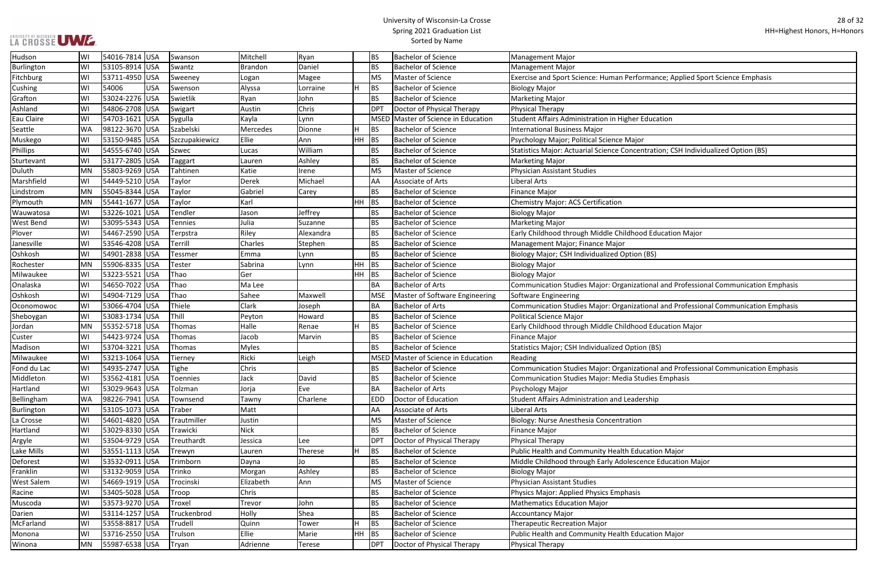# UNIVERSITY OF WISCONSIN<br>LA CROSSE UWE.

| formance; Applied Sport Science Emphasis                            |
|---------------------------------------------------------------------|
|                                                                     |
|                                                                     |
| r Education                                                         |
|                                                                     |
| jor                                                                 |
| entration; CSH Individualized Option (BS):                          |
|                                                                     |
|                                                                     |
|                                                                     |
|                                                                     |
|                                                                     |
|                                                                     |
| ood Education Major                                                 |
|                                                                     |
| วท (BS)                                                             |
|                                                                     |
| ational and Professional Communication Emphasis                     |
|                                                                     |
| ational and Professional Communication Emphasis                     |
| ood Education Major                                                 |
|                                                                     |
| ion (BS)                                                            |
|                                                                     |
| ational and Professional Communication Emphasis<br>Studies Emphasis |
|                                                                     |
| dership                                                             |
|                                                                     |
| ρn                                                                  |
|                                                                     |
|                                                                     |
| ducation Major                                                      |
| cence Education Major                                               |
|                                                                     |
| is                                                                  |
|                                                                     |
|                                                                     |
|                                                                     |
| ducation Major                                                      |
|                                                                     |

| Hudson            | WI        | 54016-7814 USA   |            | Swanson        | Mitchell       | Ryan      |       | <b>BS</b>       | <b>Bachelor of Science</b>     | Management Major                                                                    |
|-------------------|-----------|------------------|------------|----------------|----------------|-----------|-------|-----------------|--------------------------------|-------------------------------------------------------------------------------------|
| Burlington        | WI        | 53105-8914 USA   |            | Swantz         | <b>Brandon</b> | Daniel    |       | <b>BS</b>       | <b>Bachelor of Science</b>     | Management Major                                                                    |
| Fitchburg         | WI        | 53711-4950 USA   |            | Sweeney        | Logan          | Magee     |       | <b>MS</b>       | Master of Science              | Exercise and Sport Science: Human Performance; Applied Sport Science Emphasis       |
| Cushing           | WI        | 54006            | <b>USA</b> | Swenson        | Alyssa         | Lorraine  | ΙH.   | <b>BS</b>       | <b>Bachelor of Science</b>     | <b>Biology Major</b>                                                                |
| Grafton           | WI        | 53024-2276 USA   |            | Swietlik       | Ryan           | John      |       | <b>BS</b>       | <b>Bachelor of Science</b>     | Marketing Major                                                                     |
| Ashland           | WI        | 54806-2708 USA   |            | Swigart        | Austin         | Chris     |       | DP <sub>1</sub> | Doctor of Physical Therapy     | Physical Therapy                                                                    |
| Eau Claire        | WI        | 54703-1621 USA   |            | Sygulla        | Kayla          | Lynn      |       | <b>MSED</b>     | Master of Science in Education | Student Affairs Administration in Higher Education                                  |
| Seattle           | WA        | 98122-3670 USA   |            | Szabelski      | Mercedes       | Dionne    |       | BS              | <b>Bachelor of Science</b>     | <b>International Business Major</b>                                                 |
| Muskego           | WI        | 53150-9485 USA   |            | Szczupakiewicz | Ellie          | Ann       | HH BS |                 | <b>Bachelor of Science</b>     | Psychology Major; Political Science Major                                           |
| <b>Phillips</b>   | WI        | 54555-6740 USA   |            | Szwec          | Lucas          | William   |       | <b>BS</b>       | <b>Bachelor of Science</b>     | Statistics Major: Actuarial Science Concentration; CSH Individualized Option (BS)   |
| Sturtevant        | WI        | 53177-2805 USA   |            | Taggart        | Lauren         | Ashley    |       | <b>BS</b>       | <b>Bachelor of Science</b>     | <b>Marketing Major</b>                                                              |
| Duluth            | MN        | 55803-9269 USA   |            | Tahtinen       | Katie          | Irene     |       | MS              | Master of Science              | Physician Assistant Studies                                                         |
| Marshfield        | WI        | 54449-5210 USA   |            | Taylor         | Derek          | Michael   |       | AA              | Associate of Arts              | Liberal Arts                                                                        |
| Lindstrom         | MN        | 55045-8344 USA   |            | Taylor         | Gabriel        | Carey     |       | BS              | <b>Bachelor of Science</b>     | Finance Major                                                                       |
| Plymouth          | MN        | 55441-1677   USA |            | Taylor         | Karl           |           | HH BS |                 | <b>Bachelor of Science</b>     | Chemistry Major: ACS Certification                                                  |
| Wauwatosa         | lwı       | 53226-1021 USA   |            | Tendler        | Jason          | Jeffrey   |       | <b>BS</b>       | <b>Bachelor of Science</b>     | <b>Biology Major</b>                                                                |
| <b>West Bend</b>  | WI        | 53095-5343 USA   |            | <b>Tennies</b> | Julia          | Suzanne   |       | <b>BS</b>       | <b>Bachelor of Science</b>     | Marketing Major                                                                     |
| Plover            | WI        | 54467-2590 USA   |            | Terpstra       | Riley          | Alexandra |       | <b>BS</b>       | <b>Bachelor of Science</b>     | Early Childhood through Middle Childhood Education Major                            |
| Janesville        | WI        | 53546-4208 USA   |            | Terrill        | Charles        | Stephen   |       | BS              | <b>Bachelor of Science</b>     | Management Major; Finance Major                                                     |
| Oshkosh           | lwı       | 54901-2838 USA   |            | Tessmer        | Emma           | Lynn      |       | <b>BS</b>       | <b>Bachelor of Science</b>     | Biology Major; CSH Individualized Option (BS)                                       |
| Rochester         | <b>MN</b> | 55906-8335 USA   |            | Tester         | Sabrina        | Lynn      | HH BS |                 | <b>Bachelor of Science</b>     | <b>Biology Major</b>                                                                |
| Milwaukee         | WI        | 53223-5521 USA   |            | Thao           | Ger            |           | HH BS |                 | <b>Bachelor of Science</b>     | <b>Biology Major</b>                                                                |
| Onalaska          | WI        | 54650-7022 USA   |            | Thao           | Ma Lee         |           |       | <b>BA</b>       | <b>Bachelor of Arts</b>        | Communication Studies Major: Organizational and Professional Communication Emphasis |
| Oshkosh           | WI        | 54904-7129 USA   |            | Thao           | Sahee          | Maxwell   |       | <b>MSE</b>      | Master of Software Engineering | Software Engineering                                                                |
| Oconomowoc        | WI        | 53066-4704 USA   |            | Thiele         | Clark          | Joseph    |       | <b>BA</b>       | <b>Bachelor of Arts</b>        | Communication Studies Major: Organizational and Professional Communication Emphasis |
| Sheboygan         | WI        | 53083-1734 USA   |            | Thill          | Peyton         | Howard    |       | <b>BS</b>       | <b>Bachelor of Science</b>     | Political Science Major                                                             |
| Jordan            | MN        | 55352-5718 USA   |            | Thomas         | Halle          | Renae     |       | BS              | <b>Bachelor of Science</b>     | Early Childhood through Middle Childhood Education Major                            |
| Custer            | WI        | 54423-9724 USA   |            | Thomas         | Jacob          | Marvin    |       | <b>BS</b>       | <b>Bachelor of Science</b>     | Finance Major                                                                       |
| Madison           | WI        | 53704-3221 USA   |            | Thomas         | <b>Myles</b>   |           |       | <b>BS</b>       | <b>Bachelor of Science</b>     | Statistics Major; CSH Individualized Option (BS)                                    |
| Milwaukee         | WI        | 53213-1064 USA   |            | Tierney        | Ricki          | Leigh     |       | <b>MSED</b>     | Master of Science in Education | Reading                                                                             |
| Fond du Lac       | WI        | 54935-2747 USA   |            | Tighe          | Chris          |           |       | <b>BS</b>       | <b>Bachelor of Science</b>     | Communication Studies Major: Organizational and Professional Communication Emphasis |
| Middleton         | WI        | 53562-4181 USA   |            | Toennies       | Jack           | David     |       | <b>BS</b>       | <b>Bachelor of Science</b>     | Communication Studies Major: Media Studies Emphasis                                 |
| Hartland          | WI        | 53029-9643 USA   |            | Tolzman        | Jorja          | Eve       |       | <b>BA</b>       | <b>Bachelor of Arts</b>        | Psychology Major                                                                    |
| Bellingham        | <b>WA</b> | 98226-7941 USA   |            | Townsend       | Tawny          | Charlene  |       | <b>EDD</b>      | Doctor of Education            | Student Affairs Administration and Leadership                                       |
| Burlington        | WI        | 53105-1073 USA   |            | Traber         | Matt           |           |       | AA              | Associate of Arts              | Liberal Arts                                                                        |
| La Crosse         | WI        | 54601-4820 USA   |            | Trautmiller    | Justin         |           |       | MS              | Master of Science              | Biology: Nurse Anesthesia Concentration                                             |
| Hartland          | WI        | 53029-8330 USA   |            | Trawicki       | <b>Nick</b>    |           |       | <b>BS</b>       | <b>Bachelor of Science</b>     | Finance Major                                                                       |
| Argyle            | WI        | 53504-9729 USA   |            | Treuthardt     | Jessica        | Lee       |       | DP <sub>1</sub> | Doctor of Physical Therapy     | Physical Therapy                                                                    |
| Lake Mills        | WI        | 53551-1113 USA   |            | Trewyn         | Lauren         | Therese   | H     | BS              | <b>Bachelor of Science</b>     | Public Health and Community Health Education Major                                  |
| Deforest          | WI        | 53532-0911 USA   |            | Trimborn       | Dayna          | Jo        |       | BS              | <b>Bachelor of Science</b>     | Middle Childhood through Early Adolescence Education Major                          |
| Franklin          | WI        | 53132-9059 USA   |            | Trinko         | Morgan         | Ashley    |       | BS              | <b>Bachelor of Science</b>     | Biology Major                                                                       |
| <b>West Salem</b> | WI        | 54669-1919   USA |            | Trocinski      | Elizabeth      | Ann       |       | MS              | Master of Science              | Physician Assistant Studies                                                         |
| Racine            | WI        | 53405-5028 USA   |            | Troop          | Chris          |           |       | <b>BS</b>       | <b>Bachelor of Science</b>     | Physics Major: Applied Physics Emphasis                                             |
| Muscoda           | WI        | 53573-9270 USA   |            | Troxel         | Trevor         | John      |       | <b>BS</b>       | <b>Bachelor of Science</b>     | Mathematics Education Major                                                         |
| Darien            | WI        | 53114-1257 USA   |            | Truckenbrod    | Holly          | Shea      |       | BS              | <b>Bachelor of Science</b>     | <b>Accountancy Major</b>                                                            |
| McFarland         | WI        | 53558-8817 USA   |            | Trudell        | Quinn          | Tower     | H     | BS              | <b>Bachelor of Science</b>     | Therapeutic Recreation Major                                                        |
| Monona            | WI        | 53716-2550 USA   |            | Trulson        | Ellie          | Marie     | HH BS |                 | <b>Bachelor of Science</b>     | Public Health and Community Health Education Major                                  |
| Winona            | MN        | 55987-6538 USA   |            | Tryan          | Adrienne       | Terese    |       | <b>DPT</b>      | Doctor of Physical Therapy     | Physical Therapy                                                                    |
|                   |           |                  |            |                |                |           |       |                 |                                |                                                                                     |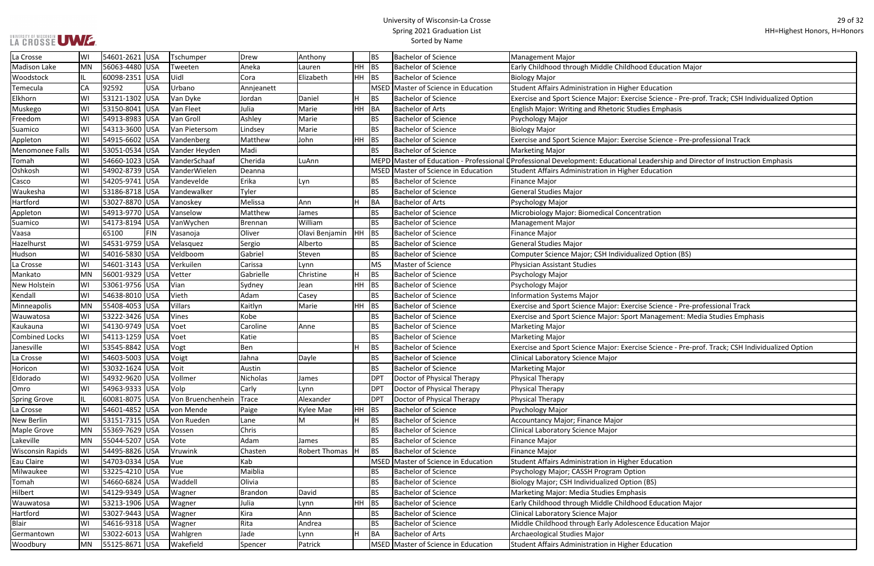#### University of Wisconsin-La Crosse Spring 2021 Graduation List Sorted by Name

ise Science - Pre-prof. Track; CSH Individualized Option

ise Science - Pre-professional Track

Leadership and Director of Instruction Emphasis

ise Science - Pre-professional Track Management: Media Studies Emphasis

ise Science - Pre-prof. Track; CSH Individualized Option

| La Crosse               | WI        | 54601-2621 USA |            | Tschumper         | Drew           | Anthony        |           | <b>BS</b>  | <b>Bachelor of Science</b>                 | Management Major                                                                                       |
|-------------------------|-----------|----------------|------------|-------------------|----------------|----------------|-----------|------------|--------------------------------------------|--------------------------------------------------------------------------------------------------------|
| <b>Madison Lake</b>     | MN        | 56063-4480 USA |            | Tweeten           | Aneka          | Lauren         | HH        | BS         | <b>Bachelor of Science</b>                 | Early Childhood through Middle Childhood Education Major                                               |
| Woodstock               |           | 60098-2351 USA |            | Uidl              | Cora           | Elizabeth      | <b>HH</b> | <b>BS</b>  | <b>Bachelor of Science</b>                 | <b>Biology Major</b>                                                                                   |
| Temecula                | <b>CA</b> | 92592          | <b>USA</b> | Urbano            | Annjeanett     |                |           |            | MSED Master of Science in Education        | Student Affairs Administration in Higher Education                                                     |
| Elkhorn                 | WI        | 53121-1302 USA |            | Van Dyke          | Jordan         | Daniel         |           | <b>BS</b>  | <b>Bachelor of Science</b>                 | Exercise and Sport Science Major: Exercise Science - Pre-prof. 1                                       |
| Muskego                 | WI        | 53150-8041 USA |            | Van Fleet         | Julia          | Marie          | <b>HH</b> | BA         | <b>Bachelor of Arts</b>                    | English Major: Writing and Rhetoric Studies Emphasis                                                   |
| Freedom                 | WI        | 54913-8983 USA |            | Van Groll         | Ashley         | Marie          |           | <b>BS</b>  | <b>Bachelor of Science</b>                 | Psychology Major                                                                                       |
| Suamico                 | WI        | 54313-3600 USA |            | Van Pietersom     | Lindsey        | Marie          |           | <b>BS</b>  | <b>Bachelor of Science</b>                 | <b>Biology Major</b>                                                                                   |
| Appleton                | WI        | 54915-6602 USA |            | Vandenberg        | Matthew        | John           | HH        | BS         | <b>Bachelor of Science</b>                 | Exercise and Sport Science Major: Exercise Science - Pre-profes                                        |
| <b>Menomonee Falls</b>  | WI        | 53051-0534 USA |            | Vander Heyden     | Madi           |                |           | <b>BS</b>  | <b>Bachelor of Science</b>                 | <b>Marketing Major</b>                                                                                 |
| Tomah                   | WI        | 54660-1023 USA |            | VanderSchaaf      | Cherida        | LuAnn          |           |            |                                            | MEPD Master of Education - Professional L Professional Development: Educational Leadership and Directo |
| Oshkosh                 | WI        | 54902-8739 USA |            | VanderWielen      | Deanna         |                |           |            | <b>MSED Master of Science in Education</b> | Student Affairs Administration in Higher Education                                                     |
| Casco                   | WI        | 54205-9741 USA |            | Vandevelde        | Erika          | Lyn            |           | <b>BS</b>  | <b>Bachelor of Science</b>                 | <b>Finance Major</b>                                                                                   |
| Waukesha                | WI        | 53186-8718 USA |            | Vandewalker       | Tyler          |                |           | <b>BS</b>  | <b>Bachelor of Science</b>                 | <b>General Studies Major</b>                                                                           |
| Hartford                | WI        | 53027-8870 USA |            | Vanoskey          | Melissa        | Ann            |           | BA         | <b>Bachelor of Arts</b>                    | Psychology Major                                                                                       |
| Appleton                | WI        | 54913-9770 USA |            | Vanselow          | Matthew        | James          |           | <b>BS</b>  | <b>Bachelor of Science</b>                 | Microbiology Major: Biomedical Concentration                                                           |
| Suamico                 | WI        | 54173-8194 USA |            | VanWychen         | Brennan        | William        |           | <b>BS</b>  | <b>Bachelor of Science</b>                 | <b>Management Major</b>                                                                                |
| Vaasa                   |           | 65100          | <b>FIN</b> | Vasanoja          | Oliver         | Olavi Benjamin | HH.       | BS         | <b>Bachelor of Science</b>                 | Finance Major                                                                                          |
| Hazelhurst              | WI        | 54531-9759 USA |            | Velasquez         | Sergio         | Alberto        |           | <b>BS</b>  | <b>Bachelor of Science</b>                 | <b>General Studies Major</b>                                                                           |
| Hudson                  | WI        | 54016-5830 USA |            | Veldboom          | Gabriel        | Steven         |           | <b>BS</b>  | <b>Bachelor of Science</b>                 | Computer Science Major; CSH Individualized Option (BS)                                                 |
| La Crosse               | WI        | 54601-3143 USA |            | Verkuilen         | Carissa        | Lynn           |           | <b>MS</b>  | Master of Science                          | Physician Assistant Studies                                                                            |
| Mankato                 | MN        | 56001-9329 USA |            | Vetter            | Gabrielle      | Christine      |           | <b>BS</b>  | <b>Bachelor of Science</b>                 | Psychology Major                                                                                       |
| New Holstein            | WI        | 53061-9756 USA |            | Vian              | Sydney         | Jean           | HH        | <b>BS</b>  | <b>Bachelor of Science</b>                 | Psychology Major                                                                                       |
| Kendall                 | WI        | 54638-8010 USA |            | Vieth             | Adam           | Casey          |           | <b>BS</b>  | <b>Bachelor of Science</b>                 | <b>Information Systems Major</b>                                                                       |
| Minneapolis             | <b>MN</b> | 55408-4053 USA |            | Villars           | Kaitlyn        | Marie          | HH        | <b>BS</b>  | <b>Bachelor of Science</b>                 | Exercise and Sport Science Major: Exercise Science - Pre-profes                                        |
| Wauwatosa               | WI        | 53222-3426 USA |            | Vines             | Kobe           |                |           | <b>BS</b>  | <b>Bachelor of Science</b>                 | <b>Exercise and Sport Science Major: Sport Management: Media S</b>                                     |
| Kaukauna                | WI        | 54130-9749 USA |            | Voet              | Caroline       | Anne           |           | <b>BS</b>  | <b>Bachelor of Science</b>                 | <b>Marketing Major</b>                                                                                 |
| <b>Combined Locks</b>   | WI        | 54113-1259 USA |            | Voet              | Katie          |                |           | <b>BS</b>  | <b>Bachelor of Science</b>                 | <b>Marketing Major</b>                                                                                 |
| Janesville              | WI        | 53545-8842 USA |            | Vogt              | Ben            |                |           | <b>BS</b>  | <b>Bachelor of Science</b>                 | Exercise and Sport Science Major: Exercise Science - Pre-prof. 1                                       |
| La Crosse               | WI        | 54603-5003 USA |            | Voigt             | Jahna          | Dayle          |           | <b>BS</b>  | <b>Bachelor of Science</b>                 | <b>Clinical Laboratory Science Major</b>                                                               |
| Horicon                 | WI        | 53032-1624 USA |            | Voit              | Austin         |                |           | <b>BS</b>  | <b>Bachelor of Science</b>                 | <b>Marketing Major</b>                                                                                 |
| Eldorado                | WI        | 54932-9620 USA |            | Vollmer           | Nicholas       | James          |           | <b>DPT</b> | Doctor of Physical Therapy                 | Physical Therapy                                                                                       |
| Omro                    | WI        | 54963-9333 USA |            | Volp              | Carly          | Lynn           |           | <b>DPT</b> | Doctor of Physical Therapy                 | Physical Therapy                                                                                       |
| <b>Spring Grove</b>     | IL        | 60081-8075 USA |            | Von Bruenchenhein | <b>Trace</b>   | Alexander      |           | DPT        | Doctor of Physical Therapy                 | Physical Therapy                                                                                       |
| La Crosse               | WI        | 54601-4852 USA |            | von Mende         | Paige          | Kylee Mae      | <b>HH</b> | <b>BS</b>  | <b>Bachelor of Science</b>                 | Psychology Major                                                                                       |
| New Berlin              | WI        | 53151-7315 USA |            | Von Rueden        | Lane           | M              |           | <b>BS</b>  | <b>Bachelor of Science</b>                 | Accountancy Major; Finance Major                                                                       |
| <b>Maple Grove</b>      | MN        | 55369-7629 USA |            | Vossen            | Chris          |                |           | <b>BS</b>  | <b>Bachelor of Science</b>                 | Clinical Laboratory Science Major                                                                      |
| Lakeville               | MN        | 55044-5207 USA |            | Vote              | Adam           | James          |           | <b>BS</b>  | <b>Bachelor of Science</b>                 | <b>Finance Major</b>                                                                                   |
| <b>Wisconsin Rapids</b> | WI        | 54495-8826 USA |            | Vruwink           | Chasten        | Robert Thomas  |           | <b>BS</b>  | <b>Bachelor of Science</b>                 | <b>Finance Major</b>                                                                                   |
| Eau Claire              | WI        | 54703-0334 USA |            | Vue               | Kab            |                |           |            | MSED Master of Science in Education        | Student Affairs Administration in Higher Education                                                     |
| Milwaukee               | WI        | 53225-4210 USA |            | Vue               | Maiblia        |                |           | <b>BS</b>  | <b>Bachelor of Science</b>                 | Psychology Major; CASSH Program Option                                                                 |
| Tomah                   | WI        | 54660-6824 USA |            | Waddell           | Olivia         |                |           | <b>BS</b>  | <b>Bachelor of Science</b>                 | Biology Major; CSH Individualized Option (BS)                                                          |
| Hilbert                 | WI        | 54129-9349 USA |            | Wagner            | <b>Brandon</b> | David          |           | <b>BS</b>  | <b>Bachelor of Science</b>                 | Marketing Major: Media Studies Emphasis                                                                |
| Wauwatosa               | WI        | 53213-1906 USA |            | Wagner            | Julia          | Lynn           | <b>HH</b> | BS         | <b>Bachelor of Science</b>                 | Early Childhood through Middle Childhood Education Major                                               |
| Hartford                | WI        | 53027-9443 USA |            | Wagner            | Kira           | Ann            |           | <b>BS</b>  | <b>Bachelor of Science</b>                 | Clinical Laboratory Science Major                                                                      |
| Blair                   | WI        | 54616-9318 USA |            | Wagner            | Rita           | Andrea         |           | <b>BS</b>  | <b>Bachelor of Science</b>                 | Middle Childhood through Early Adolescence Education Major                                             |
| Germantown              | WI        | 53022-6013 USA |            | Wahlgren          | Jade           | Lynn           |           | <b>BA</b>  | <b>Bachelor of Arts</b>                    | Archaeological Studies Major                                                                           |
| Woodbury                | MN        | 55125-8671 USA |            | Wakefield         | Spencer        | Patrick        |           |            | MSED Master of Science in Education        | Student Affairs Administration in Higher Education                                                     |
|                         |           |                |            |                   |                |                |           |            |                                            |                                                                                                        |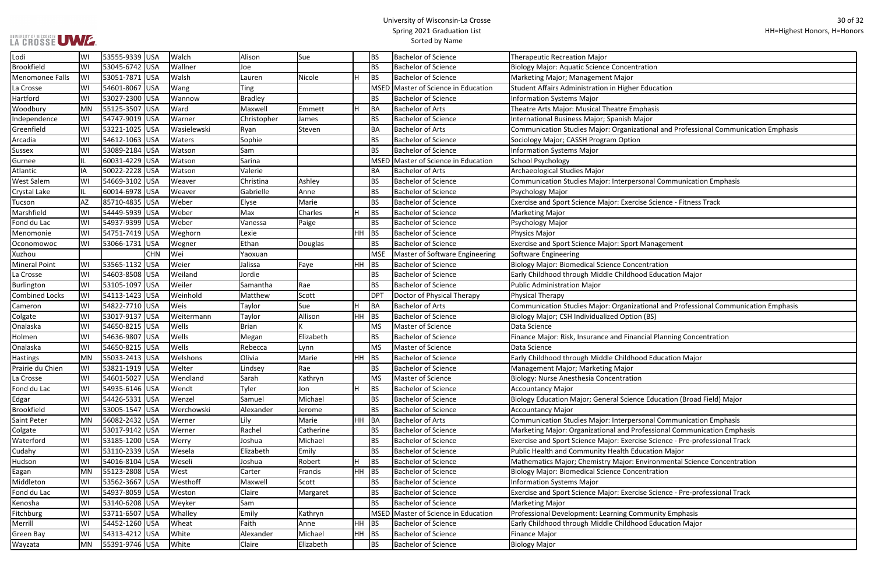#### University of Wisconsin-La Crosse Spring 2021 Graduation List Sorted by Name

tional and Professional Communication Emphasis

sonal Communication Emphasis

se Science - Fitness Track

tional and Professional Communication Emphasis

ncial Planning Concentration

e Education (Broad Field) Major:

sonal Communication Emphasis

ofessional Communication Emphasis

ise Science - Pre-professional Track

Invironmental Science Concentration

ise Science - Pre-professional Track

| Lodi                  | WI  | 53555-9339 USA | Walch       | Alison         | Sue       |    | <b>BS</b>   | <b>Bachelor of Science</b>          | <b>Therapeutic Recreation Major</b>                          |
|-----------------------|-----|----------------|-------------|----------------|-----------|----|-------------|-------------------------------------|--------------------------------------------------------------|
| <b>Brookfield</b>     | WI  | 53045-6742 USA | Wallner     | Joe            |           |    | <b>BS</b>   | <b>Bachelor of Science</b>          | <b>Biology Major: Aquatic Science Concentration</b>          |
| Menomonee Falls       | WI  | 53051-7871 USA | Walsh       | Lauren         | Nicole    | H  | <b>BS</b>   | <b>Bachelor of Science</b>          | Marketing Major; Management Major                            |
| La Crosse             | WI  | 54601-8067 USA | Wang        | <b>Ting</b>    |           |    | <b>MSED</b> | Master of Science in Education      | Student Affairs Administration in Higher Education           |
| Hartford              | WI  | 53027-2300 USA | Wannow      | <b>Bradley</b> |           |    | <b>BS</b>   | <b>Bachelor of Science</b>          | <b>Information Systems Major</b>                             |
| Woodbury              | MN  | 55125-3507 USA | Ward        | Maxwell        | Emmett    | H  | <b>BA</b>   | <b>Bachelor of Arts</b>             | Theatre Arts Major: Musical Theatre Emphasis                 |
| Independence          | WI  | 54747-9019 USA | Warner      | Christopher    | James     |    | <b>BS</b>   | <b>Bachelor of Science</b>          | International Business Major; Spanish Major                  |
| Greenfield            | WI  | 53221-1025 USA | Wasielewski | Ryan           | Steven    |    | <b>BA</b>   | <b>Bachelor of Arts</b>             | Communication Studies Major: Organizational and Professio    |
| Arcadia               | WI  | 54612-1063 USA | Waters      | Sophie         |           |    | <b>BS</b>   | <b>Bachelor of Science</b>          | Sociology Major; CASSH Program Option                        |
| Sussex                | WI  | 53089-2184 USA | Watson      | Sam            |           |    | <b>BS</b>   | <b>Bachelor of Science</b>          | <b>Information Systems Major</b>                             |
| Gurnee                |     | 60031-4229 USA | Watson      | Sarina         |           |    | <b>MSED</b> | Master of Science in Education      | <b>School Psychology</b>                                     |
| Atlantic              | IA  | 50022-2228 USA | Watson      | Valerie        |           |    | <b>BA</b>   | <b>Bachelor of Arts</b>             | Archaeological Studies Major                                 |
| <b>West Salem</b>     | WI  | 54669-3102 USA | Weaver      | Christina      | Ashley    |    | <b>BS</b>   | <b>Bachelor of Science</b>          | Communication Studies Major: Interpersonal Communicatio      |
| <b>Crystal Lake</b>   | IL. | 60014-6978 USA | Weaver      | Gabrielle      | Anne      |    | <b>BS</b>   | <b>Bachelor of Science</b>          | Psychology Major                                             |
| Tucson                | AZ  | 85710-4835 USA | Weber       | Elyse          | Marie     |    | <b>BS</b>   | <b>Bachelor of Science</b>          | Exercise and Sport Science Major: Exercise Science - Fitness |
| Marshfield            | WI  | 54449-5939 USA | Weber       | Max            | Charles   | lн | <b>BS</b>   | <b>Bachelor of Science</b>          | <b>Marketing Major</b>                                       |
| Fond du Lac           | WI  | 54937-9399 USA | Weber       | Vanessa        | Paige     |    | <b>BS</b>   | <b>Bachelor of Science</b>          | Psychology Major                                             |
| Menomonie             | WI  | 54751-7419 USA | Weghorn     | Lexie          |           | HH | BS          | <b>Bachelor of Science</b>          | Physics Major                                                |
| Oconomowoc            | WI  | 53066-1731 USA | Wegner      | Ethan          | Douglas   |    | <b>BS</b>   | <b>Bachelor of Science</b>          | Exercise and Sport Science Major: Sport Management           |
| Xuzhou                |     | <b>CHN</b>     | Wei         | Yaoxuan        |           |    | <b>MSE</b>  | Master of Software Engineering      | Software Engineering                                         |
| <b>Mineral Point</b>  | WI  | 53565-1132 USA | Weier       | Jalissa        | Faye      | HH | <b>BS</b>   | <b>Bachelor of Science</b>          | <b>Biology Major: Biomedical Science Concentration</b>       |
| La Crosse             | WI  | 54603-8508 USA | Weiland     | Jordie         |           |    | <b>BS</b>   | <b>Bachelor of Science</b>          | Early Childhood through Middle Childhood Education Major     |
| Burlington            | WI  | 53105-1097 USA | Weiler      | Samantha       | Rae       |    | <b>BS</b>   | <b>Bachelor of Science</b>          | <b>Public Administration Major</b>                           |
| <b>Combined Locks</b> | WI  | 54113-1423 USA | Weinhold    | Matthew        | Scott     |    | <b>DPT</b>  | Doctor of Physical Therapy          | Physical Therapy                                             |
| Cameron               | WI  | 54822-7710 USA | Weis        | Taylor         | Sue       | H  | <b>BA</b>   | <b>Bachelor of Arts</b>             | Communication Studies Major: Organizational and Professio    |
| Colgate               | WI  | 53017-9137 USA | Weitermann  | Taylor         | Allison   | HH | BS          | <b>Bachelor of Science</b>          | Biology Major; CSH Individualized Option (BS)                |
| Onalaska              | WI  | 54650-8215 USA | Wells       | <b>Brian</b>   |           |    | <b>MS</b>   | Master of Science                   | Data Science                                                 |
| Holmen                | WI  | 54636-9807 USA | Wells       | Megan          | Elizabeth |    | <b>BS</b>   | <b>Bachelor of Science</b>          | Finance Major: Risk, Insurance and Financial Planning Conce  |
| Onalaska              | WI  | 54650-8215 USA | Wells       | Rebecca        | Lynn      |    | <b>MS</b>   | Master of Science                   | Data Science                                                 |
| <b>Hastings</b>       | MN  | 55033-2413 USA | Welshons    | Olivia         | Marie     | HH | <b>BS</b>   | <b>Bachelor of Science</b>          | Early Childhood through Middle Childhood Education Major     |
| Prairie du Chien      | WI  | 53821-1919 USA | Welter      | Lindsey        | Rae       |    | <b>BS</b>   | <b>Bachelor of Science</b>          | Management Major; Marketing Major                            |
| La Crosse             | WI  | 54601-5027 USA | Wendland    | Sarah          | Kathryn   |    | <b>MS</b>   | Master of Science                   | Biology: Nurse Anesthesia Concentration                      |
| Fond du Lac           | WI  | 54935-6146 USA | Wendt       | Tyler          | Jon       | Η  | <b>BS</b>   | <b>Bachelor of Science</b>          | <b>Accountancy Major</b>                                     |
| Edgar                 | WI  | 54426-5331 USA | Wenzel      | Samuel         | Michael   |    | <b>BS</b>   | <b>Bachelor of Science</b>          | Biology Education Major; General Science Education (Broad    |
| Brookfield            | WI  | 53005-1547 USA | Werchowski  | Alexander      | Jerome    |    | <b>BS</b>   | <b>Bachelor of Science</b>          | <b>Accountancy Major</b>                                     |
| <b>Saint Peter</b>    | MN  | 56082-2432 USA | Werner      | Lily           | Marie     | HH | BA          | <b>Bachelor of Arts</b>             | Communication Studies Major: Interpersonal Communicatio      |
| Colgate               | WI  | 53017-9142 USA | Werner      | Rachel         | Catherine |    | <b>BS</b>   | <b>Bachelor of Science</b>          | Marketing Major: Organizational and Professional Communi     |
| Waterford             | WI  | 53185-1200 USA | Werry       | Joshua         | Michael   |    | <b>BS</b>   | <b>Bachelor of Science</b>          | Exercise and Sport Science Major: Exercise Science - Pre-pro |
| Cudahy                | WI  | 53110-2339 USA | Wesela      | Elizabeth      | Emily     |    | <b>BS</b>   | <b>Bachelor of Science</b>          | Public Health and Community Health Education Major           |
| Hudson                | WI  | 54016-8104 USA | Weseli      | Joshua         | Robert    | Η  | <b>BS</b>   | <b>Bachelor of Science</b>          | Mathematics Major; Chemistry Major: Environmental Sciend     |
| Eagan                 | MN  | 55123-2808 USA | West        | Carter         | Francis   | HH | <b>BS</b>   | <b>Bachelor of Science</b>          | <b>Biology Major: Biomedical Science Concentration</b>       |
| Middleton             | WI  | 53562-3667 USA | Westhoff    | Maxwell        | Scott     |    | <b>BS</b>   | <b>Bachelor of Science</b>          | <b>Information Systems Major</b>                             |
| Fond du Lac           | WI  | 54937-8059 USA | Weston      | Claire         | Margaret  |    | <b>BS</b>   | <b>Bachelor of Science</b>          | Exercise and Sport Science Major: Exercise Science - Pre-pro |
| Kenosha               | WI  | 53140-6208 USA | Weyker      | Sam            |           |    | <b>BS</b>   | <b>Bachelor of Science</b>          | <b>Marketing Major</b>                                       |
| Fitchburg             | WI  | 53711-6507 USA | Whalley     | Emily          | Kathryn   |    |             | MSED Master of Science in Education | Professional Development: Learning Community Emphasis        |
| Merrill               | WI  | 54452-1260 USA | Wheat       | Faith          | Anne      | HH | <b>BS</b>   | <b>Bachelor of Science</b>          | Early Childhood through Middle Childhood Education Major     |
| <b>Green Bay</b>      | WI  | 54313-4212 USA | White       | Alexander      | Michael   | HH | <b>BS</b>   | <b>Bachelor of Science</b>          | <b>Finance Major</b>                                         |
| Wayzata               | MN  | 55391-9746 USA | White       | Claire         | Elizabeth |    | <b>BS</b>   | <b>Bachelor of Science</b>          | <b>Biology Major</b>                                         |
|                       |     |                |             |                |           |    |             |                                     |                                                              |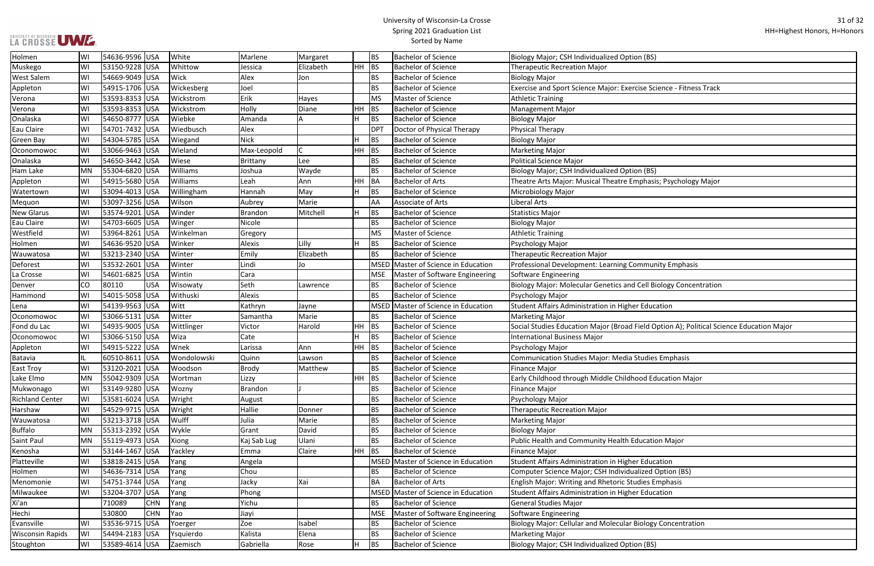#### University of Wisconsin-La Crosse Spring 2021 Graduation List Sorted by Name

**I**se Science - Fitness Track

phasis; Psychology Major

**Cell Biology Concentration** 

ield Option A); Political Science Education Major

| Holmen                  | WI | 54636-9596 USA |            | White       | Marlene         | Margaret                |           | <b>BS</b>       | <b>Bachelor of Science</b>          | Biology Major; CSH Individualized Option (BS)                  |
|-------------------------|----|----------------|------------|-------------|-----------------|-------------------------|-----------|-----------------|-------------------------------------|----------------------------------------------------------------|
| Muskego                 | WI | 53150-9228 USA |            | Whittow     | Jessica         | Elizabeth               | <b>HH</b> | BS              | <b>Bachelor of Science</b>          | <b>Therapeutic Recreation Major</b>                            |
| <b>West Salem</b>       | WI | 54669-9049 USA |            | Wick        | Alex            | Jon                     |           | BS              | <b>Bachelor of Science</b>          | <b>Biology Major</b>                                           |
| Appleton                | WI | 54915-1706 USA |            | Wickesberg  | Joel            |                         |           | <b>BS</b>       | <b>Bachelor of Science</b>          | Exercise and Sport Science Major: Exercise Science - Fitness T |
| Verona                  | WI | 53593-8353 USA |            | Wickstrom   | Erik            | Hayes                   |           | <b>MS</b>       | Master of Science                   | <b>Athletic Training</b>                                       |
| Verona                  | WI | 53593-8353 USA |            | Wickstrom   | Holly           | Diane                   | HH        | <b>BS</b>       | <b>Bachelor of Science</b>          | <b>Management Major</b>                                        |
| Onalaska                | WI | 54650-8777 USA |            | Wiebke      | Amanda          | A                       | H         | <b>BS</b>       | <b>Bachelor of Science</b>          | <b>Biology Major</b>                                           |
| Eau Claire              | WI | 54701-7432 USA |            | Wiedbusch   | Alex            |                         |           | DP <sub>1</sub> | Doctor of Physical Therapy          | <b>Physical Therapy</b>                                        |
| <b>Green Bay</b>        | WI | 54304-5785 USA |            | Wiegand     | <b>Nick</b>     |                         | H         | <b>BS</b>       | <b>Bachelor of Science</b>          | <b>Biology Major</b>                                           |
| Oconomowoc              | WI | 53066-9463 USA |            | Wieland     | Max-Leopold     | $\overline{\mathsf{C}}$ | HH.       | BS              | <b>Bachelor of Science</b>          | <b>Marketing Major</b>                                         |
| Onalaska                | WI | 54650-3442 USA |            | Wiese       | <b>Brittany</b> | Lee                     |           | BS              | <b>Bachelor of Science</b>          | <b>Political Science Major</b>                                 |
| Ham Lake                | MN | 55304-6820 USA |            | Williams    | Joshua          | Wayde                   |           | <b>BS</b>       | <b>Bachelor of Science</b>          | Biology Major; CSH Individualized Option (BS)                  |
| Appleton                | WI | 54915-5680 USA |            | Williams    | Leah            | Ann                     | HH        | BA              | <b>Bachelor of Arts</b>             | Theatre Arts Major: Musical Theatre Emphasis; Psychology M     |
| Watertown               | WI | 53094-4013 USA |            | Willingham  | Hannah          | May                     | H         | <b>BS</b>       | <b>Bachelor of Science</b>          | Microbiology Major                                             |
| Mequon                  | WI | 53097-3256 USA |            | Wilson      | Aubrey          | Marie                   |           | AA              | Associate of Arts                   | Liberal Arts                                                   |
| <b>New Glarus</b>       | WI | 53574-9201 USA |            | Winder      | <b>Brandon</b>  | Mitchell                | H         | <b>BS</b>       | <b>Bachelor of Science</b>          | <b>Statistics Major</b>                                        |
| Eau Claire              | WI | 54703-6605 USA |            | Winger      | Nicole          |                         |           | <b>BS</b>       | <b>Bachelor of Science</b>          | <b>Biology Major</b>                                           |
| Westfield               | WI | 53964-8261 USA |            | Winkelman   | Gregory         |                         |           | <b>MS</b>       | Master of Science                   | <b>Athletic Training</b>                                       |
| Holmen                  | WI | 54636-9520 USA |            | Winker      | Alexis          | Lilly                   | H         | <b>BS</b>       | <b>Bachelor of Science</b>          | Psychology Major                                               |
| Wauwatosa               | WI | 53213-2340 USA |            | Winter      | Emily           | Elizabeth               |           | BS              | <b>Bachelor of Science</b>          | <b>Therapeutic Recreation Major</b>                            |
| Deforest                | WI | 53532-2601     | <b>USA</b> | Winter      | Lindi           | Jo                      |           | MSED            | Master of Science in Education      | Professional Development: Learning Community Emphasis          |
| La Crosse               | WI | 54601-6825 USA |            | Wintin      | Cara            |                         |           | <b>MSE</b>      | Master of Software Engineering      | Software Engineering                                           |
| Denver                  | CO | 80110          | <b>USA</b> | Wisowaty    | Seth            | Lawrence                |           | <b>BS</b>       | <b>Bachelor of Science</b>          | Biology Major: Molecular Genetics and Cell Biology Concentr    |
| Hammond                 | WI | 54015-5058 USA |            | Withuski    | Alexis          |                         |           | <b>BS</b>       | <b>Bachelor of Science</b>          | Psychology Major                                               |
| Lena                    | WI | 54139-9563 USA |            | Witt        | Kathryn         | Jayne                   |           |                 | MSED Master of Science in Education | Student Affairs Administration in Higher Education             |
| Oconomowoc              | WI | 53066-5131 USA |            | Witter      | Samantha        | Marie                   |           | <b>BS</b>       | <b>Bachelor of Science</b>          | <b>Marketing Major</b>                                         |
| Fond du Lac             | WI | 54935-9005 USA |            | Wittlinger  | Victor          | Harold                  | HH.       | <b>BS</b>       | <b>Bachelor of Science</b>          | Social Studies Education Major (Broad Field Option A); Politic |
| Oconomowoc              | WI | 53066-5150 USA |            | Wiza        | Cate            |                         | H         | <b>BS</b>       | <b>Bachelor of Science</b>          | <b>International Business Major</b>                            |
| Appleton                | WI | 54915-5222 USA |            | Wnek        | Larissa         | Ann                     | HH.       | BS              | <b>Bachelor of Science</b>          | Psychology Major                                               |
| Batavia                 |    | 60510-8611 USA |            | Wondolowski | Quinn           | Lawson                  |           | ВS              | <b>Bachelor of Science</b>          | <b>Communication Studies Major: Media Studies Emphasis</b>     |
| <b>East Troy</b>        | WI | 53120-2021 USA |            | Woodson     | <b>Brody</b>    | Matthew                 |           | BS              | <b>Bachelor of Science</b>          | Finance Major                                                  |
| Lake Elmo               | MN | 55042-9309 USA |            | Wortman     | Lizzy           |                         | $HH$ BS   |                 | <b>Bachelor of Science</b>          | Early Childhood through Middle Childhood Education Major       |
| Mukwonago               | WI | 53149-9280 USA |            | Wozny       | <b>Brandon</b>  |                         |           | BS              | <b>Bachelor of Science</b>          | <b>Finance Major</b>                                           |
| <b>Richland Center</b>  | WI | 53581-6024 USA |            | Wright      | August          |                         |           | <b>BS</b>       | <b>Bachelor of Science</b>          | Psychology Major                                               |
| Harshaw                 | WI | 54529-9715 USA |            | Wright      | Hallie          | Donner                  |           | <b>BS</b>       | <b>Bachelor of Science</b>          | <b>Therapeutic Recreation Major</b>                            |
| Wauwatosa               | WI | 53213-3718 USA |            | Wulff       | Julia           | Marie                   |           | BS              | <b>Bachelor of Science</b>          | <b>Marketing Major</b>                                         |
| <b>Buffalo</b>          | MN | 55313-2392 USA |            | Wykle       | Grant           | David                   |           | ВS              | <b>Bachelor of Science</b>          | <b>Biology Major</b>                                           |
| Saint Paul              | MN | 55119-4973 USA |            | Xiong       | Kaj Sab Lug     | Ulani                   |           | <b>BS</b>       | <b>Bachelor of Science</b>          | Public Health and Community Health Education Major             |
| Kenosha                 | WI | 53144-1467 USA |            | Yackley     | Emma            | Claire                  | <b>HH</b> | BS              | <b>Bachelor of Science</b>          | <b>Finance Major</b>                                           |
| Platteville             | WI | 53818-2415 USA |            | Yang        | Angela          |                         |           |                 | MSED Master of Science in Education | Student Affairs Administration in Higher Education             |
| Holmen                  | WI | 54636-7314 USA |            | Yang        | Chou            |                         |           | <b>BS</b>       | <b>Bachelor of Science</b>          | Computer Science Major; CSH Individualized Option (BS)         |
| Menomonie               | WI | 54751-3744 USA |            | Yang        | Jacky           | Xai                     |           | ВA              | <b>Bachelor of Arts</b>             | English Major: Writing and Rhetoric Studies Emphasis           |
| Milwaukee               | WI | 53204-3707 USA |            | Yang        | Phong           |                         |           |                 | MSED Master of Science in Education | Student Affairs Administration in Higher Education             |
| Xi'an                   |    | 710089         | <b>CHN</b> | Yang        | Yichu           |                         |           | ВS              | <b>Bachelor of Science</b>          | <b>General Studies Major</b>                                   |
| Hechi                   |    | 530800         | <b>CHN</b> | Yao         | Jiayi           |                         |           | <b>MSE</b>      | Master of Software Engineering      | Software Engineering                                           |
| Evansville              | WI | 53536-9715     | USA        | Yoerger     | Zoe             | Isabel                  |           | BS              | <b>Bachelor of Science</b>          | Biology Major: Cellular and Molecular Biology Concentration    |
| <b>Wisconsin Rapids</b> | WI | 54494-2183 USA |            | Ysquierdo   | Kalista         | Elena                   |           | BS              | <b>Bachelor of Science</b>          | <b>Marketing Major</b>                                         |
| Stoughton               | WI | 53589-4614 USA |            | Zaemisch    | Gabriella       | Rose                    | H         | <b>BS</b>       | <b>Bachelor of Science</b>          | Biology Major; CSH Individualized Option (BS)                  |
|                         |    |                |            |             |                 |                         |           |                 |                                     |                                                                |